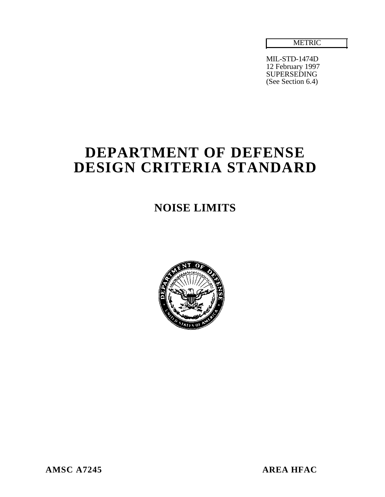METRIC

MIL-STD-1474D 12 February 1997 SUPERSEDING (See Section 6.4)

# **DEPARTMENT OF DEFENSE DESIGN CRITERIA STANDARD**

**NOISE LIMITS**



**AMSC A7245 AREA HFAC**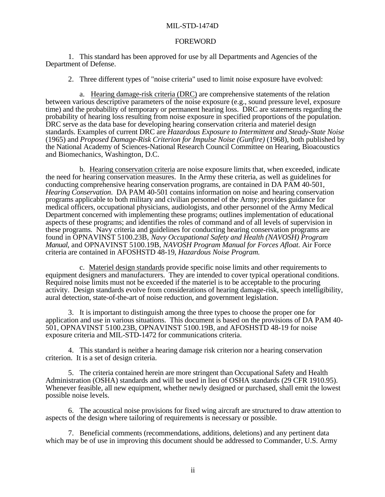#### **FOREWORD**

1. This standard has been approved for use by all Departments and Agencies of the Department of Defense.

2. Three different types of "noise criteria" used to limit noise exposure have evolved:

 a. Hearing damage-risk criteria (DRC) are comprehensive statements of the relation between various descriptive parameters of the noise exposure (e.g., sound pressure level, exposure time) and the probability of temporary or permanent hearing loss. DRC are statements regarding the probability of hearing loss resulting from noise exposure in specified proportions of the population. DRC serve as the data base for developing hearing conservation criteria and materiel design standards. Examples of current DRC are *Hazardous Exposure to Intermittent and Steady-State Noise* (1965) and *Proposed Damage-Risk Criterion for Impulse Noise (Gunfire)* (1968), both published by the National Academy of Sciences-National Research Council Committee on Hearing, Bioacoustics and Biomechanics, Washington, D.C.

 b. Hearing conservation criteria are noise exposure limits that, when exceeded, indicate the need for hearing conservation measures. In the Army these criteria, as well as guidelines for conducting comprehensive hearing conservation programs, are contained in DA PAM 40-501, *Hearing Conservation*. DA PAM 40-501 contains information on noise and hearing conservation programs applicable to both military and civilian personnel of the Army; provides guidance for medical officers, occupational physicians, audiologists, and other personnel of the Army Medical Department concerned with implementing these programs; outlines implementation of educational aspects of these programs; and identifies the roles of command and of all levels of supervision in these programs. Navy criteria and guidelines for conducting hearing conservation programs are found in OPNAVINST 5100.23B, *Navy Occupational Safety and Health (NAVOSH) Program Manual*, and OPNAVINST 5100.19B, *NAVOSH Program Manual for Forces Afloat*. Air Force criteria are contained in AFOSHSTD 48-19, *Hazardous Noise Program.*

c. Materiel design standards provide specific noise limits and other requirements to equipment designers and manufacturers. They are intended to cover typical operational conditions. Required noise limits must not be exceeded if the materiel is to be acceptable to the procuring activity. Design standards evolve from considerations of hearing damage-risk, speech intelligibility, aural detection, state-of-the-art of noise reduction, and government legislation.

3. It is important to distinguish among the three types to choose the proper one for application and use in various situations. This document is based on the provisions of DA PAM 40- 501, OPNAVINST 5100.23B, OPNAVINST 5100.19B, and AFOSHSTD 48-19 for noise exposure criteria and MIL-STD-1472 for communications criteria.

4. This standard is neither a hearing damage risk criterion nor a hearing conservation criterion. It is a set of design criteria.

5. The criteria contained herein are more stringent than Occupational Safety and Health Administration (OSHA) standards and will be used in lieu of OSHA standards (29 CFR 1910.95). Whenever feasible, all new equipment, whether newly designed or purchased, shall emit the lowest possible noise levels.

6. The acoustical noise provisions for fixed wing aircraft are structured to draw attention to aspects of the design where tailoring of requirements is necessary or possible.

7. Beneficial comments (recommendations, additions, deletions) and any pertinent data which may be of use in improving this document should be addressed to Commander, U.S. Army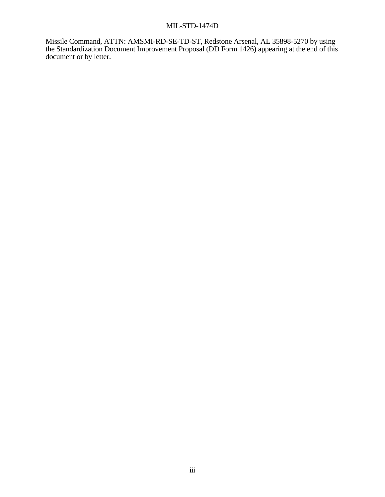Missile Command, ATTN: AMSMI-RD-SE-TD-ST, Redstone Arsenal, AL 35898-5270 by using the Standardization Document Improvement Proposal (DD Form 1426) appearing at the end of this document or by letter.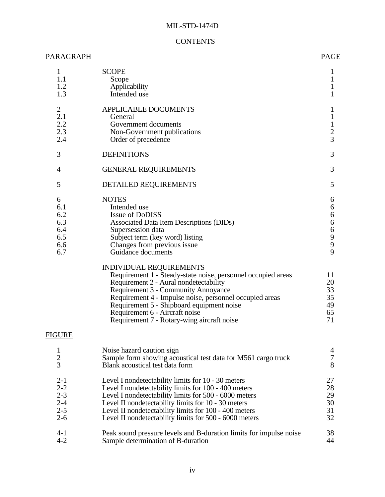# **CONTENTS**

# PARAGRAPH 1

|--|

| 1<br>1.1<br>1.2<br>1.3                                         | <b>SCOPE</b><br>Scope<br>Applicability<br>Intended use                                                                                                                                                                                                                                                                                                                  | $\mathbf{1}$<br>$\,1$<br>$\,1\,$<br>$\mathbf{1}$                                                                 |
|----------------------------------------------------------------|-------------------------------------------------------------------------------------------------------------------------------------------------------------------------------------------------------------------------------------------------------------------------------------------------------------------------------------------------------------------------|------------------------------------------------------------------------------------------------------------------|
| 2<br>2.1<br>2.2<br>2.3<br>2.4                                  | <b>APPLICABLE DOCUMENTS</b><br>General<br>Government documents<br>Non-Government publications<br>Order of precedence                                                                                                                                                                                                                                                    | $\mathbf{1}$<br>$\mathbf{1}$<br>$\frac{1}{2}$                                                                    |
| 3                                                              | <b>DEFINITIONS</b>                                                                                                                                                                                                                                                                                                                                                      | 3                                                                                                                |
| $\overline{4}$                                                 | <b>GENERAL REQUIREMENTS</b>                                                                                                                                                                                                                                                                                                                                             | 3                                                                                                                |
| 5                                                              | DETAILED REQUIREMENTS                                                                                                                                                                                                                                                                                                                                                   | 5                                                                                                                |
| 6<br>6.1<br>6.2<br>6.3<br>6.4<br>6.5<br>6.6<br>6.7             | <b>NOTES</b><br>Intended use<br><b>Issue of DoDISS</b><br>Associated Data Item Descriptions (DIDs)<br>Supersession data<br>Subject term (key word) listing<br>Changes from previous issue<br>Guidance documents                                                                                                                                                         | 6<br>6<br>$\boldsymbol{6}$<br>$\boldsymbol{6}$<br>$\boldsymbol{6}$<br>$\begin{array}{c} 9 \\ 9 \\ 9 \end{array}$ |
|                                                                | <b>INDIVIDUAL REQUIREMENTS</b><br>Requirement 1 - Steady-state noise, personnel occupied areas<br>Requirement 2 - Aural nondetectability<br>Requirement 3 - Community Annoyance<br>Requirement 4 - Impulse noise, personnel occupied areas<br>Requirement 5 - Shipboard equipment noise<br>Requirement 6 - Aircraft noise<br>Requirement 7 - Rotary-wing aircraft noise | 11<br>20<br>33<br>35<br>49<br>65<br>71                                                                           |
| <b>FIGURE</b>                                                  |                                                                                                                                                                                                                                                                                                                                                                         |                                                                                                                  |
| $\mathbf{1}$<br>$\frac{2}{3}$                                  | Noise hazard caution sign<br>Sample form showing acoustical test data for M561 cargo truck<br>Blank acoustical test data form                                                                                                                                                                                                                                           | $\overline{4}$<br>$\boldsymbol{7}$<br>8                                                                          |
| $2 - 1$<br>$2 - 2$<br>$2 - 3$<br>$2 - 4$<br>$2 - 5$<br>$2 - 6$ | Level I nondetectability limits for 10 - 30 meters<br>Level I nondetectability limits for 100 - 400 meters<br>Level I nondetectability limits for 500 - 6000 meters<br>Level II nondetectability limits for 10 - 30 meters<br>Level II nondetectability limits for 100 - 400 meters<br>Level II nondetectability limits for 500 - 6000 meters                           | 27<br>28<br>29<br>30<br>31<br>32                                                                                 |
| $4-1$<br>$4 - 2$                                               | Peak sound pressure levels and B-duration limits for impulse noise<br>Sample determination of B-duration                                                                                                                                                                                                                                                                | 38<br>44                                                                                                         |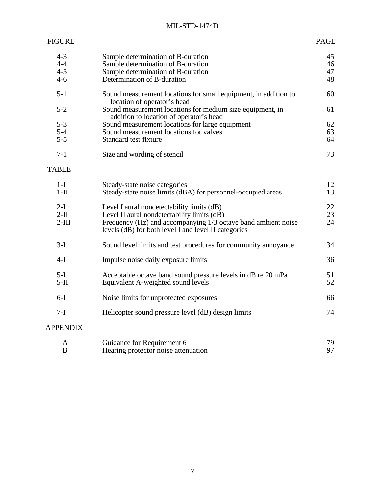#### FIGURE PAGE

| $4 - 3$<br>$4 - 4$<br>$4 - 5$<br>$4-6$ | Sample determination of B-duration<br>Sample determination of B-duration<br>Sample determination of B-duration<br>Determination of B-duration                                                                      | 45<br>46<br>47<br>48 |
|----------------------------------------|--------------------------------------------------------------------------------------------------------------------------------------------------------------------------------------------------------------------|----------------------|
| $5 - 1$                                | Sound measurement locations for small equipment, in addition to                                                                                                                                                    | 60                   |
| $5 - 2$                                | location of operator's head<br>Sound measurement locations for medium size equipment, in                                                                                                                           | 61                   |
| $5 - 3$<br>$5 - 4$<br>$5 - 5$          | addition to location of operator's head<br>Sound measurement locations for large equipment<br>Sound measurement locations for valves<br>Standard test fixture                                                      | 62<br>63<br>64       |
| $7-1$                                  | Size and wording of stencil                                                                                                                                                                                        | 73                   |
| <b>TABLE</b>                           |                                                                                                                                                                                                                    |                      |
| $1-I$<br>$1-II$                        | Steady-state noise categories<br>Steady-state noise limits (dBA) for personnel-occupied areas                                                                                                                      | 12<br>13             |
| $2-I$<br>$2-II$<br>$2-III$             | Level I aural nondetectability limits (dB)<br>Level II aural nondetectability limits (dB)<br>Frequency (Hz) and accompanying 1/3 octave band ambient noise<br>levels (dB) for both level I and level II categories | 22<br>23<br>24       |
| $3-I$                                  | Sound level limits and test procedures for community annoyance                                                                                                                                                     | 34                   |
| $4-I$                                  | Impulse noise daily exposure limits                                                                                                                                                                                | 36                   |
| $5-I$<br>$5-II$                        | Acceptable octave band sound pressure levels in dB re 20 mPa<br>Equivalent A-weighted sound levels                                                                                                                 | 51<br>52             |
| $6-I$                                  | Noise limits for unprotected exposures                                                                                                                                                                             | 66                   |
| $7-I$                                  | Helicopter sound pressure level (dB) design limits                                                                                                                                                                 | 74                   |
| <b>APPENDIX</b>                        |                                                                                                                                                                                                                    |                      |
| A<br>B                                 | Guidance for Requirement 6<br>Hearing protector noise attenuation                                                                                                                                                  | 79<br>97             |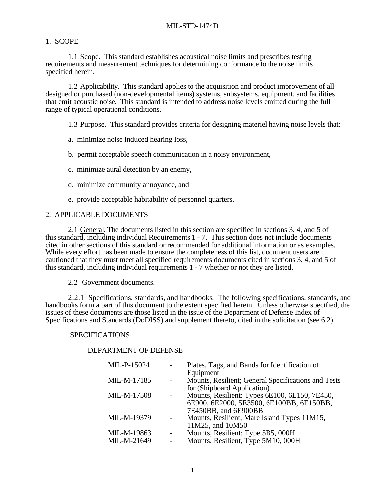#### 1. SCOPE

1.1 Scope. This standard establishes acoustical noise limits and prescribes testing requirements and measurement techniques for determining conformance to the noise limits specified herein.

1.2 Applicability. This standard applies to the acquisition and product improvement of all designed or purchased (non-developmental items) systems, subsystems, equipment, and facilities that emit acoustic noise. This standard is intended to address noise levels emitted during the full range of typical operational conditions.

1.3 Purpose. This standard provides criteria for designing materiel having noise levels that:

a. minimize noise induced hearing loss,

b. permit acceptable speech communication in a noisy environment,

- c. minimize aural detection by an enemy,
- d. minimize community annoyance, and
- e. provide acceptable habitability of personnel quarters.

#### 2. APPLICABLE DOCUMENTS

2.1 General. The documents listed in this section are specified in sections 3, 4, and 5 of this standard, including individual Requirements 1 - 7. This section does not include documents cited in other sections of this standard or recommended for additional information or as examples. While every effort has been made to ensure the completeness of this list, document users are cautioned that they must meet all specified requirements documents cited in sections 3, 4, and 5 of this standard, including individual requirements 1 - 7 whether or not they are listed.

#### 2.2 Government documents.

2.2.1 Specifications, standards, and handbooks. The following specifications, standards, and handbooks form a part of this document to the extent specified herein. Unless otherwise specified, the issues of these documents are those listed in the issue of the Department of Defense Index of Specifications and Standards (DoDISS) and supplement thereto, cited in the solicitation (see 6.2).

#### **SPECIFICATIONS**

#### DEPARTMENT OF DEFENSE

| MIL-P-15024 |                          | Plates, Tags, and Bands for Identification of       |
|-------------|--------------------------|-----------------------------------------------------|
|             |                          | Equipment                                           |
| MIL-M-17185 |                          | Mounts, Resilient; General Specifications and Tests |
|             |                          | for (Shipboard Application)                         |
| MIL-M-17508 | $\overline{\phantom{a}}$ | Mounts, Resilient: Types 6E100, 6E150, 7E450,       |
|             |                          | 6E900, 6E2000, 5E3500, 6E100BB, 6E150BB,            |
|             |                          | 7E450BB, and 6E900BB                                |
| MIL-M-19379 |                          | Mounts, Resilient, Mare Island Types 11M15,         |
|             |                          | 11M25, and 10M50                                    |
| MIL-M-19863 |                          | Mounts, Resilient: Type 5B5, 000H                   |
| MIL-M-21649 |                          | Mounts, Resilient, Type 5M10, 000H                  |
|             |                          |                                                     |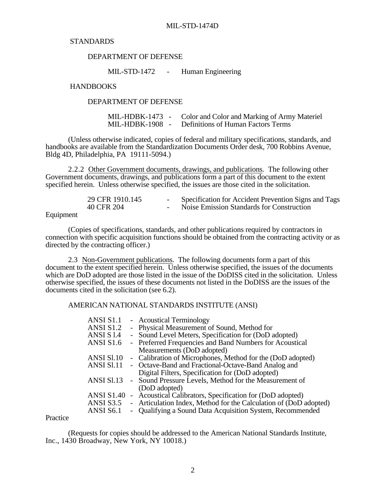#### **STANDARDS**

#### DEPARTMENT OF DEFENSE

MIL-STD-1472 - Human Engineering

**HANDBOOKS** 

#### DEPARTMENT OF DEFENSE

MIL-HDBK-1473 - Color and Color and Marking of Army Materiel<br>MIL-HDBK-1908 - Definitions of Human Factors Terms Definitions of Human Factors Terms

(Unless otherwise indicated, copies of federal and military specifications, standards, and handbooks are available from the Standardization Documents Order desk, 700 Robbins Avenue, Bldg 4D, Philadelphia, PA 19111-5094.)

2.2.2 Other Government documents, drawings, and publications. The following other Government documents, drawings, and publications form a part of this document to the extent specified herein. Unless otherwise specified, the issues are those cited in the solicitation.

|      | 29 CFR 1910.145<br>40 CFR 204 | Specification for Accident Prevention Signs and Tags<br>Noise Emission Standards for Construction |
|------|-------------------------------|---------------------------------------------------------------------------------------------------|
| ment |                               |                                                                                                   |

Equipment

(Copies of specifications, standards, and other publications required by contractors in connection with specific acquisition functions should be obtained from the contracting activity or as directed by the contracting officer.)

2.3 Non-Government publications. The following documents form a part of this document to the extent specified herein. Unless otherwise specified, the issues of the documents which are DoD adopted are those listed in the issue of the DoDISS cited in the solicitation. Unless otherwise specified, the issues of these documents not listed in the DoDISS are the issues of the documents cited in the solicitation (see 6.2).

#### AMERICAN NATIONAL STANDARDS INSTITUTE (ANSI)

| ANSI S1.1             | - Acoustical Terminology                                          |
|-----------------------|-------------------------------------------------------------------|
| ANSI $S1.2$           | - Physical Measurement of Sound, Method for                       |
| ANSI S 1.4            | - Sound Level Meters, Specification for (DoD adopted)             |
| ANSI $S1.6$           | - Preferred Frequencies and Band Numbers for Acoustical           |
|                       | Measurements (DoD adopted)                                        |
| ANSI S1.10            | - Calibration of Microphones, Method for the (DoD adopted)        |
| ANSI S1.11            | - Octave-Band and Fractional-Octave-Band Analog and               |
|                       | Digital Filters, Specification for (DoD adopted)                  |
| ANSI S1.13            | - Sound Pressure Levels, Method for the Measurement of            |
|                       | (DoD adopted)                                                     |
| <b>ANSI S1.40</b>     | - Acoustical Calibrators, Specification for (DoD adopted)         |
| ANSI S3.5             | - Articulation Index, Method for the Calculation of (DoD adopted) |
| ANSI S <sub>6.1</sub> | - Qualifying a Sound Data Acquisition System, Recommended         |
|                       |                                                                   |

**Practice** 

(Requests for copies should be addressed to the American National Standards Institute, Inc., 1430 Broadway, New York, NY 10018.)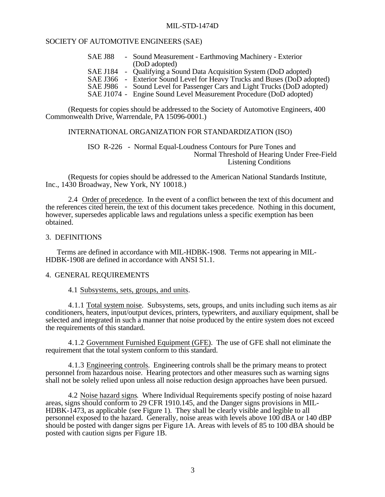#### SOCIETY OF AUTOMOTIVE ENGINEERS (SAE)

| SAE J88 | - Sound Measurement - Earthmoving Machinery - Exterior                   |
|---------|--------------------------------------------------------------------------|
|         | (DoD adopted)                                                            |
|         | SAE J184 - Qualifying a Sound Data Acquisition System (DoD adopted)      |
|         | SAE J366 - Exterior Sound Level for Heavy Trucks and Buses (DoD adopted) |
|         | SAE J986 - Sound Level for Passenger Cars and Light Trucks (DoD adopted) |
|         | SAE J1074 - Engine Sound Level Measurement Procedure (DoD adopted)       |

(Requests for copies should be addressed to the Society of Automotive Engineers, 400 Commonwealth Drive, Warrendale, PA 15096-0001.)

#### INTERNATIONAL ORGANIZATION FOR STANDARDIZATION (ISO)

ISO R-226 - Normal Equal-Loudness Contours for Pure Tones and Normal Threshold of Hearing Under Free-Field Listening Conditions

(Requests for copies should be addressed to the American National Standards Institute, Inc., 1430 Broadway, New York, NY 10018.)

2.4 Order of precedence. In the event of a conflict between the text of this document and the references cited herein, the text of this document takes precedence. Nothing in this document, however, supersedes applicable laws and regulations unless a specific exemption has been obtained.

#### 3. DEFINITIONS

Terms are defined in accordance with MIL-HDBK-1908. Terms not appearing in MIL-HDBK-1908 are defined in accordance with ANSI S1.1.

#### 4. GENERAL REQUIREMENTS

#### 4.1 Subsystems, sets, groups, and units.

4.1.1 Total system noise. Subsystems, sets, groups, and units including such items as air conditioners, heaters, input/output devices, printers, typewriters, and auxiliary equipment, shall be selected and integrated in such a manner that noise produced by the entire system does not exceed the requirements of this standard.

4.1.2 Government Furnished Equipment (GFE). The use of GFE shall not eliminate the requirement that the total system conform to this standard.

4.1.3 Engineering controls. Engineering controls shall be the primary means to protect personnel from hazardous noise. Hearing protectors and other measures such as warning signs shall not be solely relied upon unless all noise reduction design approaches have been pursued.

4.2 Noise hazard signs. Where Individual Requirements specify posting of noise hazard areas, signs should conform to 29 CFR 1910.145, and the Danger signs provisions in MIL-HDBK-1473, as applicable (see Figure 1). They shall be clearly visible and legible to all personnel exposed to the hazard. Generally, noise areas with levels above 100 dBA or 140 dBP should be posted with danger signs per Figure 1A. Areas with levels of 85 to 100 dBA should be posted with caution signs per Figure 1B.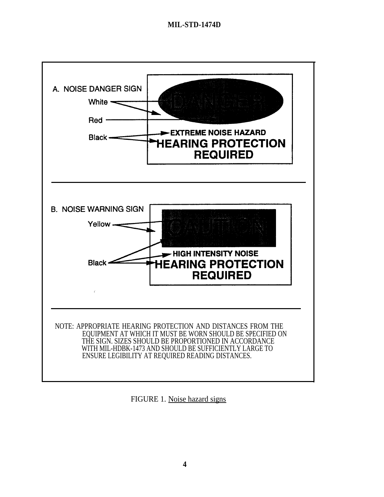

# FIGURE 1. Noise hazard signs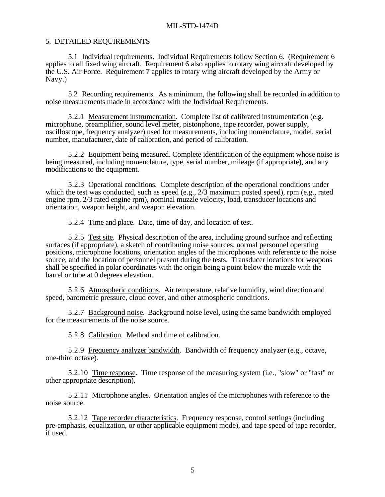#### 5. DETAILED REQUIREMENTS

5.1 Individual requirements. Individual Requirements follow Section 6. (Requirement 6 applies to all fixed wing aircraft. Requirement 6 also applies to rotary wing aircraft developed by the U.S. Air Force. Requirement 7 applies to rotary wing aircraft developed by the Army or Navy.)

5.2 Recording requirements. As a minimum, the following shall be recorded in addition to noise measurements made in accordance with the Individual Requirements.

5.2.1 Measurement instrumentation. Complete list of calibrated instrumentation (e.g. microphone, preamplifier, sound level meter, pistonphone, tape recorder, power supply, oscilloscope, frequency analyzer) used for measurements, including nomenclature, model, serial number, manufacturer, date of calibration, and period of calibration.

5.2.2 Equipment being measured. Complete identification of the equipment whose noise is being measured, including nomenclature, type, serial number, mileage (if appropriate), and any modifications to the equipment.

5.2.3 Operational conditions. Complete description of the operational conditions under which the test was conducted, such as speed (e.g., 2/3 maximum posted speed), rpm (e.g., rated engine rpm, 2/3 rated engine rpm), nominal muzzle velocity, load, transducer locations and orientation, weapon height, and weapon elevation.

5.2.4 Time and place. Date, time of day, and location of test.

5.2.5 Test site. Physical description of the area, including ground surface and reflecting surfaces (if appropriate), a sketch of contributing noise sources, normal personnel operating positions, microphone locations, orientation angles of the microphones with reference to the noise source, and the location of personnel present during the tests. Transducer locations for weapons shall be specified in polar coordinates with the origin being a point below the muzzle with the barrel or tube at 0 degrees elevation.

5.2.6 Atmospheric conditions. Air temperature, relative humidity, wind direction and speed, barometric pressure, cloud cover, and other atmospheric conditions.

5.2.7 Background noise. Background noise level, using the same bandwidth employed for the measurements of the noise source.

5.2.8 Calibration. Method and time of calibration.

5.2.9 Frequency analyzer bandwidth. Bandwidth of frequency analyzer (e.g., octave, one-third octave).

5.2.10 Time response. Time response of the measuring system (i.e., "slow" or "fast" or other appropriate description).

5.2.11 Microphone angles. Orientation angles of the microphones with reference to the noise source.

5.2.12 Tape recorder characteristics. Frequency response, control settings (including pre-emphasis, equalization, or other applicable equipment mode), and tape speed of tape recorder, if used.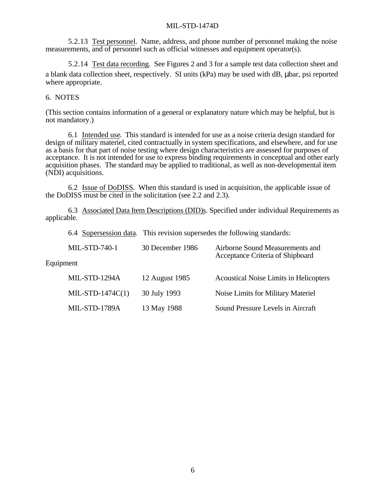5.2.13 Test personnel. Name, address, and phone number of personnel making the noise measurements, and of personnel such as official witnesses and equipment operator(s).

5.2.14 Test data recording. See Figures 2 and 3 for a sample test data collection sheet and a blank data collection sheet, respectively. SI units (kPa) may be used with dB, μbar, psi reported where appropriate.

#### 6. NOTES

(This section contains information of a general or explanatory nature which may be helpful, but is not mandatory.)

6.1 Intended use. This standard is intended for use as a noise criteria design standard for design of military materiel, cited contractually in system specifications, and elsewhere, and for use as a basis for that part of noise testing where design characteristics are assessed for purposes of acceptance. It is not intended for use to express binding requirements in conceptual and other early acquisition phases. The standard may be applied to traditional, as well as non-developmental item (NDI) acquisitions.

6.2 Issue of DoDISS. When this standard is used in acquisition, the applicable issue of the DoDISS must be cited in the solicitation (see 2.2 and 2.3).

6.3 Associated Data Item Descriptions (DID)s. Specified under individual Requirements as applicable.

|           |                      | 6.4 Supersession data. This revision supersedes the following standards: |                                                                     |  |  |  |  |  |  |  |
|-----------|----------------------|--------------------------------------------------------------------------|---------------------------------------------------------------------|--|--|--|--|--|--|--|
|           | <b>MIL-STD-740-1</b> | 30 December 1986                                                         | Airborne Sound Measurements and<br>Acceptance Criteria of Shipboard |  |  |  |  |  |  |  |
| Equipment |                      |                                                                          |                                                                     |  |  |  |  |  |  |  |
|           | MIL-STD-1294A        | 12 August 1985                                                           | Acoustical Noise Limits in Helicopters                              |  |  |  |  |  |  |  |
|           | $MIL-STD-1474C(1)$   | 30 July 1993                                                             | Noise Limits for Military Materiel                                  |  |  |  |  |  |  |  |
|           | MIL-STD-1789A        | 13 May 1988                                                              | Sound Pressure Levels in Aircraft                                   |  |  |  |  |  |  |  |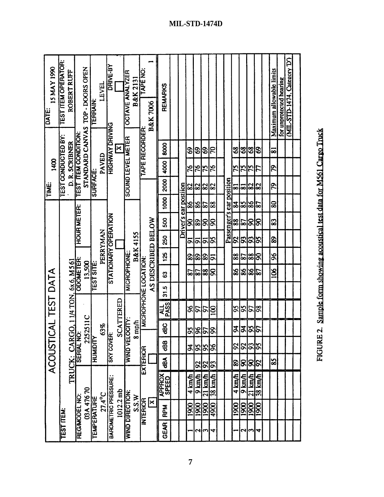| 15 MAY 1990<br><b>DATE:</b> | <b>TEST ITEM OPERATOR:</b> | ROBERT RUFF                       | STANDARD CANVAS TOP - DOORS OPEN | <b>TERRAIN:</b>            | LEVEL        | DRIVE-BY                    |                     | <b>OCTAVE ANALYZER</b>   | B&K 2131            | TAPE NO:                    | <b>B&amp;K7006</b> | REMARKS                |                       |               |                 |                         |                          |                          |                         |                            |                         |                 | Maximum allowable limits | for unprotected hearing  | (MIL-STD-1474, Category D') |      |  |  |  |  |
|-----------------------------|----------------------------|-----------------------------------|----------------------------------|----------------------------|--------------|-----------------------------|---------------------|--------------------------|---------------------|-----------------------------|--------------------|------------------------|-----------------------|---------------|-----------------|-------------------------|--------------------------|--------------------------|-------------------------|----------------------------|-------------------------|-----------------|--------------------------|--------------------------|-----------------------------|------|--|--|--|--|
|                             | <b>TEST CONDUCTED BY:</b>  |                                   | <b>TEST ITEM CONDITION:</b>      |                            |              | <b>HIGHWAY DRIVING</b>      | $\mathbf{x}$        | <b>SOUND LEVEL METER</b> |                     | TAPE RECORDER:              |                    | 8000                   |                       | \$            | 8               | $\mathbf{S}$            | $\Xi$                    |                          | 8                       | $\overline{8}$             | $\overline{68}$         | $\overline{69}$ | $\overline{\mathbf{s}}$  |                          |                             |      |  |  |  |  |
| 1400                        |                            | D.R. SCRIBNER                     |                                  |                            | <b>PAVED</b> |                             |                     |                          |                     |                             |                    | 4000                   |                       | 26            | 76              | $\overline{5}$          | $\overline{7}$           |                          | 25                      | $\overline{5}$             | $\overline{75}$         | 77              | $\overline{5}$           |                          |                             |      |  |  |  |  |
| TIME:                       |                            |                                   |                                  | <b>SURFACE:</b>            |              |                             |                     |                          |                     |                             |                    | 2000                   |                       |               | ଅଆ              | $\overline{82}$         | $\overline{\mathbf{82}}$ |                          | $\overline{\mathbf{S}}$ | ౹ౚ                         | 23                      | $\overline{82}$ | $\overline{5}$           |                          |                             |      |  |  |  |  |
|                             |                            |                                   |                                  |                            |              |                             |                     |                          |                     |                             |                    | 1000                   | Driver's ear postiion | ଞ୍ଜା          | $\overline{86}$ | $\mathbf{g}$            | $\overline{88}$          | Passenger's ear position | Z,                      | န္တ                        | $\overline{98}$         | $\overline{58}$ | $\bf{8}$                 |                          |                             |      |  |  |  |  |
|                             |                            |                                   | <b>HOUR METER:</b>               |                            |              |                             |                     |                          |                     |                             |                    | 500                    |                       |               | ଟ୍ରାଛ           | $\overline{90}$         | ႜ႙                       |                          | 88                      | ଅ ର                        |                         | ୫               | $\overline{\mathbf{83}}$ |                          |                             |      |  |  |  |  |
|                             |                            |                                   |                                  |                            | PERRYMAN     | <b>STATIONARY OPERATION</b> |                     |                          | <b>B&amp;K4155</b>  |                             |                    | AS DESCRIBED BELOW     | 250                   |               | 5               | 5                       | ā                        | SQ                       |                         | $\mathbf{g}$               | <mark>ମ</mark> ୁ        |                 | SS                       | 89                       |                             |      |  |  |  |  |
|                             |                            |                                   |                                  |                            |              |                             |                     |                          |                     |                             |                    |                        | 125                   |               | 89              | $\overline{89}$         | $\overline{89}$          | 5                        |                         | 88                         | <b>CS</b>               |                 | ଛାଛ                      | $\mathcal{S}$            |                             |      |  |  |  |  |
|                             |                            |                                   |                                  | $\frac{13,500}{TEST SITE}$ |              |                             |                     | <b>MICROPHONE</b>        |                     |                             |                    | ဥ                      |                       | 2             | $\overline{87}$ | $\overline{88}$         | 8                        |                          | 86                      | 86                         |                         | 18일             | 106                      |                          |                             |      |  |  |  |  |
|                             |                            |                                   |                                  |                            |              |                             |                     |                          |                     |                             |                    | 31.5                   |                       |               |                 |                         |                          |                          |                         |                            |                         |                 |                          |                          |                             |      |  |  |  |  |
| ACOUSTICAL TEST DATA        |                            | TRUCK: CARGO, 11/4 TON, 6x6, M561 |                                  |                            |              |                             | SCATTERED           |                          |                     | <b>MICROPHONE LOCATION:</b> |                    | <b>ALL</b><br>PASS     |                       | $\frac{8}{3}$ | <u>75</u>       | 50                      | $\widetilde{\mathbf{s}}$ |                          | 59                      | 95                         | 57                      | $\overline{8}$  |                          |                          |                             |      |  |  |  |  |
|                             |                            |                                   |                                  | $\frac{2252511C}{HWMDTY}$  | 63%          |                             |                     | <b>WIND VELOCITY:</b>    | $\frac{mp}{n}$<br>∞ |                             |                    | 98                     |                       |               |                 | ଅଞ୍ଚାଧ୍ୟ                |                          |                          | $\mathbf{z}$            | ત્ર જ ષ્ટ                  |                         |                 |                          |                          |                             |      |  |  |  |  |
|                             |                            |                                   |                                  |                            |              | <b>SKY COVER</b>            |                     |                          |                     |                             |                    |                        |                       |               |                 | æ                       |                          | द्र                      | $\overline{56}$         | ାଧ୍ୟ                       |                         |                 | 8                        | $\overline{\mathcal{S}}$ | $\overline{5}$              | န္တြ |  |  |  |  |
|                             |                            |                                   |                                  |                            |              |                             |                     |                          |                     | <b>EXTERIOR</b>             |                    | dBA                    |                       |               | ္လ              | $\overline{5}$          | န္ကြ                     |                          | 89                      | $\overline{\mathbf{g}}$    | ଛ ଛ                     |                 | 85                       |                          |                             |      |  |  |  |  |
|                             |                            |                                   |                                  |                            |              | <b>BAROMETRIC PRESSURE:</b> |                     |                          |                     |                             |                    | <b>APPROX</b><br>SPEED |                       | 4 km/h        | 9 km/h          | $21 \text{ km/h}$       | $38 \text{ km/h}$        |                          | 4 km/h                  | $\overline{\text{Q}}$ km/h | $21 \text{ km/h}$       | 38 km/h         |                          |                          |                             |      |  |  |  |  |
|                             |                            |                                   | 03A 47670                        |                            | 27.4°C       |                             | $1012.2 \text{ mb}$ |                          | S.S.W               | <b>INTERIOR</b>             | $\mathbf{x}$       | <b>RPM</b>             |                       | <b>9001</b>   | 1900            | 1900                    | 4900                     |                          | 1900                    | 1900                       | $\overline{1900}$       | 1900            |                          |                          |                             |      |  |  |  |  |
|                             | <b>TEST ITEM:</b>          |                                   | REGANODEL NO:                    | <b>TEMPERATURE</b>         |              |                             |                     | <b>WIND DIRECTION:</b>   |                     |                             |                    | GEAR                   |                       |               | N               | $\overline{\mathbf{c}}$ | 4                        |                          |                         | 2                          | $\overline{\mathbf{c}}$ | ₹               |                          |                          |                             |      |  |  |  |  |

| .<br>.<br>ļ                 |
|-----------------------------|
| ֚֚֬<br>$\ddot{\phantom{a}}$ |
|                             |
| $\frac{1}{1}$<br>֚֚֬        |
|                             |
|                             |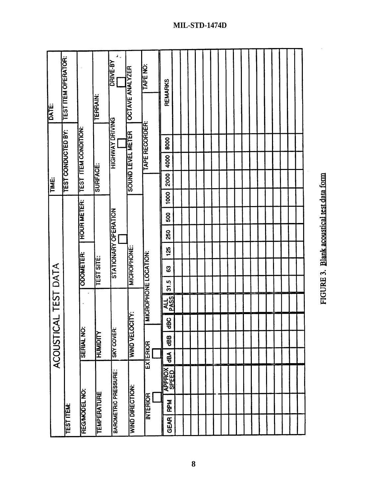|                | <b>TEST ITEM OPERATOR:</b>                               |                             | <b>TERRAIN:</b>        | á<br><b>DRIVE-BY</b>   | <b>OCTAVE ANALYZER</b> | <b>TAPE NO:</b>      | REMARKS                |  |  |  |  |  |  |  |  |
|----------------|----------------------------------------------------------|-----------------------------|------------------------|------------------------|------------------------|----------------------|------------------------|--|--|--|--|--|--|--|--|
| <b>DATE:</b>   |                                                          |                             |                        |                        |                        |                      |                        |  |  |  |  |  |  |  |  |
|                | <b>TEST CONDUCTED BY:</b>                                | <b>TEST ITEM CONDITION:</b> |                        | <b>HIGHWAY DRIVING</b> | SOUND LEVEL METER      | TAPE RECORDER:       | 8000                   |  |  |  |  |  |  |  |  |
|                |                                                          |                             |                        |                        |                        |                      | 4000                   |  |  |  |  |  |  |  |  |
| TIME:          |                                                          |                             | SURFACE:               |                        |                        |                      | 2000                   |  |  |  |  |  |  |  |  |
|                |                                                          |                             |                        |                        |                        |                      | 1000                   |  |  |  |  |  |  |  |  |
|                |                                                          | <b>HOUR METER:</b>          |                        |                        |                        |                      | 500                    |  |  |  |  |  |  |  |  |
|                |                                                          |                             |                        |                        |                        |                      | 250                    |  |  |  |  |  |  |  |  |
|                |                                                          |                             |                        |                        |                        |                      | 125                    |  |  |  |  |  |  |  |  |
|                |                                                          | <b>ODOMETER:</b>            | <b>TEST SITE:</b>      | STATIONARY OPERATION   | <b>MICROPHONE:</b>     |                      | යි                     |  |  |  |  |  |  |  |  |
|                |                                                          |                             |                        |                        |                        | MICROPHONE LOCATION: | 31.5                   |  |  |  |  |  |  |  |  |
| ICAL TEST DATA |                                                          |                             |                        |                        |                        |                      | <b>ALL</b><br>PASS     |  |  |  |  |  |  |  |  |
|                |                                                          |                             |                        |                        |                        |                      | 98                     |  |  |  |  |  |  |  |  |
|                |                                                          | <b>SERIAL NO:</b>           | <b>HUMIDIT</b>         | <b>SKY COVER:</b>      | <b>WIND VELOCITY:</b>  |                      | 68p                    |  |  |  |  |  |  |  |  |
| <b>ACOUST</b>  |                                                          |                             |                        |                        |                        | <b>EXTERIOR</b>      | dBA                    |  |  |  |  |  |  |  |  |
|                |                                                          |                             |                        | BAROMETRIC PRESSURE:   |                        |                      | <b>APPROX</b><br>SPEED |  |  |  |  |  |  |  |  |
|                |                                                          |                             |                        |                        |                        | <b>INTERIOR</b>      | RPM                    |  |  |  |  |  |  |  |  |
|                | REGANODEL NO:<br><b>TEMPERATURE</b><br><b>TEST ITEM:</b> |                             | <b>WIND DIRECTION:</b> |                        |                        |                      |                        |  |  |  |  |  |  |  |  |

FIGURE 3. Blank acoustical test data form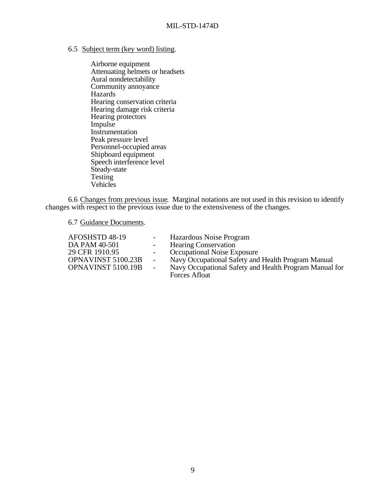#### 6.5 Subject term (key word) listing.

Airborne equipment Attenuating helmets or headsets Aural nondetectability Community annoyance Hazards Hearing conservation criteria Hearing damage risk criteria Hearing protectors Impulse **Instrumentation** Peak pressure level Personnel-occupied areas Shipboard equipment Speech interference level Steady-state Testing **Vehicles** 

6.6 Changes from previous issue. Marginal notations are not used in this revision to identify changes with respect to the previous issue due to the extensiveness of the changes.

6.7 Guidance Documents.

| AFOSHSTD 48-19            | $\sim$ 100 $\mu$         | Hazardous Noise Program                                |
|---------------------------|--------------------------|--------------------------------------------------------|
| DA PAM 40-501             |                          | <b>Hearing Conservation</b>                            |
| 29 CFR 1910.95            |                          | Occupational Noise Exposure                            |
| <b>OPNAVINST 5100.23B</b> | <b>Contract Contract</b> | Navy Occupational Safety and Health Program Manual     |
| <b>OPNAVINST 5100.19B</b> | <b>Contract Contract</b> | Navy Occupational Safety and Health Program Manual for |
|                           |                          | Forces Afloat                                          |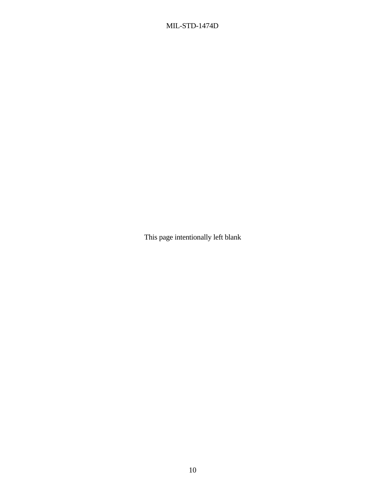This page intentionally left blank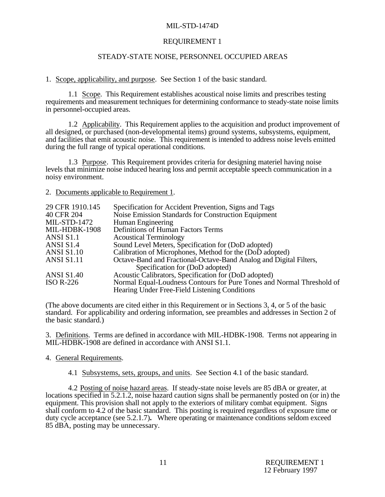#### REQUIREMENT 1

#### STEADY-STATE NOISE, PERSONNEL OCCUPIED AREAS

1. Scope, applicability, and purpose. See Section 1 of the basic standard.

1.1 Scope. This Requirement establishes acoustical noise limits and prescribes testing requirements and measurement techniques for determining conformance to steady-state noise limits in personnel-occupied areas.

1.2 Applicability. This Requirement applies to the acquisition and product improvement of all designed, or purchased (non-developmental items) ground systems, subsystems, equipment, and facilities that emit acoustic noise. This requirement is intended to address noise levels emitted during the full range of typical operational conditions.

1.3 Purpose. This Requirement provides criteria for designing materiel having noise levels that minimize noise induced hearing loss and permit acceptable speech communication in a noisy environment.

2. Documents applicable to Requirement 1.

| 29 CFR 1910.145<br>40 CFR 204 | Specification for Accident Prevention, Signs and Tags<br>Noise Emission Standards for Construction Equipment |
|-------------------------------|--------------------------------------------------------------------------------------------------------------|
| <b>MIL-STD-1472</b>           | Human Engineering                                                                                            |
| MIL-HDBK-1908                 | <b>Definitions of Human Factors Terms</b>                                                                    |
| ANSI S1.1                     | <b>Acoustical Terminology</b>                                                                                |
| ANSI S <sub>1.4</sub>         | Sound Level Meters, Specification for (DoD adopted)                                                          |
| <b>ANSI S1.10</b>             | Calibration of Microphones, Method for the (DoD adopted)                                                     |
| <b>ANSI S1.11</b>             | Octave-Band and Fractional-Octave-Band Analog and Digital Filters,                                           |
|                               | Specification for (DoD adopted)                                                                              |
| <b>ANSI S1.40</b>             | Acoustic Calibrators, Specification for (DoD adopted)                                                        |
| <b>ISO R-226</b>              | Normal Equal-Loudness Contours for Pure Tones and Normal Threshold of                                        |
|                               | Hearing Under Free-Field Listening Conditions                                                                |

(The above documents are cited either in this Requirement or in Sections 3, 4, or 5 of the basic standard. For applicability and ordering information, see preambles and addresses in Section 2 of the basic standard.)

3. Definitions. Terms are defined in accordance with MIL-HDBK-1908. Terms not appearing in MIL-HDBK-1908 are defined in accordance with ANSI S1.1.

4. General Requirements.

4.1 Subsystems, sets, groups, and units. See Section 4.1 of the basic standard.

4.2 Posting of noise hazard areas. If steady-state noise levels are 85 dBA or greater, at locations specified in 5.2.1.2, noise hazard caution signs shall be permanently posted on (or in) the equipment. This provision shall not apply to the exteriors of military combat equipment. Signs shall conform to 4.2 of the basic standard. This posting is required regardless of exposure time or duty cycle acceptance (see 5.2.1.7)**.** Where operating or maintenance conditions seldom exceed 85 dBA, posting may be unnecessary.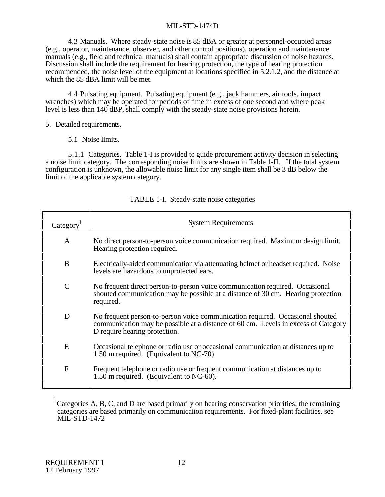4.3 Manuals. Where steady-state noise is 85 dBA or greater at personnel-occupied areas (e.g., operator, maintenance, observer, and other control positions), operation and maintenance manuals (e.g., field and technical manuals) shall contain appropriate discussion of noise hazards. Discussion shall include the requirement for hearing protection, the type of hearing protection recommended, the noise level of the equipment at locations specified in 5.2.1.2, and the distance at which the 85 dBA limit will be met.

4.4 Pulsating equipment. Pulsating equipment (e.g., jack hammers, air tools, impact wrenches) which may be operated for periods of time in excess of one second and where peak level is less than 140 dBP, shall comply with the steady-state noise provisions herein.

#### 5. Detailed requirements.

5.1 Noise limits.

5.1.1 Categories. Table 1-I is provided to guide procurement activity decision in selecting a noise limit category. The corresponding noise limits are shown in Table 1-II. If the total system configuration is unknown, the allowable noise limit for any single item shall be 3 dB below the limit of the applicable system category.

| Category <sup>1</sup> | <b>System Requirements</b>                                                                                                                                                                           |
|-----------------------|------------------------------------------------------------------------------------------------------------------------------------------------------------------------------------------------------|
| A                     | No direct person-to-person voice communication required. Maximum design limit.<br>Hearing protection required.                                                                                       |
| B                     | Electrically-aided communication via attenuating helmet or headset required. Noise<br>levels are hazardous to unprotected ears.                                                                      |
| $\mathcal{C}$         | No frequent direct person-to-person voice communication required. Occasional<br>shouted communication may be possible at a distance of 30 cm. Hearing protection<br>required.                        |
| D                     | No frequent person-to-person voice communication required. Occasional shouted<br>communication may be possible at a distance of 60 cm. Levels in excess of Category<br>D require hearing protection. |
| E                     | Occasional telephone or radio use or occasional communication at distances up to<br>1.50 m required. (Equivalent to NC-70)                                                                           |
| $\overline{F}$        | Frequent telephone or radio use or frequent communication at distances up to<br>1.50 m required. (Equivalent to NC-60).                                                                              |

| TABLE 1-I. Steady-state noise categories |  |  |  |
|------------------------------------------|--|--|--|
|                                          |  |  |  |

<sup>1</sup> Categories A, B, C, and D are based primarily on hearing conservation priorities; the remaining categories are based primarily on communication requirements. For fixed-plant facilities, see MIL-STD-1472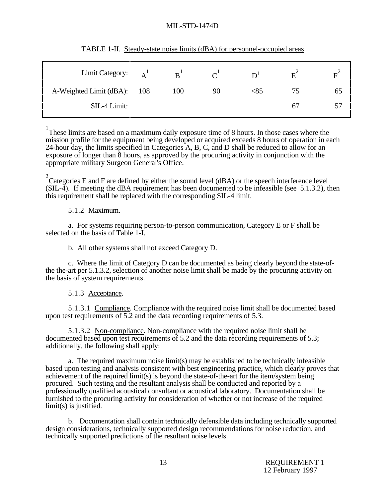| Limit Category: $A^1$       | $R^{\perp}$ |    | D <sup>1</sup> | $E^2$ | $F^2$ |
|-----------------------------|-------------|----|----------------|-------|-------|
| A-Weighted Limit (dBA): 108 | 100         | 90 | < 85           | 75    | 65    |
| SIL-4 Limit:                |             |    |                | 67    |       |
|                             |             |    |                |       |       |

TABLE 1-II. Steady-state noise limits (dBA) for personnel-occupied areas

<sup>1</sup>These limits are based on a maximum daily exposure time of 8 hours. In those cases where the mission profile for the equipment being developed or acquired exceeds 8 hours of operation in each 24-hour day, the limits specified in Categories A, B, C, and D shall be reduced to allow for an exposure of longer than 8 hours, as approved by the procuring activity in conjunction with the appropriate military Surgeon General's Office.

<sup>2</sup> Categories E and F are defined by either the sound level (dBA) or the speech interference level  $(SIL-4)$ . If meeting the dBA requirement has been documented to be infeasible (see 5.1.3.2), then this requirement shall be replaced with the corresponding SIL-4 limit.

#### 5.1.2 Maximum.

a. For systems requiring person-to-person communication, Category E or F shall be selected on the basis of Table 1-I.

b. All other systems shall not exceed Category D.

c. Where the limit of Category D can be documented as being clearly beyond the state-ofthe the-art per 5.1.3.2, selection of another noise limit shall be made by the procuring activity on the basis of system requirements.

#### 5.1.3 Acceptance.

5.1.3.1 Compliance. Compliance with the required noise limit shall be documented based upon test requirements of 5.2 and the data recording requirements of 5.3.

5.1.3.2 Non-compliance. Non-compliance with the required noise limit shall be documented based upon test requirements of 5.2 and the data recording requirements of 5.3; additionally, the following shall apply:

a. The required maximum noise limit(s) may be established to be technically infeasible based upon testing and analysis consistent with best engineering practice, which clearly proves that achievement of the required limit(s) is beyond the state-of-the-art for the item/system being procured. Such testing and the resultant analysis shall be conducted and reported by a professionally qualified acoustical consultant or acoustical laboratory. Documentation shall be furnished to the procuring activity for consideration of whether or not increase of the required limit(s) is justified.

b. Documentation shall contain technically defensible data including technically supported design considerations, technically supported design recommendations for noise reduction, and technically supported predictions of the resultant noise levels.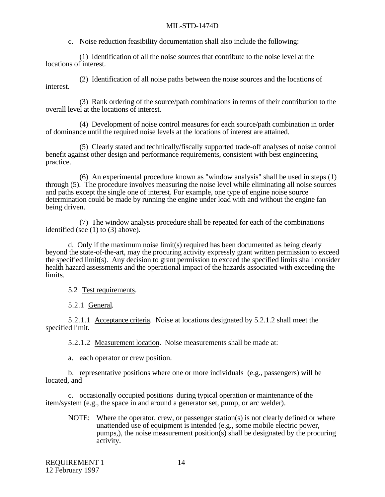c. Noise reduction feasibility documentation shall also include the following:

(1) Identification of all the noise sources that contribute to the noise level at the locations of interest.

(2) Identification of all noise paths between the noise sources and the locations of interest.

(3) Rank ordering of the source/path combinations in terms of their contribution to the overall level at the locations of interest.

(4) Development of noise control measures for each source/path combination in order of dominance until the required noise levels at the locations of interest are attained.

(5) Clearly stated and technically/fiscally supported trade-off analyses of noise control benefit against other design and performance requirements, consistent with best engineering practice.

(6) An experimental procedure known as "window analysis" shall be used in steps (1) through (5). The procedure involves measuring the noise level while eliminating all noise sources and paths except the single one of interest. For example, one type of engine noise source determination could be made by running the engine under load with and without the engine fan being driven.

(7) The window analysis procedure shall be repeated for each of the combinations identified (see (1) to (3) above).

d. Only if the maximum noise limit(s) required has been documented as being clearly beyond the state-of-the-art, may the procuring activity expressly grant written permission to exceed the specified limit(s). Any decision to grant permission to exceed the specified limits shall consider health hazard assessments and the operational impact of the hazards associated with exceeding the limits.

5.2 Test requirements.

5.2.1 General.

5.2.1.1 Acceptance criteria. Noise at locations designated by 5.2.1.2 shall meet the specified limit.

5.2.1.2 Measurement location. Noise measurements shall be made at:

a. each operator or crew position.

b. representative positions where one or more individuals (e.g., passengers) will be located, and

c. occasionally occupied positions during typical operation or maintenance of the item/system (e.g., the space in and around a generator set, pump, or arc welder).

NOTE: Where the operator, crew, or passenger station(s) is not clearly defined or where unattended use of equipment is intended (e.g., some mobile electric power, pumps,), the noise measurement position(s) shall be designated by the procuring activity.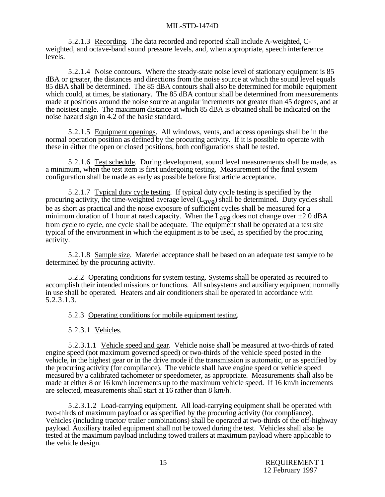5.2.1.3 Recording. The data recorded and reported shall include A-weighted, Cweighted, and octave-band sound pressure levels, and, when appropriate, speech interference levels.

5.2.1.4 Noise contours. Where the steady-state noise level of stationary equipment is 85 dBA or greater, the distances and directions from the noise source at which the sound level equals 85 dBA shall be determined. The 85 dBA contours shall also be determined for mobile equipment which could, at times, be stationary. The 85 dBA contour shall be determined from measurements made at positions around the noise source at angular increments not greater than 45 degrees, and at the noisiest angle. The maximum distance at which 85 dBA is obtained shall be indicated on the noise hazard sign in 4.2 of the basic standard.

5.2.1.5 Equipment openings. All windows, vents, and access openings shall be in the normal operation position as defined by the procuring activity. If it is possible to operate with these in either the open or closed positions, both configurations shall be tested.

5.2.1.6 Test schedule. During development, sound level measurements shall be made, as a minimum, when the test item is first undergoing testing. Measurement of the final system configuration shall be made as early as possible before first article acceptance.

5.2.1.7 Typical duty cycle testing. If typical duty cycle testing is specified by the procuring activity, the time-weighted average level  $(L_{AVQ})$  shall be determined. Duty cycles shall be as short as practical and the noise exposure of sufficient cycles shall be measured for a minimum duration of 1 hour at rated capacity. When the  $L_{avg}$  does not change over  $\pm 2.0$  dBA from cycle to cycle, one cycle shall be adequate. The equipment shall be operated at a test site typical of the environment in which the equipment is to be used, as specified by the procuring activity.

5.2.1.8 Sample size. Materiel acceptance shall be based on an adequate test sample to be determined by the procuring activity.

5.2.2 Operating conditions for system testing. Systems shall be operated as required to accomplish their intended missions or functions. All subsystems and auxiliary equipment normally in use shall be operated. Heaters and air conditioners shall be operated in accordance with 5.2.3.1.3.

5.2.3 Operating conditions for mobile equipment testing.

#### 5.2.3.1 Vehicles.

5.2.3.1.1 Vehicle speed and gear. Vehicle noise shall be measured at two-thirds of rated engine speed (not maximum governed speed) or two-thirds of the vehicle speed posted in the vehicle, in the highest gear or in the drive mode if the transmission is automatic, or as specified by the procuring activity (for compliance). The vehicle shall have engine speed or vehicle speed measured by a calibrated tachometer or speedometer, as appropriate. Measurements shall also be made at either 8 or 16 km/h increments up to the maximum vehicle speed. If 16 km/h increments are selected, measurements shall start at 16 rather than 8 km/h.

5.2.3.1.2 Load-carrying equipment. All load-carrying equipment shall be operated with two-thirds of maximum payload or as specified by the procuring activity (for compliance). Vehicles (including tractor/ trailer combinations) shall be operated at two-thirds of the off-highway payload. Auxiliary trailed equipment shall not be towed during the test. Vehicles shall also be tested at the maximum payload including towed trailers at maximum payload where applicable to the vehicle design.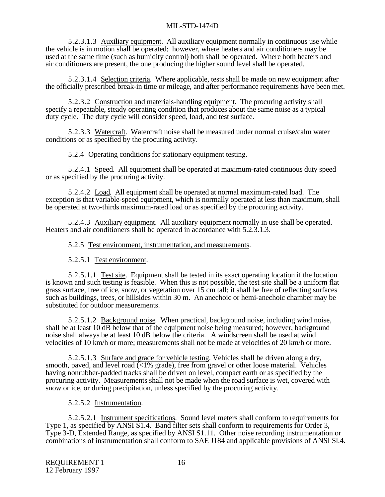5.2.3.1.3 Auxiliary equipment. All auxiliary equipment normally in continuous use while the vehicle is in motion shall be operated; however, where heaters and air conditioners may be used at the same time (such as humidity control) both shall be operated. Where both heaters and air conditioners are present, the one producing the higher sound level shall be operated.

5.2.3.1.4 Selection criteria. Where applicable, tests shall be made on new equipment after the officially prescribed break-in time or mileage, and after performance requirements have been met.

5.2.3.2 Construction and materials-handling equipment. The procuring activity shall specify a repeatable, steady operating condition that produces about the same noise as a typical duty cycle. The duty cycle will consider speed, load, and test surface.

5.2.3.3 Watercraft. Watercraft noise shall be measured under normal cruise/calm water conditions or as specified by the procuring activity.

#### 5.2.4 Operating conditions for stationary equipment testing.

5.2.4.1 Speed. All equipment shall be operated at maximum-rated continuous duty speed or as specified by the procuring activity.

5.2.4.2 Load. All equipment shall be operated at normal maximum-rated load. The exception is that variable-speed equipment, which is normally operated at less than maximum, shall be operated at two-thirds maximum-rated load or as specified by the procuring activity.

5.2.4.3 Auxiliary equipment. All auxiliary equipment normally in use shall be operated. Heaters and air conditioners shall be operated in accordance with 5.2.3.1.3.

#### 5.2.5 Test environment, instrumentation, and measurements.

#### 5.2.5.1 Test environment.

5.2.5.1.1 Test site. Equipment shall be tested in its exact operating location if the location is known and such testing is feasible. When this is not possible, the test site shall be a uniform flat grass surface, free of ice, snow, or vegetation over 15 cm tall; it shall be free of reflecting surfaces such as buildings, trees, or hillsides within 30 m. An anechoic or hemi-anechoic chamber may be substituted for outdoor measurements.

5.2.5.1.2 Background noise. When practical, background noise, including wind noise, shall be at least 10 dB below that of the equipment noise being measured; however, background noise shall always be at least 10 dB below the criteria.A windscreen shall be used at wind velocities of 10 km/h or more; measurements shall not be made at velocities of 20 km/h or more.

5.2.5.1.3 Surface and grade for vehicle testing. Vehicles shall be driven along a dry, smooth, paved, and level road  $\left(\langle 1\% \rangle\right)$  grade), free from gravel or other loose material. Vehicles having nonrubber-padded tracks shall be driven on level, compact earth or as specified by the procuring activity. Measurements shall not be made when the road surface is wet, covered with snow or ice, or during precipitation, unless specified by the procuring activity.

#### 5.2.5.2 Instrumentation.

5.2.5.2.1 Instrument specifications. Sound level meters shall conform to requirements for Type 1, as specified by ANSI  $\overline{S1.4}$ . Band filter sets shall conform to requirements for Order 3, Type 3-D, Extended Range, as specified by ANSI S1.11. Other noise recording instrumentation or combinations of instrumentation shall conform to SAE J184 and applicable provisions of ANSI Sl.4.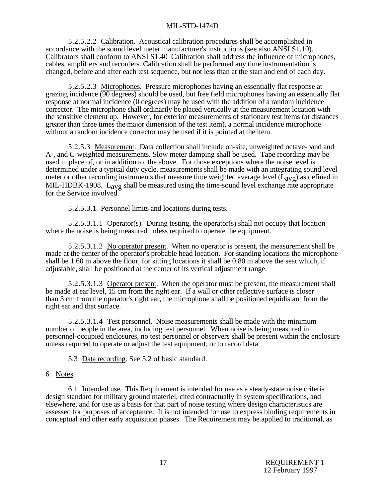5.2.5.2.2 Calibration. Acoustical calibration procedures shall be accomplished in accordance with the sound level meter manufacturer's instructions (see also ANSI S1.10). Calibrators shall conform to ANSI S1.40 Calibration shall address the influence of microphones, cables, amplifiers and recorders. Calibration shall be performed any time instrumentation is changed, before and after each test sequence, but not less than at the start and end of each day.

5.2.5.2.3 Microphones. Pressure microphones having an essentially flat response at grazing incidence (90 degrees) should be used, but free field microphones having an essentially flat response at normal incidence (0 degrees) may be used with the addition of a random incidence corrector. The microphone shall ordinarily be placed vertically at the measurement location with the sensitive element up. However, for exterior measurements of stationary test items (at distances greater than three times the major dimension of the test item), a normal incidence microphone without a random incidence corrector may be used if it is pointed at the item.

5.2.5.3 Measurement. Data collection shall include on-site, unweighted octave-band and A-, and C-weighted measurements. Slow meter damping shall be used. Tape recording may be used in place of, or in addition to, the above. For those exceptions where the noise level is determined under a typical duty cycle, measurements shall be made with an integrating sound level meter or other recording instruments that measure time weighted average level  $(L_{AVg})$  as defined in MIL-HDBK-1908. L<sub>avg</sub> shall be measured using the time-sound level exchange rate appropriate for the Service involved.

#### 5.2.5.3.1 Personnel limits and locations during tests.

5.2.5.3.1.1 Operator(s). During testing, the operator(s) shall not occupy that location where the noise is being measured unless required to operate the equipment.

5.2.5.3.1.2 No operator present. When no operator is present, the measurement shall be made at the center of the operator's probable head location. For standing locations the microphone shall be 1.60 m above the floor, for sitting locations it shall be 0.80 m above the seat which, if adjustable, shall be positioned at the center of its vertical adjustment range.

5.2.5.3.1.3 Operator present. When the operator must be present, the measurement shall be made at ear level, 15 cm from the right ear. If a wall or other reflective surface is closer than 3 cm from the operator's right ear, the microphone shall be positioned equidistant from the right ear and that surface.

5.2.5.3.1.4 Test personnel. Noise measurements shall be made with the minimum number of people in the area, including test personnel. When noise is being measured in personnel-occupied enclosures, no test personnel or observers shall be present within the enclosure unless required to operate or adjust the test equipment, or to record data.

5.3 Data recording. See 5.2 of basic standard.

#### 6. Notes.

6.1 Intended use. This Requirement is intended for use as a steady-state noise criteria design standard for military ground materiel, cited contractually in system specifications, and elsewhere, and for use as a basis for that part of noise testing where design characteristics are assessed for purposes of acceptance. It is not intended for use to express binding requirements in conceptual and other early acquisition phases. The Requirement may be applied to traditional, as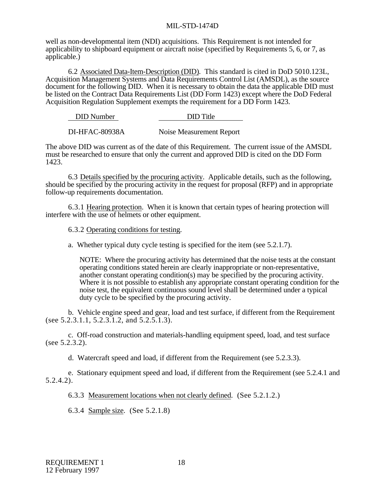well as non-developmental item (NDI) acquisitions. This Requirement is not intended for applicability to shipboard equipment or aircraft noise (specified by Requirements 5, 6, or 7, as applicable.)

6.2 Associated Data-Item-Description (DID). This standard is cited in DoD 5010.123L, Acquisition Management Systems and Data Requirements Control List (AMSDL), as the source document for the following DID. When it is necessary to obtain the data the applicable DID must be listed on the Contract Data Requirements List (DD Form 1423) except where the DoD Federal Acquisition Regulation Supplement exempts the requirement for a DD Form 1423.

DID Number DID Title

DI-HFAC-80938A Noise Measurement Report

The above DID was current as of the date of this Requirement. The current issue of the AMSDL must be researched to ensure that only the current and approved DID is cited on the DD Form 1423.

6.3 Details specified by the procuring activity. Applicable details, such as the following, should be specified by the procuring activity in the request for proposal (RFP) and in appropriate follow-up requirements documentation.

6.3.1 Hearing protection. When it is known that certain types of hearing protection will interfere with the use of helmets or other equipment.

6.3.2 Operating conditions for testing.

a. Whether typical duty cycle testing is specified for the item (see 5.2.1.7).

NOTE: Where the procuring activity has determined that the noise tests at the constant operating conditions stated herein are clearly inappropriate or non-representative, another constant operating condition(s) may be specified by the procuring activity. Where it is not possible to establish any appropriate constant operating condition for the noise test, the equivalent continuous sound level shall be determined under a typical duty cycle to be specified by the procuring activity.

b. Vehicle engine speed and gear, load and test surface, if different from the Requirement (see 5.2.3.1.1, 5.2.3.1.2, and 5.2.5.1.3).

c. Off-road construction and materials-handling equipment speed, load, and test surface (see 5.2.3.2).

d. Watercraft speed and load, if different from the Requirement (see 5.2.3.3).

e. Stationary equipment speed and load, if different from the Requirement (see 5.2.4.1 and 5.2.4.2).

6.3.3 Measurement locations when not clearly defined. (See 5.2.1.2.)

6.3.4 Sample size. (See 5.2.1.8)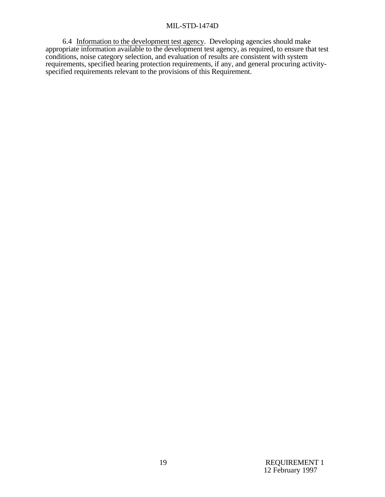6.4 Information to the development test agency. Developing agencies should make appropriate information available to the development test agency, as required, to ensure that test conditions, noise category selection, and evaluation of results are consistent with system requirements, specified hearing protection requirements, if any, and general procuring activityspecified requirements relevant to the provisions of this Requirement.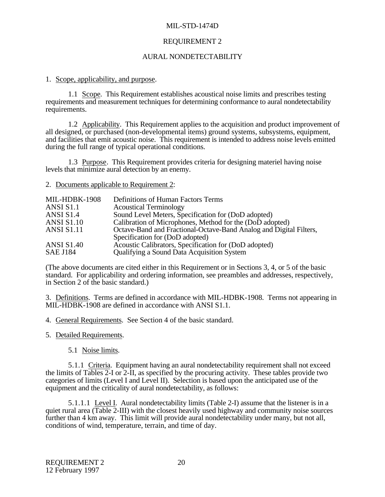#### REQUIREMENT 2

#### AURAL NONDETECTABILITY

#### 1. Scope, applicability, and purpose.

1.1 Scope. This Requirement establishes acoustical noise limits and prescribes testing requirements and measurement techniques for determining conformance to aural nondetectability requirements.

1.2 Applicability. This Requirement applies to the acquisition and product improvement of all designed, or purchased (non-developmental items) ground systems, subsystems, equipment, and facilities that emit acoustic noise. This requirement is intended to address noise levels emitted during the full range of typical operational conditions.

1.3 Purpose. This Requirement provides criteria for designing materiel having noise levels that minimize aural detection by an enemy.

2. Documents applicable to Requirement 2:

| MIL-HDBK-1908         | Definitions of Human Factors Terms                                 |
|-----------------------|--------------------------------------------------------------------|
| ANSI S1.1             | <b>Acoustical Terminology</b>                                      |
| ANSI S <sub>1.4</sub> | Sound Level Meters, Specification for (DoD adopted)                |
| <b>ANSI S1.10</b>     | Calibration of Microphones, Method for the (DoD adopted)           |
| <b>ANSI S1.11</b>     | Octave-Band and Fractional-Octave-Band Analog and Digital Filters, |
|                       | Specification for (DoD adopted)                                    |
| <b>ANSI S1.40</b>     | Acoustic Calibrators, Specification for (DoD adopted)              |
| <b>SAE J184</b>       | Qualifying a Sound Data Acquisition System                         |

(The above documents are cited either in this Requirement or in Sections 3, 4, or 5 of the basic standard. For applicability and ordering information, see preambles and addresses, respectively, in Section 2 of the basic standard.)

3. Definitions. Terms are defined in accordance with MIL-HDBK-1908. Terms not appearing in MIL-HDBK-1908 are defined in accordance with ANSI S1.1.

- 4. General Requirements. See Section 4 of the basic standard.
- 5. Detailed Requirements.
	- 5.1 Noise limits.

5.1.1 Criteria. Equipment having an aural nondetectability requirement shall not exceed the limits of Tables  $2$ -I or  $2$ -II, as specified by the procuring activity. These tables provide two categories of limits (Level I and Level II). Selection is based upon the anticipated use of the equipment and the criticality of aural nondetectability, as follows:

5.1.1.1 Level I. Aural nondetectability limits (Table 2-I) assume that the listener is in a quiet rural area (Table 2-III) with the closest heavily used highway and community noise sources further than 4 km away. This limit will provide aural nondetectability under many, but not all, conditions of wind, temperature, terrain, and time of day.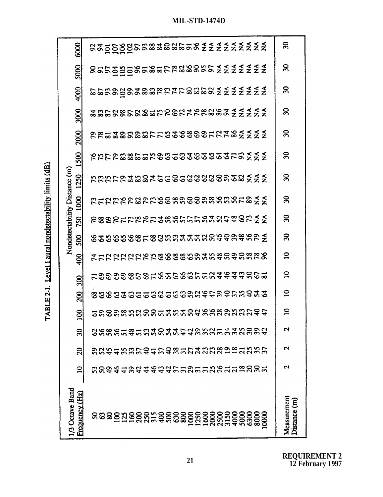TABLE 2-I. Level I aural nondetectability limits (dB)

| 6000                                  |  | 835588588388858222222222            |  |  |  |  |  |  |  |  |  |  |  | ႙                           |
|---------------------------------------|--|-------------------------------------|--|--|--|--|--|--|--|--|--|--|--|-----------------------------|
| 5000                                  |  | 8553958585FR888885zzzzzzz           |  |  |  |  |  |  |  |  |  |  |  | ౭                           |
| 4000                                  |  | SSSS SSXSSRFFFSSSS ZZZZZZ           |  |  |  |  |  |  |  |  |  |  |  | ႙                           |
| 3000                                  |  |                                     |  |  |  |  |  |  |  |  |  |  |  | ຂ                           |
| 2000                                  |  |                                     |  |  |  |  |  |  |  |  |  |  |  | ႙                           |
| 500                                   |  | FFFFSSSSEPSGGGGSSSSSFFSSS           |  |  |  |  |  |  |  |  |  |  |  | $\mathbf{S}$                |
| Nondetectability Distance (m)<br>1250 |  | FFFFF\$\$8\$F6586888885\$822        |  |  |  |  |  |  |  |  |  |  |  | ႙                           |
| 1000                                  |  | FFRFFF8FF8888888888885F82Z          |  |  |  |  |  |  |  |  |  |  |  | ႙                           |
| 750                                   |  | P88PFFRRFT88855588887988F22         |  |  |  |  |  |  |  |  |  |  |  | ຂ                           |
| ຣິ                                    |  | <b>STSSSSSFSSHHTTTSSFSSSSFT</b>     |  |  |  |  |  |  |  |  |  |  |  | $\mathbf{S}$                |
| $\frac{8}{3}$                         |  |                                     |  |  |  |  |  |  |  |  |  |  |  | $\mathbf{a}$                |
| <b>SOC</b>                            |  | 1388888581826885554444565           |  |  |  |  |  |  |  |  |  |  |  | $\mathbf{a}$                |
| 80 <sup>2</sup>                       |  | 8888335558858888458958848           |  |  |  |  |  |  |  |  |  |  |  | $\mathbf{r}$                |
| $\overline{100}$                      |  | <b>688888886553888988888859</b>     |  |  |  |  |  |  |  |  |  |  |  | 0                           |
| 30                                    |  | condo de condo de condo de condo de |  |  |  |  |  |  |  |  |  |  |  | N                           |
| $\Omega$                              |  | <b>のなおれをおかわれかねるまひななななりほれなおなから</b>   |  |  |  |  |  |  |  |  |  |  |  | N                           |
| $\mathbf{u}$                          |  | 55884488448985585588558885          |  |  |  |  |  |  |  |  |  |  |  | N                           |
| 1/3 Octave Band<br>Frequency (Hz)     |  |                                     |  |  |  |  |  |  |  |  |  |  |  | Measurement<br>Distance (m) |

**MIL-STD-1474D**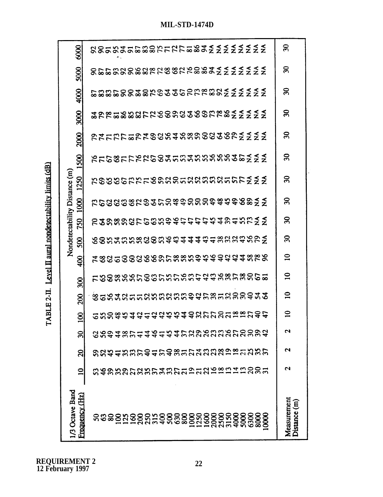TABLE 2-II. Level II aural nondetectability limits (dB)

| 6000                                  |                               | 2858255888552528825222222                |  |  |  |  |  |  |  |  |                                                           |  |  |              |                              | $\mathbf{S}$                |
|---------------------------------------|-------------------------------|------------------------------------------|--|--|--|--|--|--|--|--|-----------------------------------------------------------|--|--|--------------|------------------------------|-----------------------------|
| 5000                                  |                               | S&&&&&&&&&&&&&&&&&&&&&                   |  |  |  |  |  |  |  |  |                                                           |  |  |              |                              | ႙                           |
| 4000                                  |                               | <b>PREPS PARAGE CONSPORTS PREPSESS</b>   |  |  |  |  |  |  |  |  |                                                           |  |  |              |                              | ႙                           |
| 3000                                  |                               | *************************                |  |  |  |  |  |  |  |  |                                                           |  |  |              |                              | $\mathbf{E}$                |
| 2000                                  |                               | PILLL292888488888888P5222                |  |  |  |  |  |  |  |  |                                                           |  |  |              |                              | $\boldsymbol{\mathcal{S}}$  |
| 500                                   |                               | FL28LLFG222222222222272                  |  |  |  |  |  |  |  |  |                                                           |  |  |              |                              | ႙                           |
| Nondetectability Distance (m)<br>1250 |                               | <b>K88865FFF8888558858855FF18</b>        |  |  |  |  |  |  |  |  |                                                           |  |  |              |                              | ສ                           |
| 1000                                  |                               | F28888682558\$\$\$\$\$\$\$\$\$\$\$\$\$\$ |  |  |  |  |  |  |  |  |                                                           |  |  |              |                              | ສ                           |
| 750                                   |                               | SZSSSSFGGSSSTFFFSTSSTSPSZ                |  |  |  |  |  |  |  |  |                                                           |  |  |              |                              | ႙                           |
| S <sub>0</sub>                        |                               |                                          |  |  |  |  |  |  |  |  | <b>S8XXXXXSS6XXXXXXXXXXXXXXX</b>                          |  |  |              |                              | ႙                           |
|                                       | $\mathsf{3}$                  |                                          |  |  |  |  |  |  |  |  | ***********************                                   |  |  |              |                              | $\overline{a}$              |
|                                       | 300                           |                                          |  |  |  |  |  |  |  |  | 50088865005868584488588568                                |  |  |              |                              | $\overline{10}$             |
|                                       | 200                           |                                          |  |  |  |  |  |  |  |  |                                                           |  |  |              | <b>֎֎</b> ֍֎֎ՠ֎֎֎֎֎֎֎֎֎֎֎֎֎֎ | $\mathbf{a}$                |
|                                       | 8<br>$\overline{\phantom{0}}$ |                                          |  |  |  |  |  |  |  |  | <b>QXQ�%XXQQ#AXQQ</b>                                     |  |  |              |                              | $\mathbf{r}$                |
|                                       | $\mathfrak{D}$                |                                          |  |  |  |  |  |  |  |  | 88\$\$\$\$F\$\$\$\$\$\$\$\$\$\$\$\$\$\$\$\$\$\$\$         |  |  |              |                              | N                           |
|                                       | $\mathbf{S}$                  |                                          |  |  |  |  |  |  |  |  | <b>ชิผูสิธิ</b> หนัยธิธิธลิติธลิตรีส์ ซึ่งสอธิธลิ สี      |  |  |              |                              | N                           |
|                                       | $\mathbf{a}$                  |                                          |  |  |  |  |  |  |  |  | <b>SABBSSERSFRESTERSERFFERSE</b>                          |  |  |              |                              | N                           |
| 1/3 Octave Band                       | Frequency (Hz)                |                                          |  |  |  |  |  |  |  |  | <u>៷៰៙ៜ៷៑ៜៜ៷៓៹ៜៜៜៜៜៜៜៜៜៜៜ</u><br>៷៰៙ៜឨ៷៓ៜៜ៷៓៓៓ៜៜៜៜៜៜៜៜៜៜៜ |  |  | 6300<br>8000 | 800                          | Measurement<br>Distance (m) |

**MIL-STD-1474D**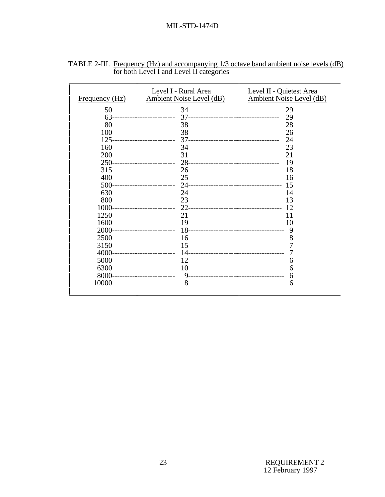| Frequency (Hz) | Level I - Rural Area<br>Ambient Noise Level (dB) | Level II - Quietest Area<br>Ambient Noise Level (dB) |
|----------------|--------------------------------------------------|------------------------------------------------------|
| 50             | 34                                               | 29                                                   |
| $63-$          | _________________________                        | 29                                                   |
| 80             | 38                                               | 28                                                   |
| 100            | 38                                               | 26                                                   |
| $125 -$        | ---------------------                            | 24                                                   |
|                |                                                  |                                                      |
| 160            | 34                                               | 23                                                   |
| 200            | 31                                               | 21                                                   |
| $250 -$        | ------------------------ 28-                     | 19<br>----------------------------------             |
| 315            | 26                                               | 18                                                   |
| 400            | 25                                               | 16                                                   |
| $500 -$        |                                                  | 15<br>----------------------------------             |
| 630            | 24                                               | 14                                                   |
| 800            | 23                                               | 13                                                   |
| 1000-          |                                                  | <sup>12</sup>                                        |
| 1250           | 21                                               | 11                                                   |
| 1600           | 19                                               | 10                                                   |
| $2000 -$       |                                                  | 9<br>-------------------------------------           |
| 2500           | 16                                               | 8                                                    |
| 3150           | 15                                               | 7                                                    |
| 4000-          |                                                  | 7<br>----------------------------------              |
| 5000           | 12                                               | 6                                                    |
| 6300           | 10                                               | 6                                                    |
| 8000           | $9-$<br>---------------------                    | 6<br>-------------------------------------           |
| 10000          | 8                                                | 6                                                    |
|                |                                                  |                                                      |
|                |                                                  |                                                      |

#### TABLE 2-III. Frequency (Hz) and accompanying 1/3 octave band ambient noise levels (dB) for both Level I and Level II categories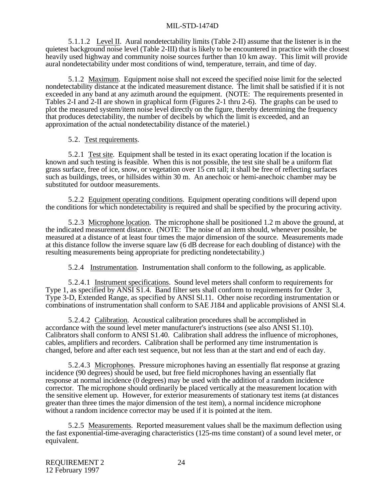5.1.1.2 Level II. Aural nondetectability limits (Table 2-II) assume that the listener is in the quietest background noise level (Table 2-III) that is likely to be encountered in practice with the closest heavily used highway and community noise sources further than 10 km away. This limit will provide aural nondetectability under most conditions of wind, temperature, terrain, and time of day.

5.1.2 Maximum. Equipment noise shall not exceed the specified noise limit for the selected nondetectability distance at the indicated measurement distance. The limit shall be satisfied if it is not exceeded in any band at any azimuth around the equipment. (NOTE: The requirements presented in Tables 2-I and 2-II are shown in graphical form (Figures 2-1 thru 2-6). The graphs can be used to plot the measured system/item noise level directly on the figure, thereby determining the frequency that produces detectability, the number of decibels by which the limit is exceeded, and an approximation of the actual nondetectability distance of the materiel.)

#### 5.2. Test requirements.

5.2.1 Test site. Equipment shall be tested in its exact operating location if the location is known and such testing is feasible. When this is not possible, the test site shall be a uniform flat grass surface, free of ice, snow, or vegetation over  $15 \text{ cm}$  tall; it shall be free of reflecting surfaces such as buildings, trees, or hillsides within 30 m. An anechoic or hemi-anechoic chamber may be substituted for outdoor measurements.

5.2.2 Equipment operating conditions. Equipment operating conditions will depend upon the conditions for which nondetectability is required and shall be specified by the procuring activity.

5.2.3 Microphone location. The microphone shall be positioned 1.2 m above the ground, at the indicated measurement distance. (NOTE: The noise of an item should, whenever possible, be measured at a distance of at least four times the major dimension of the source. Measurements made at this distance follow the inverse square law (6 dB decrease for each doubling of distance) with the resulting measurements being appropriate for predicting nondetectability.)

5.2.4 Instrumentation. Instrumentation shall conform to the following, as applicable.

5.2.4.1 Instrument specifications. Sound level meters shall conform to requirements for Type 1, as specified by ANSI S1.4. Band filter sets shall conform to requirements for Order 3, Type 3-D, Extended Range, as specified by ANSI Sl.11. Other noise recording instrumentation or combinations of instrumentation shall conform to SAE J184 and applicable provisions of ANSI Sl.4.

5.2.4.2 Calibration. Acoustical calibration procedures shall be accomplished in accordance with the sound level meter manufacturer's instructions (see also ANSI S1.10). Calibrators shall conform to ANSI S1.40. Calibration shall address the influence of microphones, cables, amplifiers and recorders. Calibration shall be performed any time instrumentation is changed, before and after each test sequence, but not less than at the start and end of each day.

5.2.4.3 Microphones. Pressure microphones having an essentially flat response at grazing incidence (90 degrees) should be used, but free field microphones having an essentially flat response at normal incidence (0 degrees) may be used with the addition of a random incidence corrector. The microphone should ordinarily be placed vertically at the measurement location with the sensitive element up. However, for exterior measurements of stationary test items (at distances greater than three times the major dimension of the test item), a normal incidence microphone without a random incidence corrector may be used if it is pointed at the item.

5.2.5 Measurements. Reported measurement values shall be the maximum deflection using the fast exponential-time-averaging characteristics (125-ms time constant) of a sound level meter, or equivalent.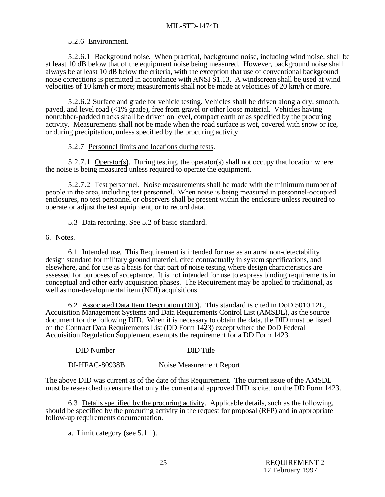#### 5.2.6 Environment.

5.2.6.1 Background noise. When practical, background noise, including wind noise, shall be at least 10 dB below that of the equipment noise being measured. However, background noise shall always be at least 10 dB below the criteria, with the exception that use of conventional background noise corrections is permitted in accordance with ANSI S1.13. A windscreen shall be used at wind velocities of 10 km/h or more; measurements shall not be made at velocities of 20 km/h or more.

5.2.6.2 Surface and grade for vehicle testing. Vehicles shall be driven along a dry, smooth, paved, and level road (<1% grade), free from gravel or other loose material. Vehicles having nonrubber-padded tracks shall be driven on level, compact earth or as specified by the procuring activity. Measurements shall not be made when the road surface is wet, covered with snow or ice, or during precipitation, unless specified by the procuring activity.

#### 5.2.7 Personnel limits and locations during tests.

5.2.7.1 Operator(s). During testing, the operator(s) shall not occupy that location where the noise is being measured unless required to operate the equipment.

5.2.7.2 Test personnel. Noise measurements shall be made with the minimum number of people in the area, including test personnel. When noise is being measured in personnel-occupied enclosures, no test personnel or observers shall be present within the enclosure unless required to operate or adjust the test equipment, or to record data.

5.3 Data recording. See 5.2 of basic standard.

6. Notes.

6.1 Intended use. This Requirement is intended for use as an aural non-detectability design standard for military ground materiel, cited contractually in system specifications, and elsewhere, and for use as a basis for that part of noise testing where design characteristics are assessed for purposes of acceptance. It is not intended for use to express binding requirements in conceptual and other early acquisition phases. The Requirement may be applied to traditional, as well as non-developmental item (NDI) acquisitions.

6.2 Associated Data Item Description (DID). This standard is cited in DoD 5010.12L, Acquisition Management Systems and Data Requirements Control List (AMSDL), as the source document for the following DID. When it is necessary to obtain the data, the DID must be listed on the Contract Data Requirements List (DD Form 1423) except where the DoD Federal Acquisition Regulation Supplement exempts the requirement for a DD Form 1423.

 DID Number DID Title DI-HFAC-80938B Noise Measurement Report

The above DID was current as of the date of this Requirement. The current issue of the AMSDL must be researched to ensure that only the current and approved DID is cited on the DD Form 1423.

6.3 Details specified by the procuring activity. Applicable details, such as the following, should be specified by the procuring activity in the request for proposal (RFP) and in appropriate follow-up requirements documentation.

a. Limit category (see 5.1.1).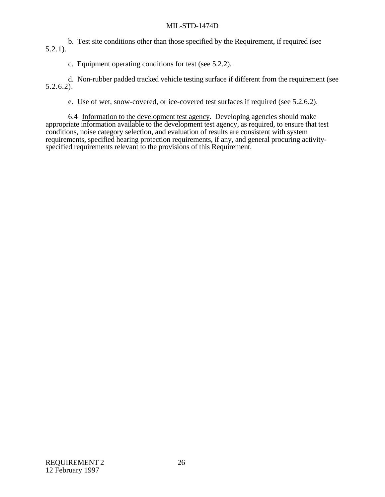b. Test site conditions other than those specified by the Requirement, if required (see 5.2.1).

c. Equipment operating conditions for test (see 5.2.2).

d. Non-rubber padded tracked vehicle testing surface if different from the requirement (see 5.2.6.2).

e. Use of wet, snow-covered, or ice-covered test surfaces if required (see 5.2.6.2).

6.4 Information to the development test agency. Developing agencies should make appropriate information available to the development test agency, as required, to ensure that test conditions, noise category selection, and evaluation of results are consistent with system requirements, specified hearing protection requirements, if any, and general procuring activityspecified requirements relevant to the provisions of this Requirement.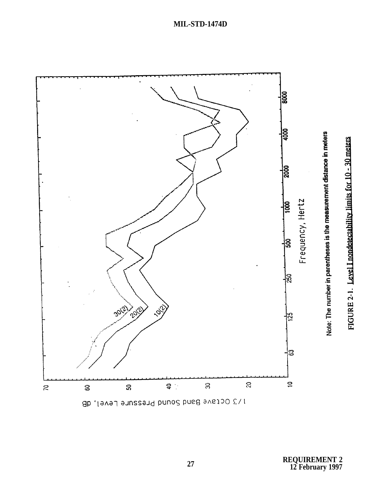

Note: The number in parentheses is the measurement distance in meters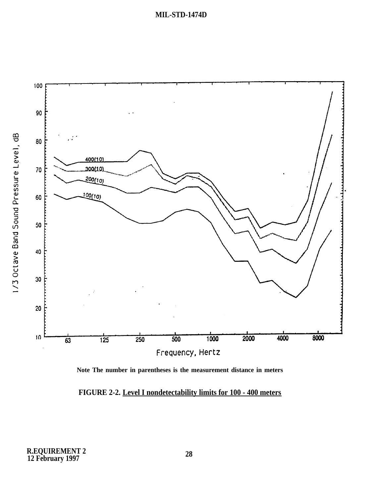

**Note The number in parentheses is the measurement distance in meters**

**FIGURE 2-2. Level I nondetectability limits for 100 - 400 meters**

**R.EQUIREMENT 2 12 February 1997 <sup>28</sup>**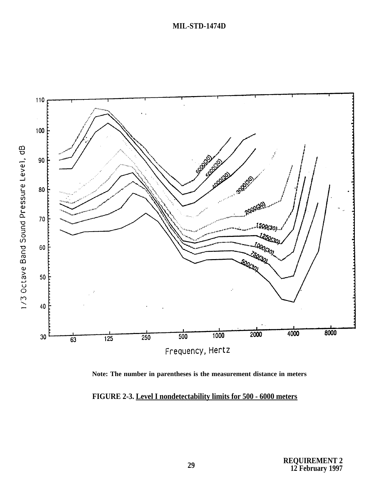

**Note: The number in parentheses is the measurement distance in meters**

**FIGURE 2-3. Level I nondetectability limits for 500 - 6000 meters**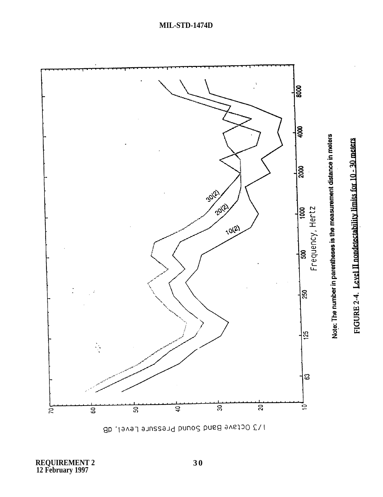

1/3 Octave Band Sound Pressure Level, dB

FIGURE 2-4. Level II nondetectability limits for 10-30 meters

**3 0**

**REQUIREMENT 2 12 February 1997**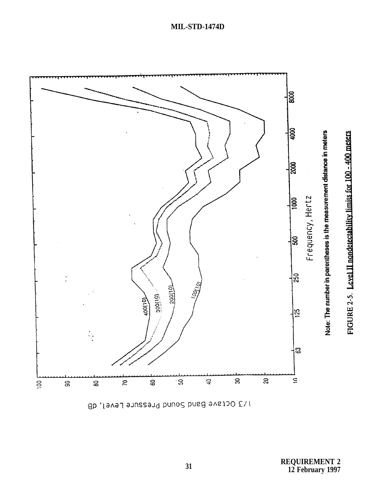



FIGURE 2-5. Level II nondetectability limits for 100 - 400 meters

**<sup>31</sup> REQUIREMENT 2 12 February 1997**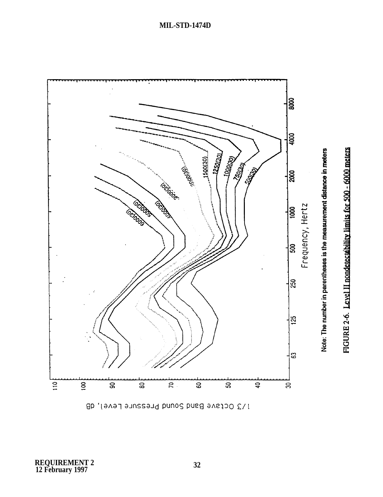

Note: The number in parentheses is the measurement distance in meters

FIGURE 2-6. Level II nondetectability limits for 500 - 6000 meters

I/3 Octave Band Sound Pressure Level, dB

**REQUIREMENT 2 12 February 1997 <sup>32</sup>**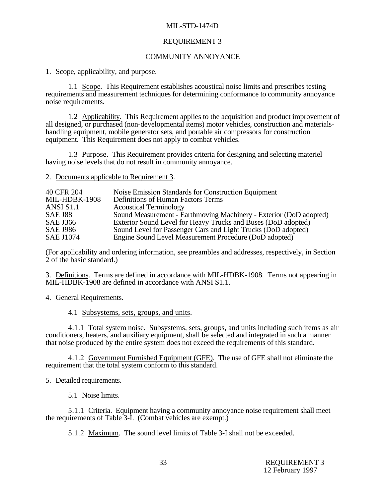### REQUIREMENT 3

### COMMUNITY ANNOYANCE

## 1. Scope, applicability, and purpose.

1.1 Scope. This Requirement establishes acoustical noise limits and prescribes testing requirements and measurement techniques for determining conformance to community annoyance noise requirements.

1.2 Applicability. This Requirement applies to the acquisition and product improvement of all designed, or purchased (non-developmental items) motor vehicles, construction and materialshandling equipment, mobile generator sets, and portable air compressors for construction equipment. This Requirement does not apply to combat vehicles.

1.3 Purpose. This Requirement provides criteria for designing and selecting materiel having noise levels that do not result in community annoyance.

2. Documents applicable to Requirement 3.

| 40 CFR 204       | Noise Emission Standards for Construction Equipment                |
|------------------|--------------------------------------------------------------------|
| MIL-HDBK-1908    | Definitions of Human Factors Terms                                 |
| ANSI S1.1        | <b>Acoustical Terminology</b>                                      |
| <b>SAE J88</b>   | Sound Measurement - Earthmoving Machinery - Exterior (DoD adopted) |
| <b>SAE J366</b>  | Exterior Sound Level for Heavy Trucks and Buses (DoD adopted)      |
| <b>SAE J986</b>  | Sound Level for Passenger Cars and Light Trucks (DoD adopted)      |
| <b>SAE J1074</b> | Engine Sound Level Measurement Procedure (DoD adopted)             |

(For applicability and ordering information, see preambles and addresses, respectively, in Section 2 of the basic standard.)

3. Definitions. Terms are defined in accordance with MIL-HDBK-1908. Terms not appearing in MIL-HDBK-1908 are defined in accordance with ANSI S1.1.

4. General Requirements.

4.1 Subsystems, sets, groups, and units.

4.1.1 Total system noise. Subsystems, sets, groups, and units including such items as air conditioners, heaters, and auxiliary equipment, shall be selected and integrated in such a manner that noise produced by the entire system does not exceed the requirements of this standard.

4.1.2 Government Furnished Equipment (GFE). The use of GFE shall not eliminate the requirement that the total system conform to this standard.

#### 5. Detailed requirements.

5.1 Noise limits.

5.1.1 Criteria. Equipment having a community annoyance noise requirement shall meet the requirements of Table  $3-I$ . (Combat vehicles are exempt.)

5.1.2 Maximum. The sound level limits of Table 3-I shall not be exceeded.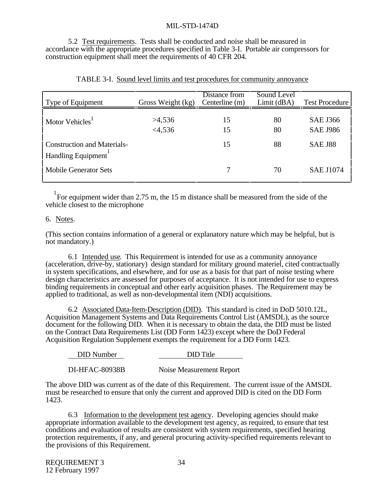5.2 Test requirements. Tests shall be conducted and noise shall be measured in accordance with the appropriate procedures specified in Table 3-I. Portable air compressors for construction equipment shall meet the requirements of 40 CFR 204.

| Type of Equipment                                        | Gross Weight (kg)   | Distance from<br>Centerline (m) | Sound Level<br>Limit (dBA) | <b>Test Procedure</b>              |
|----------------------------------------------------------|---------------------|---------------------------------|----------------------------|------------------------------------|
| Motor Vehicles <sup>1</sup>                              | >4,536<br>$<$ 4,536 | 15<br>15                        | 80<br>80                   | <b>SAE J366</b><br><b>SAE J986</b> |
| <b>Construction and Materials-</b><br>Handling Equipment |                     | 15                              | 88                         | <b>SAE J88</b>                     |
| <b>Mobile Generator Sets</b>                             |                     |                                 | 70                         | <b>SAE J1074</b>                   |

## TABLE 3-I. Sound level limits and test procedures for community annoyance

<sup>1</sup> For equipment wider than 2.75 m, the 15 m distance shall be measured from the side of the vehicle closest to the microphone

#### 6. Notes.

(This section contains information of a general or explanatory nature which may be helpful, but is not mandatory.)

6.1 Intended use. This Requirement is intended for use as a community annoyance (acceleration, drive-by, stationary) design standard for military ground materiel, cited contractually in system specifications, and elsewhere, and for use as a basis for that part of noise testing where design characteristics are assessed for purposes of acceptance. It is not intended for use to express binding requirements in conceptual and other early acquisition phases. The Requirement may be applied to traditional, as well as non-developmental item (NDI) acquisitions.

6.2 Associated Data-Item-Description (DID). This standard is cited in DoD 5010.12L, Acquisition Management Systems and Data Requirements Control List (AMSDL), as the source document for the following DID. When it is necessary to obtain the data, the DID must be listed on the Contract Data Requirements List (DD Form 1423) except where the DoD Federal Acquisition Regulation Supplement exempts the requirement for a DD Form 1423.

| DID Number     | <b>DID</b> Title         |  |  |
|----------------|--------------------------|--|--|
|                |                          |  |  |
| DI-HFAC-80938B | Noise Measurement Report |  |  |

The above DID was current as of the date of this Requirement. The current issue of the AMSDL must be researched to ensure that only the current and approved DID is cited on the DD Form 1423.

6.3 Information to the development test agency. Developing agencies should make appropriate information available to the development test agency, as required, to ensure that test conditions and evaluation of results are consistent with system requirements, specified hearing protection requirements, if any, and general procuring activity-specified requirements relevant to the provisions of this Requirement.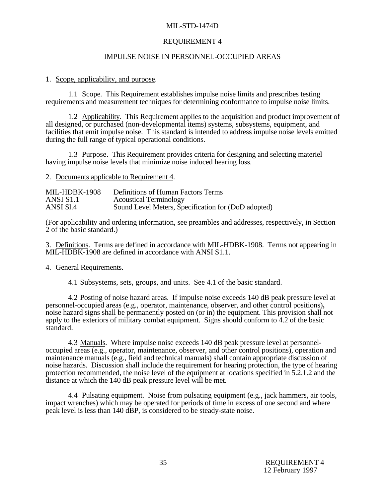## REQUIREMENT 4

### IMPULSE NOISE IN PERSONNEL-OCCUPIED AREAS

#### 1. Scope, applicability, and purpose.

1.1 Scope. This Requirement establishes impulse noise limits and prescribes testing requirements and measurement techniques for determining conformance to impulse noise limits.

1.2 Applicability. This Requirement applies to the acquisition and product improvement of all designed, or purchased (non-developmental items) systems, subsystems, equipment, and facilities that emit impulse noise. This standard is intended to address impulse noise levels emitted during the full range of typical operational conditions.

1.3 Purpose. This Requirement provides criteria for designing and selecting materiel having impulse noise levels that minimize noise induced hearing loss.

2. Documents applicable to Requirement 4.

| MIL-HDBK-1908 | Definitions of Human Factors Terms                  |
|---------------|-----------------------------------------------------|
| ANSI S1.1     | <b>Acoustical Terminology</b>                       |
| ANSI S1.4     | Sound Level Meters, Specification for (DoD adopted) |

(For applicability and ordering information, see preambles and addresses, respectively, in Section 2 of the basic standard.)

3. Definitions. Terms are defined in accordance with MIL-HDBK-1908. Terms not appearing in MIL-HDBK-1908 are defined in accordance with ANSI S1.1.

### 4. General Requirements.

4.1 Subsystems, sets, groups, and units. See 4.1 of the basic standard.

4.2 Posting of noise hazard areas. If impulse noise exceeds 140 dB peak pressure level at personnel-occupied areas (e.g., operator, maintenance, observer, and other control positions)**,** noise hazard signs shall be permanently posted on (or in) the equipment. This provision shall not apply to the exteriors of military combat equipment. Signs should conform to 4.2 of the basic standard.

4.3 Manuals. Where impulse noise exceeds 140 dB peak pressure level at personneloccupied areas (e.g., operator, maintenance, observer, and other control positions), operation and maintenance manuals (e.g., field and technical manuals) shall contain appropriate discussion of noise hazards. Discussion shall include the requirement for hearing protection, the type of hearing protection recommended, the noise level of the equipment at locations specified in 5.2.1.2 and the distance at which the 140 dB peak pressure level will be met.

4.4 Pulsating equipment. Noise from pulsating equipment (e.g., jack hammers, air tools, impact wrenches) which may be operated for periods of time in excess of one second and where peak level is less than 140 dBP, is considered to be steady-state noise.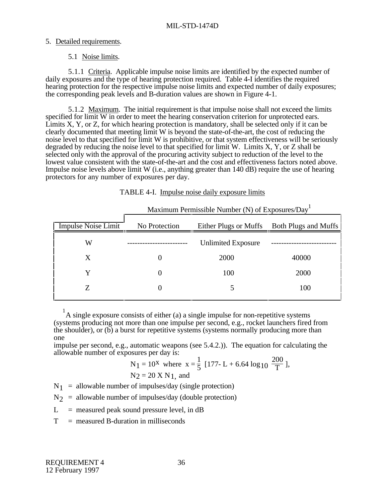## 5. Detailed requirements.

## 5.1 Noise limits.

5.1.1 Criteria. Applicable impulse noise limits are identified by the expected number of daily exposures and the type of hearing protection required. Table 4-I identifies the required hearing protection for the respective impulse noise limits and expected number of daily exposures; the corresponding peak levels and B-duration values are shown in Figure 4-1.

5.1.2 Maximum. The initial requirement is that impulse noise shall not exceed the limits specified for limit W in order to meet the hearing conservation criterion for unprotected ears. Limits X, Y, or Z, for which hearing protection is mandatory, shall be selected only if it can be clearly documented that meeting limit W is beyond the state-of-the-art, the cost of reducing the noise level to that specified for limit W is prohibitive, or that system effectiveness will be seriously degraded by reducing the noise level to that specified for limit W. Limits X, Y, or Z shall be selected only with the approval of the procuring activity subject to reduction of the level to the lowest value consistent with the state-of-the-art and the cost and effectiveness factors noted above. Impulse noise levels above limit W (i.e., anything greater than 140 dB) require the use of hearing protectors for any number of exposures per day.

|                            | Maximum Permissible Number (N) of Exposures/Day <sup>1</sup> |                           |                                            |  |  |  |
|----------------------------|--------------------------------------------------------------|---------------------------|--------------------------------------------|--|--|--|
| <b>Impulse Noise Limit</b> | No Protection                                                |                           | Either Plugs or Muffs Both Plugs and Muffs |  |  |  |
| W                          |                                                              | <b>Unlimited Exposure</b> |                                            |  |  |  |
| Χ                          |                                                              | 2000                      | 40000                                      |  |  |  |
|                            |                                                              | 100                       | 2000                                       |  |  |  |
|                            |                                                              |                           | 100                                        |  |  |  |
|                            |                                                              |                           |                                            |  |  |  |

| TABLE 4-I. Impulse noise daily exposure limits |  |  |  |  |
|------------------------------------------------|--|--|--|--|
|                                                |  |  |  |  |

 $<sup>1</sup>A$  single exposure consists of either (a) a single impulse for non-repetitive systems</sup> (systems producing not more than one impulse per second, e.g., rocket launchers fired from the shoulder), or (b) a burst for repetitive systems (systems normally producing more than one

impulse per second, e.g., automatic weapons (see 5.4.2.)). The equation for calculating the allowable number of exposures per day is:

N<sub>1</sub> = 10<sup>x</sup> where x = 
$$
\frac{1}{5}
$$
 [177- L + 6.64 log<sub>10</sub>  $\frac{200}{T}$ ],  
N<sub>2</sub> = 20 X N<sub>1</sub>, and

 $N_1$  = allowable number of impulses/day (single protection)

 $N_2$  = allowable number of impulses/day (double protection)

 $L$  = measured peak sound pressure level, in dB

 $T =$  measured B-duration in milliseconds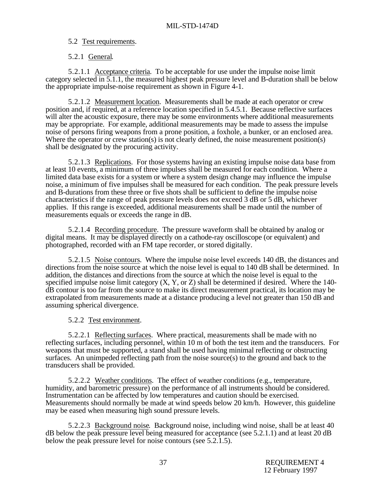## 5.2 Test requirements.

## 5.2.1 General.

5.2.1.1 Acceptance criteria. To be acceptable for use under the impulse noise limit category selected in 5.1.1, the measured highest peak pressure level and B-duration shall be below the appropriate impulse-noise requirement as shown in Figure 4-1.

5.2.1.2 Measurement location. Measurements shall be made at each operator or crew position and, if required, at a reference location specified in 5.4.5.1. Because reflective surfaces will alter the acoustic exposure, there may be some environments where additional measurements may be appropriate. For example, additional measurements may be made to assess the impulse noise of persons firing weapons from a prone position, a foxhole, a bunker, or an enclosed area. Where the operator or crew station(s) is not clearly defined, the noise measurement position(s) shall be designated by the procuring activity.

5.2.1.3 Replications. For those systems having an existing impulse noise data base from at least 10 events, a minimum of three impulses shall be measured for each condition. Where a limited data base exists for a system or where a system design change may influence the impulse noise, a minimum of five impulses shall be measured for each condition. The peak pressure levels and B-durations from these three or five shots shall be sufficient to define the impulse noise characteristics if the range of peak pressure levels does not exceed 3 dB or 5 dB, whichever applies. If this range is exceeded, additional measurements shall be made until the number of measurements equals or exceeds the range in dB.

5.2.1.4 Recording procedure. The pressure waveform shall be obtained by analog or digital means. It may be displayed directly on a cathode-ray oscilloscope (or equivalent) and photographed, recorded with an FM tape recorder, or stored digitally.

5.2.1.5 Noise contours. Where the impulse noise level exceeds 140 dB, the distances and directions from the noise source at which the noise level is equal to 140 dB shall be determined. In addition, the distances and directions from the source at which the noise level is equal to the specified impulse noise limit category  $(X, Y, \text{ or } Z)$  shall be determined if desired. Where the 140dB contour is too far from the source to make its direct measurement practical, its location may be extrapolated from measurements made at a distance producing a level not greater than 150 dB and assuming spherical divergence.

### 5.2.2 Test environment.

5.2.2.1 Reflecting surfaces. Where practical, measurements shall be made with no reflecting surfaces, including personnel, within 10 m of both the test item and the transducers. For weapons that must be supported, a stand shall be used having minimal reflecting or obstructing surfaces. An unimpeded reflecting path from the noise source(s) to the ground and back to the transducers shall be provided.

5.2.2.2 Weather conditions. The effect of weather conditions (e.g., temperature, humidity, and barometric pressure) on the performance of all instruments should be considered. Instrumentation can be affected by low temperatures and caution should be exercised. Measurements should normally be made at wind speeds below 20 km/h. However, this guideline may be eased when measuring high sound pressure levels.

5.2.2.3 Background noise. Background noise, including wind noise, shall be at least 40 dB below the peak pressure level being measured for acceptance (see  $5.2.1.1$ ) and at least 20 dB below the peak pressure level for noise contours (see 5.2.1.5).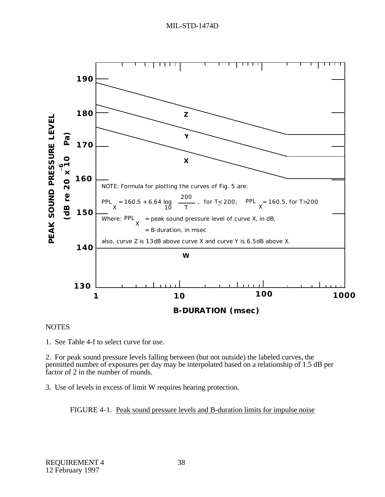

## **NOTES**

1. See Table 4-I to select curve for use.

2. For peak sound pressure levels falling between (but not outside) the labeled curves, the permitted number of exposures per day may be interpolated based on a relationship of 1.5 dB per factor of 2 in the number of rounds.

3. Use of levels in excess of limit W requires hearing protection.

FIGURE 4-1. Peak sound pressure levels and B-duration limits for impulse noise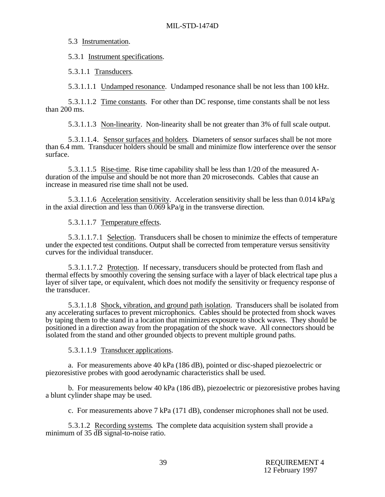5.3 Instrumentation.

5.3.1 Instrument specifications.

5.3.1.1 Transducers.

5.3.1.1.1 Undamped resonance. Undamped resonance shall be not less than 100 kHz.

 5.3.1.1.2 Time constants. For other than DC response, time constants shall be not less than 200 ms.

5.3.1.1.3 Non-linearity. Non-linearity shall be not greater than 3% of full scale output.

5.3.1.1.4. Sensor surfaces and holders. Diameters of sensor surfaces shall be not more than 6.4 mm. Transducer holders should be small and minimize flow interference over the sensor surface.

 5.3.1.1.5 Rise-time. Rise time capability shall be less than 1/20 of the measured Aduration of the impulse and should be not more than 20 microseconds. Cables that cause an increase in measured rise time shall not be used.

 5.3.1.1.6 Acceleration sensitivity. Acceleration sensitivity shall be less than 0.014 kPa/g in the axial direction and less than  $0.069$  kPa/g in the transverse direction.

5.3.1.1.7 Temperature effects.

5.3.1.1.7.1 Selection. Transducers shall be chosen to minimize the effects of temperature under the expected test conditions. Output shall be corrected from temperature versus sensitivity curves for the individual transducer.

5.3.1.1.7.2 Protection. If necessary, transducers should be protected from flash and thermal effects by smoothly covering the sensing surface with a layer of black electrical tape plus a layer of silver tape, or equivalent, which does not modify the sensitivity or frequency response of the transducer.

 5.3.1.1.8 Shock, vibration, and ground path isolation. Transducers shall be isolated from any accelerating surfaces to prevent microphonics. Cables should be protected from shock waves by taping them to the stand in a location that minimizes exposure to shock waves. They should be positioned in a direction away from the propagation of the shock wave. All connectors should be isolated from the stand and other grounded objects to prevent multiple ground paths.

5.3.1.1.9 Transducer applications.

 a. For measurements above 40 kPa (186 dB), pointed or disc-shaped piezoelectric or piezoresistive probes with good aerodynamic characteristics shall be used.

 b. For measurements below 40 kPa (186 dB), piezoelectric or piezoresistive probes having a blunt cylinder shape may be used.

c. For measurements above 7 kPa (171 dB), condenser microphones shall not be used.

5.3.1.2 Recording systems. The complete data acquisition system shall provide a minimum of 35 dB signal-to-noise ratio.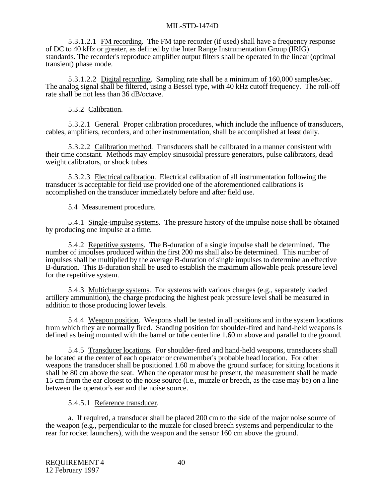5.3.1.2.1 FM recording. The FM tape recorder (if used) shall have a frequency response of DC to 40 kHz or greater, as defined by the Inter Range Instrumentation Group (IRIG) standards. The recorder's reproduce amplifier output filters shall be operated in the linear (optimal transient) phase mode.

5.3.1.2.2 Digital recording. Sampling rate shall be a minimum of 160,000 samples/sec. The analog signal shall be filtered, using a Bessel type, with 40 kHz cutoff frequency. The roll-off rate shall be not less than 36 dB/octave.

5.3.2 Calibration.

5.3.2.1 General. Proper calibration procedures, which include the influence of transducers, cables, amplifiers, recorders, and other instrumentation, shall be accomplished at least daily.

5.3.2.2 Calibration method. Transducers shall be calibrated in a manner consistent with their time constant. Methods may employ sinusoidal pressure generators, pulse calibrators, dead weight calibrators, or shock tubes.

5.3.2.3 Electrical calibration. Electrical calibration of all instrumentation following the transducer is acceptable for field use provided one of the aforementioned calibrations is accomplished on the transducer immediately before and after field use.

5.4 Measurement procedure.

5.4.1 Single-impulse systems. The pressure history of the impulse noise shall be obtained by producing one impulse at a time.

5.4.2 Repetitive systems. The B-duration of a single impulse shall be determined. The number of impulses produced within the first 200 ms shall also be determined. This number of impulses shall be multiplied by the average B-duration of single impulses to determine an effective B-duration. This B-duration shall be used to establish the maximum allowable peak pressure level for the repetitive system.

5.4.3 Multicharge systems. For systems with various charges (e.g., separately loaded artillery ammunition), the charge producing the highest peak pressure level shall be measured in addition to those producing lower levels.

5.4.4 Weapon position. Weapons shall be tested in all positions and in the system locations from which they are normally fired. Standing position for shoulder-fired and hand-held weapons is defined as being mounted with the barrel or tube centerline 1.60 m above and parallel to the ground.

5.4.5 Transducer locations. For shoulder-fired and hand-held weapons, transducers shall be located at the center of each operator or crewmember's probable head location. For other weapons the transducer shall be positioned 1.60 m above the ground surface; for sitting locations it shall be 80 cm above the seat. When the operator must be present, the measurement shall be made 15 cm from the ear closest to the noise source (i.e., muzzle or breech, as the case may be) on a line between the operator's ear and the noise source.

## 5.4.5.1 Reference transducer.

 a. If required, a transducer shall be placed 200 cm to the side of the major noise source of the weapon (e.g., perpendicular to the muzzle for closed breech systems and perpendicular to the rear for rocket launchers), with the weapon and the sensor 160 cm above the ground.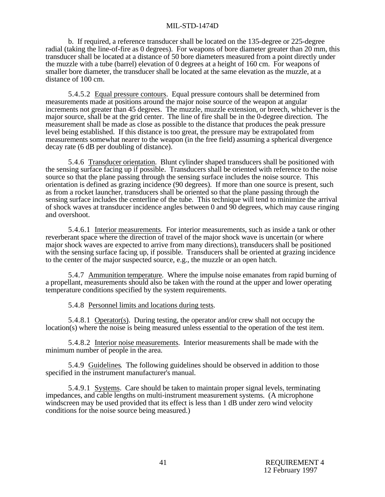b. If required, a reference transducer shall be located on the 135-degree or 225-degree radial (taking the line-of-fire as 0 degrees). For weapons of bore diameter greater than 20 mm, this transducer shall be located at a distance of 50 bore diameters measured from a point directly under the muzzle with a tube (barrel) elevation of 0 degrees at a height of 160 cm. For weapons of smaller bore diameter, the transducer shall be located at the same elevation as the muzzle, at a distance of 100 cm.

5.4.5.2 Equal pressure contours. Equal pressure contours shall be determined from measurements made at positions around the major noise source of the weapon at angular increments not greater than 45 degrees. The muzzle, muzzle extension, or breech, whichever is the major source, shall be at the grid center. The line of fire shall be in the 0-degree direction. The measurement shall be made as close as possible to the distance that produces the peak pressure level being established. If this distance is too great, the pressure may be extrapolated from measurements somewhat nearer to the weapon (in the free field) assuming a spherical divergence decay rate (6 dB per doubling of distance).

5.4.6 Transducer orientation. Blunt cylinder shaped transducers shall be positioned with the sensing surface facing up if possible. Transducers shall be oriented with reference to the noise source so that the plane passing through the sensing surface includes the noise source. This orientation is defined as grazing incidence (90 degrees). If more than one source is present, such as from a rocket launcher, transducers shall be oriented so that the plane passing through the sensing surface includes the centerline of the tube. This technique will tend to minimize the arrival of shock waves at transducer incidence angles between 0 and 90 degrees, which may cause ringing and overshoot.

5.4.6.1 Interior measurements. For interior measurements, such as inside a tank or other reverberant space where the direction of travel of the major shock wave is uncertain (or where major shock waves are expected to arrive from many directions), transducers shall be positioned with the sensing surface facing up, if possible. Transducers shall be oriented at grazing incidence to the center of the major suspected source, e.g., the muzzle or an open hatch.

5.4.7 Ammunition temperature. Where the impulse noise emanates from rapid burning of a propellant, measurements should also be taken with the round at the upper and lower operating temperature conditions specified by the system requirements.

5.4.8 Personnel limits and locations during tests.

5.4.8.1 Operator(s). During testing, the operator and/or crew shall not occupy the location(s) where the noise is being measured unless essential to the operation of the test item.

5.4.8.2 Interior noise measurements. Interior measurements shall be made with the minimum number of people in the area.

5.4.9 Guidelines. The following guidelines should be observed in addition to those specified in the instrument manufacturer's manual.

5.4.9.1 Systems. Care should be taken to maintain proper signal levels, terminating impedances, and cable lengths on multi-instrument measurement systems. (A microphone windscreen may be used provided that its effect is less than 1 dB under zero wind velocity conditions for the noise source being measured.)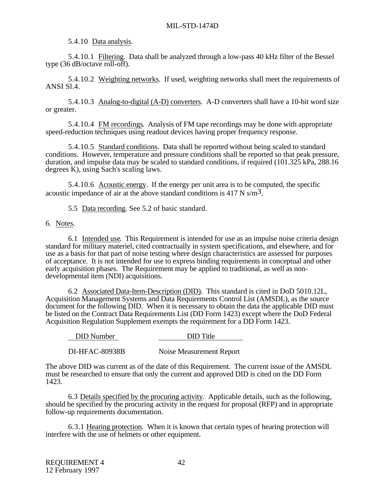5.4.10 Data analysis.

5.4.10.1 Filtering. Data shall be analyzed through a low-pass 40 kHz filter of the Bessel type (36 dB/octave roll-off).

5.4.10.2 Weighting networks. If used, weighting networks shall meet the requirements of ANSI Sl.4.

5.4.10.3 Analog-to-digital (A-D) converters. A-D converters shall have a 10-bit word size or greater.

5.4.10.4 FM recordings. Analysis of FM tape recordings may be done with appropriate speed-reduction techniques using readout devices having proper frequency response.

5.4.10.5 Standard conditions. Data shall be reported without being scaled to standard conditions. However, temperature and pressure conditions shall be reported so that peak pressure, duration, and impulse data may be scaled to standard conditions, if required (101.325 kPa, 288.16 degrees K), using Sach's scaling laws.

5.4.10.6 Acoustic energy. If the energy per unit area is to be computed, the specific acoustic impedance of air at the above standard conditions is  $417 \text{ N s/m}^3$ .

5.5 Data recording. See 5.2 of basic standard.

6. Notes.

6.1 Intended use. This Requirement is intended for use as an impulse noise criteria design standard for military materiel, cited contractually in system specifications, and elsewhere, and for use as a basis for that part of noise testing where design characteristics are assessed for purposes of acceptance. It is not intended for use to express binding requirements in conceptual and other early acquisition phases. The Requirement may be applied to traditional, as well as nondevelopmental item (NDI) acquisitions.

6.2 Associated Data-Item-Description (DID). This standard is cited in DoD 5010.12L, Acquisition Management Systems and Data Requirements Control List (AMSDL), as the source document for the following DID. When it is necessary to obtain the data the applicable DID must be listed on the Contract Data Requirements List (DD Form 1423) except where the DoD Federal Acquisition Regulation Supplement exempts the requirement for a DD Form 1423.

DID Number DID Title

DI-HFAC-80938B Noise Measurement Report

The above DID was current as of the date of this Requirement. The current issue of the AMSDL must be researched to ensure that only the current and approved DID is cited on the DD Form 1423.

6.3 Details specified by the procuring activity. Applicable details, such as the following, should be specified by the procuring activity in the request for proposal (RFP) and in appropriate follow-up requirements documentation.

6.3.1 Hearing protection. When it is known that certain types of hearing protection will interfere with the use of helmets or other equipment.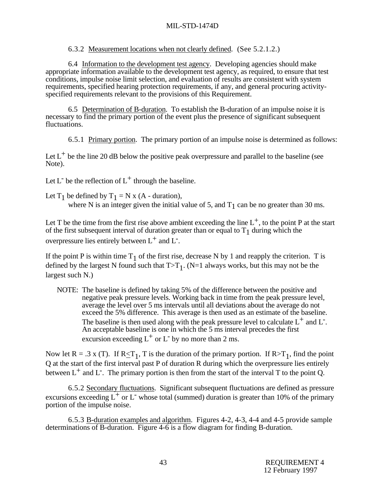6.3.2 Measurement locations when not clearly defined. (See 5.2.1.2.)

6.4 Information to the development test agency. Developing agencies should make appropriate information available to the development test agency, as required, to ensure that test conditions, impulse noise limit selection, and evaluation of results are consistent with system requirements, specified hearing protection requirements, if any, and general procuring activityspecified requirements relevant to the provisions of this Requirement.

6.5 Determination of B-duration. To establish the B-duration of an impulse noise it is necessary to find the primary portion of the event plus the presence of significant subsequent fluctuations.

6.5.1 Primary portion. The primary portion of an impulse noise is determined as follows:

Let  $L^+$  be the line 20 dB below the positive peak overpressure and parallel to the baseline (see Note).

Let  $L^-$  be the reflection of  $L^+$  through the baseline.

Let  $T_1$  be defined by  $T_1 = N x (A - duration)$ , where N is an integer given the initial value of 5, and  $T_1$  can be no greater than 30 ms.

Let T be the time from the first rise above ambient exceeding the line  $L^+$ , to the point P at the start of the first subsequent interval of duration greater than or equal to  $T_1$  during which the overpressure lies entirely between  $L^+$  and  $L^-$ .

If the point P is within time  $T_1$  of the first rise, decrease N by 1 and reapply the criterion. T is defined by the largest N found such that  $T>T_1$ . (N=1 always works, but this may not be the largest such N.)

NOTE: The baseline is defined by taking 5% of the difference between the positive and negative peak pressure levels. Working back in time from the peak pressure level, average the level over 5 ms intervals until all deviations about the average do not exceed the 5% difference. This average is then used as an estimate of the baseline. The baseline is then used along with the peak pressure level to calculate  $L^+$  and  $L^-$ . An acceptable baseline is one in which the 5 ms interval precedes the first excursion exceeding  $L^+$  or  $L^-$  by no more than 2 ms.

Now let  $R = .3 x(T)$ . If  $R \leq T_1$ , T is the duration of the primary portion. If  $R > T_1$ , find the point Q at the start of the first interval past P of duration R during which the overpressure lies entirely between  $L^+$  and  $L^-$ . The primary portion is then from the start of the interval T to the point Q.

6.5.2 Secondary fluctuations. Significant subsequent fluctuations are defined as pressure excursions exceeding  $L^+$  or  $L^-$  whose total (summed) duration is greater than 10% of the primary portion of the impulse noise.

6.5.3 B-duration examples and algorithm. Figures 4-2, 4-3, 4-4 and 4-5 provide sample determinations of B-duration. Figure 4-6 is a flow diagram for finding B-duration.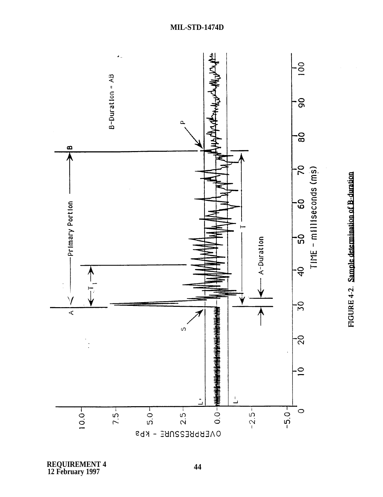



**REQUIREMENT 4 12 February 1997 <sup>44</sup>**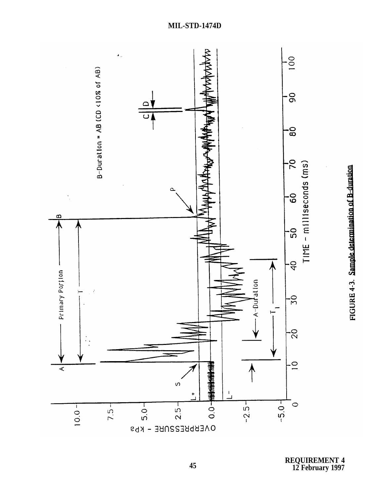



FIGURE 4-3. Sample determination of B-duration

**<sup>45</sup> REQUIREMENT 4 12 February 1997**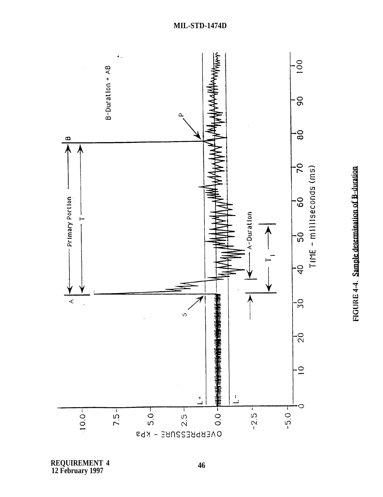

**REQUIREMENT 4 12 February 1997 <sup>46</sup>**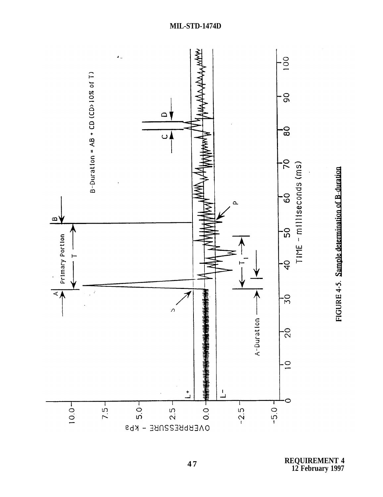

**4 7**

FIGURE 4-5. Sample determination of B-duration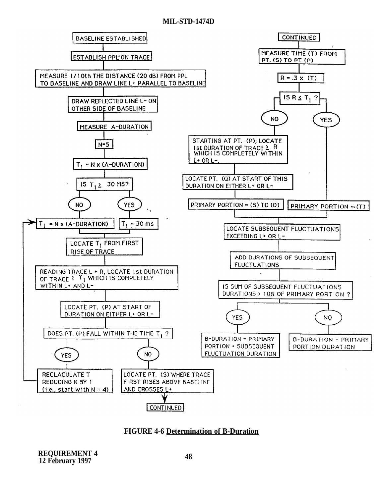

**FIGURE 4-6 Determination of B-Duration**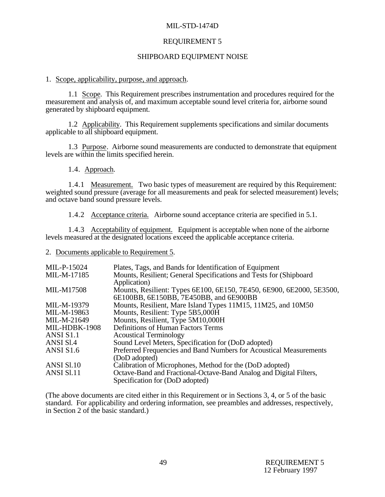#### REQUIREMENT 5

### SHIPBOARD EQUIPMENT NOISE

### 1. Scope, applicability, purpose, and approach.

1.1 Scope. This Requirement prescribes instrumentation and procedures required for the measurement and analysis of, and maximum acceptable sound level criteria for, airborne sound generated by shipboard equipment.

1.2 Applicability. This Requirement supplements specifications and similar documents applicable to all shipboard equipment.

1.3 Purpose. Airborne sound measurements are conducted to demonstrate that equipment levels are within the limits specified herein.

1.4. Approach.

1.4.1 Measurement. Two basic types of measurement are required by this Requirement: weighted sound pressure (average for all measurements and peak for selected measurement) levels; and octave band sound pressure levels.

1.4.2 Acceptance criteria. Airborne sound acceptance criteria are specified in 5.1.

1.4.3 Acceptability of equipment. Equipment is acceptable when none of the airborne levels measured at the designated locations exceed the applicable acceptance criteria.

2. Documents applicable to Requirement 5.

| MIL-P-15024           | Plates, Tags, and Bands for Identification of Equipment              |
|-----------------------|----------------------------------------------------------------------|
| MIL-M-17185           | Mounts, Resilient; General Specifications and Tests for (Shipboard   |
|                       | Application)                                                         |
| MIL-M17508            | Mounts, Resilient: Types 6E100, 6E150, 7E450, 6E900, 6E2000, 5E3500, |
|                       | 6E100BB, 6E150BB, 7E450BB, and 6E900BB                               |
| MIL-M-19379           | Mounts, Resilient, Mare Island Types 11M15, 11M25, and 10M50         |
| MIL-M-19863           | Mounts, Resilient: Type 5B5,000H                                     |
| MIL-M-21649           | Mounts, Resilient, Type 5M10,000H                                    |
| MIL-HDBK-1908         | <b>Definitions of Human Factors Terms</b>                            |
| ANSI S1.1             | <b>Acoustical Terminology</b>                                        |
| ANSI S1.4             | Sound Level Meters, Specification for (DoD adopted)                  |
| ANSI S <sub>1.6</sub> | Preferred Frequencies and Band Numbers for Acoustical Measurements   |
|                       | (DoD adopted)                                                        |
| ANSI S1.10            | Calibration of Microphones, Method for the (DoD adopted)             |
| ANSI S1.11            | Octave-Band and Fractional-Octave-Band Analog and Digital Filters,   |
|                       | Specification for (DoD adopted)                                      |

(The above documents are cited either in this Requirement or in Sections 3, 4, or 5 of the basic standard. For applicability and ordering information, see preambles and addresses, respectively, in Section 2 of the basic standard.)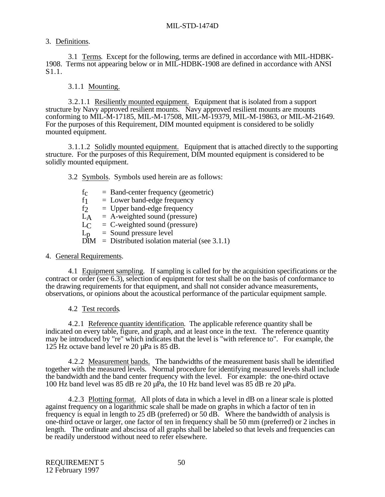## 3. Definitions.

3.1 Terms. Except for the following, terms are defined in accordance with MIL-HDBK-1908. Terms not appearing below or in MIL-HDBK-1908 are defined in accordance with ANSI S1.1.

## 3.1.1 Mounting.

3.2.1.1 Resiliently mounted equipment. Equipment that is isolated from a support structure by Navy approved resilient mounts. Navy approved resilient mounts are mounts conforming to MIL-M-17185, MIL-M-17508, MIL-M-19379, MIL-M-19863, or MIL-M-21649. For the purposes of this Requirement, DIM mounted equipment is considered to be solidly mounted equipment.

3.1.1.2 Solidly mounted equipment. Equipment that is attached directly to the supporting structure. For the purposes of this Requirement, DIM mounted equipment is considered to be solidly mounted equipment.

3.2 Symbols. Symbols used herein are as follows:

| $f_c$          | $=$ Band-center frequency (geometric)          |
|----------------|------------------------------------------------|
| f <sub>1</sub> | $=$ Lower band-edge frequency                  |
| f2             | $=$ Upper band-edge frequency                  |
| LA             | $=$ A-weighted sound (pressure)                |
| $L_{\rm C}$    | $=$ C-weighted sound (pressure)                |
| $L_p$<br>DIM   | $=$ Sound pressure level                       |
|                | $=$ Distributed isolation material (see 3.1.1) |

## 4. General Requirements.

4.1 Equipment sampling. If sampling is called for by the acquisition specifications or the contract or order (see 6.3), selection of equipment for test shall be on the basis of conformance to the drawing requirements for that equipment, and shall not consider advance measurements, observations, or opinions about the acoustical performance of the particular equipment sample.

## 4.2 Test records.

4.2.1 Reference quantity identification. The applicable reference quantity shall be indicated on every table, figure, and graph, and at least once in the text. The reference quantity may be introduced by "re" which indicates that the level is "with reference to". For example, the 125 Hz octave band level re 20 µPa is 85 dB.

4.2.2 Measurement bands. The bandwidths of the measurement basis shall be identified together with the measured levels. Normal procedure for identifying measured levels shall include the bandwidth and the band center frequency with the level. For example: the one-third octave 100 Hz band level was 85 dB re 20  $\mu$ Pa, the 10 Hz band level was 85 dB re 20  $\mu$ Pa.

4.2.3 Plotting format. All plots of data in which a level in dB on a linear scale is plotted against frequency on a logarithmic scale shall be made on graphs in which a factor of ten in frequency is equal in length to 25 dB (preferred) or 50 dB. Where the bandwidth of analysis is one-third octave or larger, one factor of ten in frequency shall be 50 mm (preferred) or 2 inches in length. The ordinate and abscissa of all graphs shall be labeled so that levels and frequencies can be readily understood without need to refer elsewhere.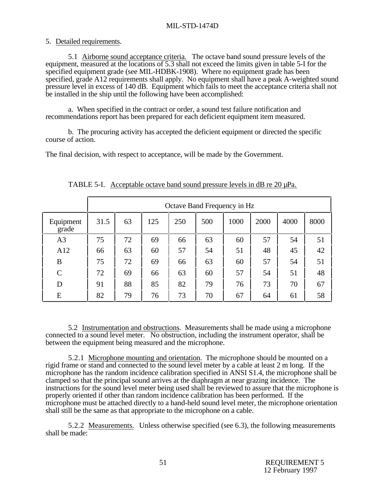## 5. Detailed requirements.

5.1 Airborne sound acceptance criteria. The octave band sound pressure levels of the equipment, measured at the locations of 5.3 shall not exceed the limits given in table 5-I for the specified equipment grade (see MIL-HDBK-1908). Where no equipment grade has been specified, grade A12 requirements shall apply. No equipment shall have a peak A-weighted sound pressure level in excess of 140 dB. Equipment which fails to meet the acceptance criteria shall not be installed in the ship until the following have been accomplished:

a. When specified in the contract or order, a sound test failure notification and recommendations report has been prepared for each deficient equipment item measured.

b. The procuring activity has accepted the deficient equipment or directed the specific course of action.

The final decision, with respect to acceptance, will be made by the Government.

|                    |      |    |     |     | Octave Band Frequency in Hz |      |      |      |      |
|--------------------|------|----|-----|-----|-----------------------------|------|------|------|------|
| Equipment<br>grade | 31.5 | 63 | 125 | 250 | 500                         | 1000 | 2000 | 4000 | 8000 |
| A <sub>3</sub>     | 75   | 72 | 69  | 66  | 63                          | 60   | 57   | 54   | 51   |
| A12                | 66   | 63 | 60  | 57  | 54                          | 51   | 48   | 45   | 42   |
| B                  | 75   | 72 | 69  | 66  | 63                          | 60   | 57   | 54   | 51   |
| $\mathcal{C}$      | 72   | 69 | 66  | 63  | 60                          | 57   | 54   | 51   | 48   |
| D                  | 91   | 88 | 85  | 82  | 79                          | 76   | 73   | 70   | 67   |
| E                  | 82   | 79 | 76  | 73  | 70                          | 67   | 64   | 61   | 58   |

TABLE 5-I. Acceptable octave band sound pressure levels in dB re 20  $\mu$ Pa.

5.2 Instrumentation and obstructions. Measurements shall be made using a microphone connected to a sound level meter. No obstruction, including the instrument operator, shall be between the equipment being measured and the microphone.

5.2.1 Microphone mounting and orientation. The microphone should be mounted on a rigid frame or stand and connected to the sound level meter by a cable at least 2 m long. If the microphone has the random incidence calibration specified in ANSI S1.4, the microphone shall be clamped so that the principal sound arrives at the diaphragm at near grazing incidence. The instructions for the sound level meter being used shall be reviewed to assure that the microphone is properly oriented if other than random incidence calibration has been performed. If the microphone must be attached directly to a hand-held sound level meter, the microphone orientation shall still be the same as that appropriate to the microphone on a cable.

5.2.2 Measurements. Unless otherwise specified (see 6.3), the following measurements shall be made: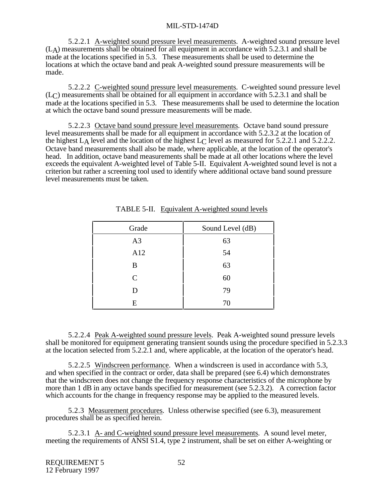5.2.2.1 A-weighted sound pressure level measurements. A-weighted sound pressure level (LA) measurements shall be obtained for all equipment in accordance with 5.2.3.1 and shall be made at the locations specified in 5.3. These measurements shall be used to determine the locations at which the octave band and peak A-weighted sound pressure measurements will be made.

5.2.2.2 C-weighted sound pressure level measurements. C-weighted sound pressure level (LC) measurements shall be obtained for all equipment in accordance with 5.2.3.1 and shall be made at the locations specified in 5.3. These measurements shall be used to determine the location at which the octave band sound pressure measurements will be made.

5.2.2.3 Octave band sound pressure level measurements. Octave band sound pressure level measurements shall be made for all equipment in accordance with 5.2.3.2 at the location of the highest LA level and the location of the highest LC level as measured for 5.2.2.1 and 5.2.2.2. Octave band measurements shall also be made, where applicable, at the location of the operator's head. In addition, octave band measurements shall be made at all other locations where the level exceeds the equivalent A-weighted level of Table 5-II. Equivalent A-weighted sound level is not a criterion but rather a screening tool used to identify where additional octave band sound pressure level measurements must be taken.

| Grade          | Sound Level (dB) |
|----------------|------------------|
| A <sub>3</sub> | 63               |
| A12            | 54               |
| B              | 63               |
| $\mathcal{C}$  | 60               |
| Ð              | 79               |
| F.             | 70               |

TABLE 5-II. Equivalent A-weighted sound levels

5.2.2.4 Peak A-weighted sound pressure levels. Peak A-weighted sound pressure levels shall be monitored for equipment generating transient sounds using the procedure specified in 5.2.3.3 at the location selected from 5.2.2.1 and, where applicable, at the location of the operator's head.

5.2.2.5 Windscreen performance. When a windscreen is used in accordance with 5.3, and when specified in the contract or order, data shall be prepared (see 6.4) which demonstrates that the windscreen does not change the frequency response characteristics of the microphone by more than 1 dB in any octave bands specified for measurement (see 5.2.3.2). A correction factor which accounts for the change in frequency response may be applied to the measured levels.

5.2.3 Measurement procedures. Unless otherwise specified (see 6.3), measurement procedures shall be as specified herein.

5.2.3.1 A- and C-weighted sound pressure level measurements. A sound level meter, meeting the requirements of ANSI S1.4, type 2 instrument, shall be set on either A-weighting or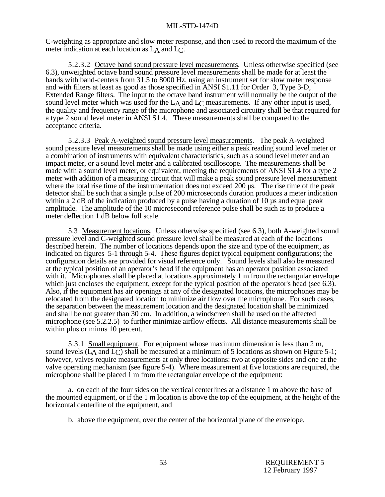C-weighting as appropriate and slow meter response, and then used to record the maximum of the meter indication at each location as LA and LC.

5.2.3.2 Octave band sound pressure level measurements. Unless otherwise specified (see 6.3), unweighted octave band sound pressure level measurements shall be made for at least the bands with band-centers from 31.5 to 8000 Hz, using an instrument set for slow meter response and with filters at least as good as those specified in ANSI S1.11 for Order 3, Type 3-D, Extended Range filters. The input to the octave band instrument will normally be the output of the sound level meter which was used for the  $L_A$  and  $L_C$  measurements. If any other input is used, the quality and frequency range of the microphone and associated circuitry shall be that required for a type 2 sound level meter in ANSI S1.4. These measurements shall be compared to the acceptance criteria.

5.2.3.3 Peak A-weighted sound pressure level measurements. The peak A-weighted sound pressure level measurements shall be made using either a peak reading sound level meter or a combination of instruments with equivalent characteristics, such as a sound level meter and an impact meter, or a sound level meter and a calibrated oscilloscope. The measurements shall be made with a sound level meter, or equivalent, meeting the requirements of ANSI S1.4 for a type 2 meter with addition of a measuring circuit that will make a peak sound pressure level measurement where the total rise time of the instrumentation does not exceed 200 µs. The rise time of the peak detector shall be such that a single pulse of 200 microseconds duration produces a meter indication within a 2 dB of the indication produced by a pulse having a duration of 10 µs and equal peak amplitude. The amplitude of the 10 microsecond reference pulse shall be such as to produce a meter deflection 1 dB below full scale.

5.3 Measurement locations. Unless otherwise specified (see 6.3), both A-weighted sound pressure level and C-weighted sound pressure level shall be measured at each of the locations described herein. The number of locations depends upon the size and type of the equipment, as indicated on figures 5-1 through 5-4. These figures depict typical equipment configurations; the configuration details are provided for visual reference only. Sound levels shall also be measured at the typical position of an operator's head if the equipment has an operator position associated with it. Microphones shall be placed at locations approximately 1 m from the rectangular envelope which just encloses the equipment, except for the typical position of the operator's head (see 6.3). Also, if the equipment has air openings at any of the designated locations, the microphones may be relocated from the designated location to minimize air flow over the microphone. For such cases, the separation between the measurement location and the designated location shall be minimized and shall be not greater than 30 cm. In addition, a windscreen shall be used on the affected microphone (see 5.2.2.5) to further minimize airflow effects. All distance measurements shall be within plus or minus 10 percent.

5.3.1 Small equipment. For equipment whose maximum dimension is less than 2 m, sound levels  $(L_A \text{ and } \overline{L_C})$  shall be measured at a minimum of 5 locations as shown on Figure 5-1; however, valves require measurements at only three locations: two at opposite sides and one at the valve operating mechanism (see figure 5-4). Where measurement at five locations are required, the microphone shall be placed 1 m from the rectangular envelope of the equipment:

a. on each of the four sides on the vertical centerlines at a distance 1 m above the base of the mounted equipment, or if the 1 m location is above the top of the equipment, at the height of the horizontal centerline of the equipment, and

b. above the equipment, over the center of the horizontal plane of the envelope.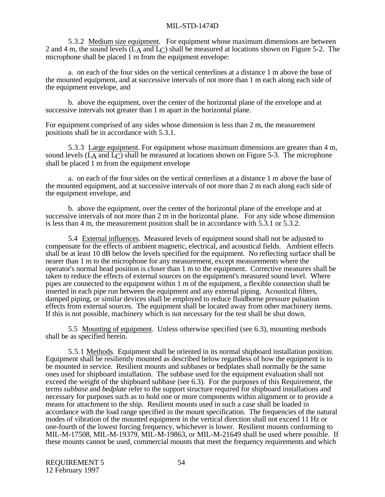5.3.2 Medium size equipment. For equipment whose maximum dimensions are between 2 and 4 m, the sound levels  $(\overrightarrow{L_A}$  and  $\overrightarrow{L_C})$  shall be measured at locations shown on Figure 5-2. The microphone shall be placed 1 m from the equipment envelope:

a. on each of the four sides on the vertical centerlines at a distance 1 m above the base of the mounted equipment, and at successive intervals of not more than 1 m each along each side of the equipment envelope, and

b. above the equipment, over the center of the horizontal plane of the envelope and at successive intervals not greater than 1 m apart in the horizontal plane.

For equipment comprised of any sides whose dimension is less than 2 m, the measurement positions shall be in accordance with 5.3.1.

5.3.3 Large equipment. For equipment whose maximum dimensions are greater than 4 m, sound levels (L<sub>A</sub> and L<sub>C</sub>) shall be measured at locations shown on Figure 5-3. The microphone shall be placed 1 m from the equipment envelope

a. on each of the four sides on the vertical centerlines at a distance 1 m above the base of the mounted equipment, and at successive intervals of not more than 2 m each along each side of the equipment envelope, and

b. above the equipment, over the center of the horizontal plane of the envelope and at successive intervals of not more than 2 m in the horizontal plane. For any side whose dimension is less than 4 m, the measurement position shall be in accordance with 5.3.1 or 5.3.2.

5.4 External influences. Measured levels of equipment sound shall not be adjusted to compensate for the effects of ambient magnetic, electrical, and acoustical fields. Ambient effects shall be at least 10 dB below the levels specified for the equipment. No reflecting surface shall be nearer than 1 m to the microphone for any measurement, except measurements where the operator's normal head position is closer than 1 m to the equipment. Corrective measures shall be taken to reduce the effects of external sources on the equipment's measured sound level. Where pipes are connected to the equipment within 1 m of the equipment, a flexible connection shall be inserted in each pipe run between the equipment and any external piping. Acoustical filters, damped piping, or similar devices shall be employed to reduce fluidborne pressure pulsation effects from external sources. The equipment shall be located away from other machinery items. If this is not possible, machinery which is not necessary for the test shall be shut down.

5.5 Mounting of equipment. Unless otherwise specified (see 6.3), mounting methods shall be as specified herein.

5.5.1 Methods. Equipment shall be oriented in its normal shipboard installation position. Equipment shall be resiliently mounted as described below regardless of how the equipment is to be mounted in service. Resilient mounts and subbases or bedplates shall normally be the same ones used for shipboard installation. The subbase used for the equipment evaluation shall not exceed the weight of the shipboard subbase (see 6.3). For the purposes of this Requirement, the terms *subbase* and *bedplate* refer to the support structure required for shipboard installations and necessary for purposes such as to hold one or more components within alignment or to provide a means for attachment to the ship. Resilient mounts used in such a case shall be loaded in accordance with the load range specified in the mount specification. The frequencies of the natural modes of vibration of the mounted equipment in the vertical direction shall not exceed 11 Hz or one-fourth of the lowest forcing frequency, whichever is lower. Resilient mounts conforming to MIL-M-17508, MIL-M-19379, MIL-M-19863, or MIL-M-21649 shall be used where possible. If these mounts cannot be used, commercial mounts that meet the frequency requirements and which

REQUIREMENT 5 54 12 February 1997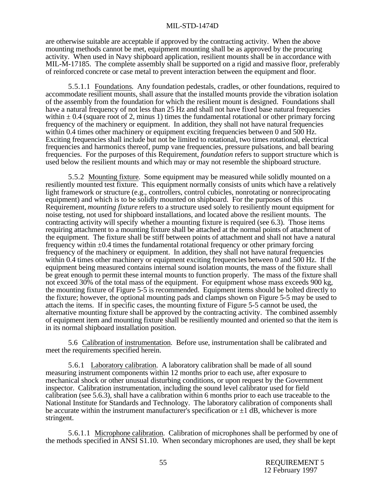are otherwise suitable are acceptable if approved by the contracting activity. When the above mounting methods cannot be met, equipment mounting shall be as approved by the procuring activity. When used in Navy shipboard application, resilient mounts shall be in accordance with MIL-M-17185. The complete assembly shall be supported on a rigid and massive floor, preferably of reinforced concrete or case metal to prevent interaction between the equipment and floor.

5.5.1.1 Foundations. Any foundation pedestals, cradles, or other foundations, required to accommodate resilient mounts, shall assure that the installed mounts provide the vibration isolation of the assembly from the foundation for which the resilient mount is designed. Foundations shall have a natural frequency of not less than 25 Hz and shall not have fixed base natural frequencies within  $\pm$  0.4 (square root of 2, minus 1) times the fundamental rotational or other primary forcing frequency of the machinery or equipment. In addition, they shall not have natural frequencies within 0.4 times other machinery or equipment exciting frequencies between 0 and 500 Hz. Exciting frequencies shall include but not be limited to rotational, two times rotational, electrical frequencies and harmonics thereof, pump vane frequencies, pressure pulsations, and ball bearing frequencies. For the purposes of this Requirement, *foundation* refers to support structure which is used below the resilient mounts and which may or may not resemble the shipboard structure.

5.5.2 Mounting fixture. Some equipment may be measured while solidly mounted on a resiliently mounted test fixture. This equipment normally consists of units which have a relatively light framework or structure (e.g., controllers, control cubicles, nonrotating or nonreciprocating equipment) and which is to be solidly mounted on shipboard. For the purposes of this Requirement, *mounting fixture* refers to a structure used solely to resiliently mount equipment for noise testing, not used for shipboard installations, and located above the resilient mounts. The contracting activity will specify whether a mounting fixture is required (see 6.3). Those items requiring attachment to a mounting fixture shall be attached at the normal points of attachment of the equipment. The fixture shall be stiff between points of attachment and shall not have a natural frequency within  $\pm 0.4$  times the fundamental rotational frequency or other primary forcing frequency of the machinery or equipment. In addition, they shall not have natural frequencies within 0.4 times other machinery or equipment exciting frequencies between 0 and 500 Hz. If the equipment being measured contains internal sound isolation mounts, the mass of the fixture shall be great enough to permit these internal mounts to function properly. The mass of the fixture shall not exceed 30% of the total mass of the equipment. For equipment whose mass exceeds 900 kg, the mounting fixture of Figure 5-5 is recommended. Equipment items should be bolted directly to the fixture; however, the optional mounting pads and clamps shown on Figure 5-5 may be used to attach the items. If in specific cases, the mounting fixture of Figure 5-5 cannot be used, the alternative mounting fixture shall be approved by the contracting activity. The combined assembly of equipment item and mounting fixture shall be resiliently mounted and oriented so that the item is in its normal shipboard installation position.

5.6 Calibration of instrumentation. Before use, instrumentation shall be calibrated and meet the requirements specified herein.

5.6.1 Laboratory calibration. A laboratory calibration shall be made of all sound measuring instrument components within 12 months prior to each use, after exposure to mechanical shock or other unusual disturbing conditions, or upon request by the Government inspector. Calibration instrumentation, including the sound level calibrator used for field calibration (see 5.6.3), shall have a calibration within 6 months prior to each use traceable to the National Institute for Standards and Technology. The laboratory calibration of components shall be accurate within the instrument manufacturer's specification or  $\pm 1$  dB, whichever is more stringent.

5.6.1.1 Microphone calibration. Calibration of microphones shall be performed by one of the methods specified in ANSI S1.10. When secondary microphones are used, they shall be kept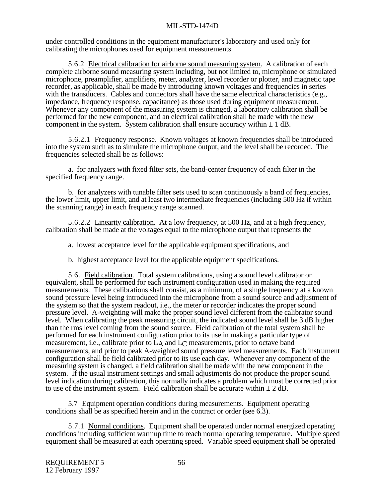under controlled conditions in the equipment manufacturer's laboratory and used only for calibrating the microphones used for equipment measurements.

5.6.2 Electrical calibration for airborne sound measuring system. A calibration of each complete airborne sound measuring system including, but not limited to, microphone or simulated microphone, preamplifier, amplifiers, meter, analyzer, level recorder or plotter, and magnetic tape recorder, as applicable, shall be made by introducing known voltages and frequencies in series with the transducers. Cables and connectors shall have the same electrical characteristics (e.g., impedance, frequency response, capacitance) as those used during equipment measurement. Whenever any component of the measuring system is changed, a laboratory calibration shall be performed for the new component, and an electrical calibration shall be made with the new component in the system. System calibration shall ensure accuracy within  $\pm 1$  dB.

5.6.2.1 Frequency response. Known voltages at known frequencies shall be introduced into the system such as to simulate the microphone output, and the level shall be recorded. The frequencies selected shall be as follows:

a. for analyzers with fixed filter sets, the band-center frequency of each filter in the specified frequency range.

b. for analyzers with tunable filter sets used to scan continuously a band of frequencies, the lower limit, upper limit, and at least two intermediate frequencies (including 500 Hz if within the scanning range) in each frequency range scanned.

5.6.2.2 Linearity calibration. At a low frequency, at 500 Hz, and at a high frequency, calibration shall be made at the voltages equal to the microphone output that represents the

a. lowest acceptance level for the applicable equipment specifications, and

b. highest acceptance level for the applicable equipment specifications.

5.6. Field calibration. Total system calibrations, using a sound level calibrator or equivalent, shall be performed for each instrument configuration used in making the required measurements. These calibrations shall consist, as a minimum, of a single frequency at a known sound pressure level being introduced into the microphone from a sound source and adjustment of the system so that the system readout, i.e., the meter or recorder indicates the proper sound pressure level. A-weighting will make the proper sound level different from the calibrator sound level. When calibrating the peak measuring circuit, the indicated sound level shall be 3 dB higher than the rms level coming from the sound source. Field calibration of the total system shall be performed for each instrument configuration prior to its use in making a particular type of measurement, i.e., calibrate prior to  $\overline{L}$  and  $\overline{L}$  measurements, prior to octave band measurements, and prior to peak A-weighted sound pressure level measurements. Each instrument configuration shall be field calibrated prior to its use each day. Whenever any component of the measuring system is changed, a field calibration shall be made with the new component in the system. If the usual instrument settings and small adjustments do not produce the proper sound level indication during calibration, this normally indicates a problem which must be corrected prior to use of the instrument system. Field calibration shall be accurate within  $\pm 2$  dB.

5.7 Equipment operation conditions during measurements. Equipment operating conditions shall be as specified herein and in the contract or order (see 6.3).

5.7.1 Normal conditions. Equipment shall be operated under normal energized operating conditions including sufficient warmup time to reach normal operating temperature. Multiple speed equipment shall be measured at each operating speed. Variable speed equipment shall be operated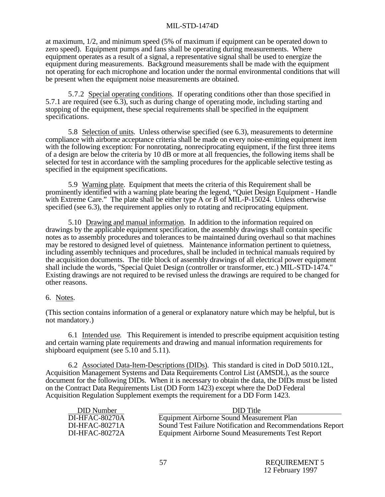at maximum, 1/2, and minimum speed (5% of maximum if equipment can be operated down to zero speed). Equipment pumps and fans shall be operating during measurements. Where equipment operates as a result of a signal, a representative signal shall be used to energize the equipment during measurements. Background measurements shall be made with the equipment not operating for each microphone and location under the normal environmental conditions that will be present when the equipment noise measurements are obtained.

5.7.2 Special operating conditions. If operating conditions other than those specified in 5.7.1 are required (see 6.3), such as during change of operating mode, including starting and stopping of the equipment, these special requirements shall be specified in the equipment specifications.

5.8 Selection of units. Unless otherwise specified (see 6.3), measurements to determine compliance with airborne acceptance criteria shall be made on every noise-emitting equipment item with the following exception: For nonrotating, nonreciprocating equipment, if the first three items of a design are below the criteria by 10 dB or more at all frequencies, the following items shall be selected for test in accordance with the sampling procedures for the applicable selective testing as specified in the equipment specifications.

5.9 Warning plate. Equipment that meets the criteria of this Requirement shall be prominently identified with a warning plate bearing the legend, "Quiet Design Equipment - Handle with Extreme Care." The plate shall be either type A or B of MIL-P-15024. Unless otherwise specified (see 6.3), the requirement applies only to rotating and reciprocating equipment.

5.10 Drawing and manual information. In addition to the information required on drawings by the applicable equipment specification, the assembly drawings shall contain specific notes as to assembly procedures and tolerances to be maintained during overhaul so that machines may be restored to designed level of quietness. Maintenance information pertinent to quietness, including assembly techniques and procedures, shall be included in technical manuals required by the acquisition documents. The title block of assembly drawings of all electrical power equipment shall include the words, "Special Quiet Design (controller or transformer, etc.) MIL-STD-1474." Existing drawings are not required to be revised unless the drawings are required to be changed for other reasons.

### 6. Notes.

(This section contains information of a general or explanatory nature which may be helpful, but is not mandatory.)

6.1 Intended use. This Requirement is intended to prescribe equipment acquisition testing and certain warning plate requirements and drawing and manual information requirements for shipboard equipment (see 5.10 and 5.11).

6.2 Associated Data-Item-Descriptions (DIDs). This standard is cited in DoD 5010.12L, Acquisition Management Systems and Data Requirements Control List (AMSDL), as the source document for the following DIDs. When it is necessary to obtain the data, the DIDs must be listed on the Contract Data Requirements List (DD Form 1423) except where the DoD Federal Acquisition Regulation Supplement exempts the requirement for a DD Form 1423.

| DID Number     | DID Title                                                  |
|----------------|------------------------------------------------------------|
| DI-HFAC-80270A | Equipment Airborne Sound Measurement Plan                  |
| DI-HFAC-80271A | Sound Test Failure Notification and Recommendations Report |
| DI-HFAC-80272A | Equipment Airborne Sound Measurements Test Report          |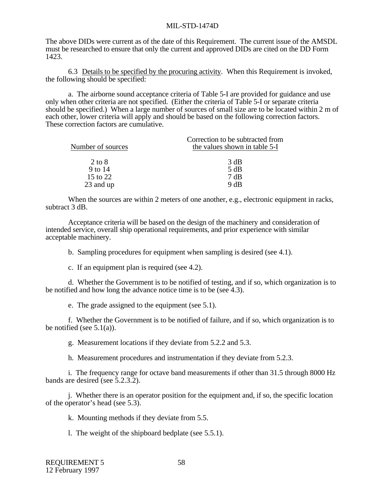The above DIDs were current as of the date of this Requirement. The current issue of the AMSDL must be researched to ensure that only the current and approved DIDs are cited on the DD Form 1423.

6.3 Details to be specified by the procuring activity. When this Requirement is invoked, the following should be specified:

a. The airborne sound acceptance criteria of Table 5-I are provided for guidance and use only when other criteria are not specified. (Either the criteria of Table 5-I or separate criteria should be specified.) When a large number of sources of small size are to be located within 2 m of each other, lower criteria will apply and should be based on the following correction factors. These correction factors are cumulative.

| Number of sources | Correction to be subtracted from<br>the values shown in table 5-I |
|-------------------|-------------------------------------------------------------------|
| 2 to 8            | 3 dB                                                              |
| 9 to $14$         | 5 dB                                                              |
| 15 to 22          | 7 dB                                                              |
| 23 and up         | 9 dB                                                              |

When the sources are within 2 meters of one another, e.g., electronic equipment in racks, subtract 3 dB.

Acceptance criteria will be based on the design of the machinery and consideration of intended service, overall ship operational requirements, and prior experience with similar acceptable machinery.

b. Sampling procedures for equipment when sampling is desired (see 4.1).

c. If an equipment plan is required (see 4.2).

d. Whether the Government is to be notified of testing, and if so, which organization is to be notified and how long the advance notice time is to be (see 4.3).

e. The grade assigned to the equipment (see 5.1).

f. Whether the Government is to be notified of failure, and if so, which organization is to be notified (see  $5.1(a)$ ).

g. Measurement locations if they deviate from 5.2.2 and 5.3.

h. Measurement procedures and instrumentation if they deviate from 5.2.3.

i. The frequency range for octave band measurements if other than 31.5 through 8000 Hz bands are desired (see 5.2.3.2).

j. Whether there is an operator position for the equipment and, if so, the specific location of the operator's head (see 5.3).

k. Mounting methods if they deviate from 5.5.

l. The weight of the shipboard bedplate (see 5.5.1).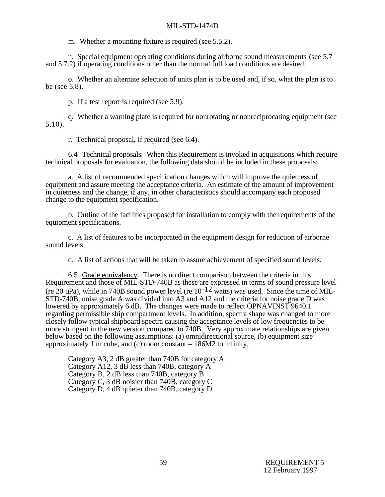m. Whether a mounting fixture is required (see 5.5.2).

n. Special equipment operating conditions during airborne sound measurements (see 5.7) and 5.7.2) if operating conditions other than the normal full load conditions are desired.

o. Whether an alternate selection of units plan is to be used and, if so, what the plan is to be (see 5.8).

p. If a test report is required (see 5.9).

q. Whether a warning plate is required for nonrotating or nonreciprocating equipment (see 5.10).

r. Technical proposal, if required (see 6.4).

6.4 Technical proposals. When this Requirement is invoked in acquisitions which require technical proposals for evaluation, the following data should be included in these proposals:

a. A list of recommended specification changes which will improve the quietness of equipment and assure meeting the acceptance criteria. An estimate of the amount of improvement in quietness and the change, if any, in other characteristics should accompany each proposed change to the equipment specification.

b. Outline of the facilities proposed for installation to comply with the requirements of the equipment specifications.

c. A list of features to be incorporated in the equipment design for reduction of airborne sound levels.

d. A list of actions that will be taken to assure achievement of specified sound levels.

6.5 Grade equivalency. There is no direct comparison between the criteria in this Requirement and those of MIL-STD-740B as these are expressed in terms of sound pressure level (re 20  $\mu$ Pa), while in 740B sound power level (re 10<sup>-12</sup> watts) was used. Since the time of MIL-STD-740B, noise grade A was divided into A3 and A12 and the criteria for noise grade D was lowered by approximately 6 dB. The changes were made to reflect OPNAVINST 9640.1 regarding permissible ship compartment levels. In addition, spectra shape was changed to more closely follow typical shipboard spectra causing the acceptance levels of low frequencies to be more stringent in the new version compared to 740B. Very approximate relationships are given below based on the following assumptions: (a) omnidirectional source, (b) equipment size approximately 1 m cube, and (c) room constant  $= 186M2$  to infinity.

Category A3, 2 dB greater than 740B for category A Category A12, 3 dB less than 740B, category A Category B, 2 dB less than 740B, category B Category C, 3 dB noisier than 740B, category C Category D, 4 dB quieter than 740B, category D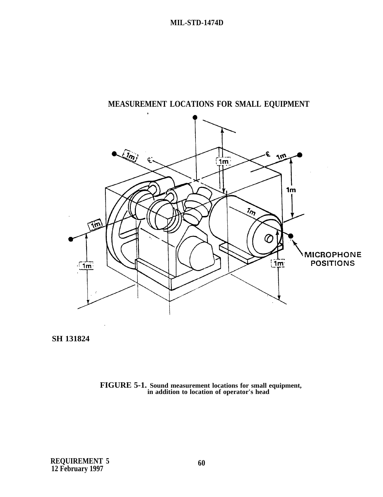# **MEASUREMENT LOCATIONS FOR SMALL EQUIPMENT**



**SH 131824**

**FIGURE 5-1. Sound measurement locations for small equipment, in addition to location of operator's head**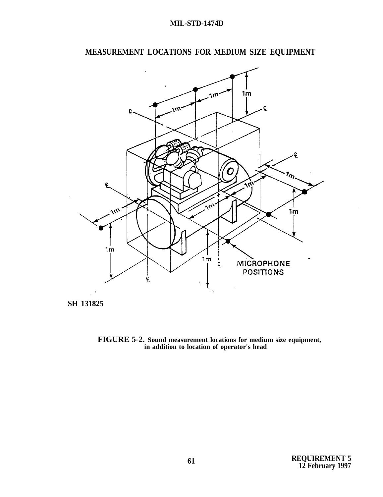

## **MEASUREMENT LOCATIONS FOR MEDIUM SIZE EQUIPMENT**

**SH 131825**

**FIGURE 5-2. Sound measurement locations for medium size equipment, in addition to location of operator's head**

**61 REQUIREMENT 5 12 February 1997**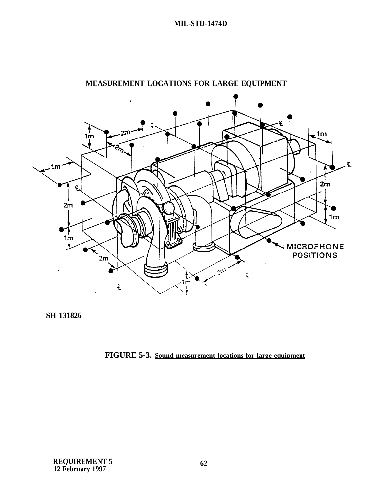

# **MEASUREMENT LOCATIONS FOR LARGE EQUIPMENT**

**SH 131826**

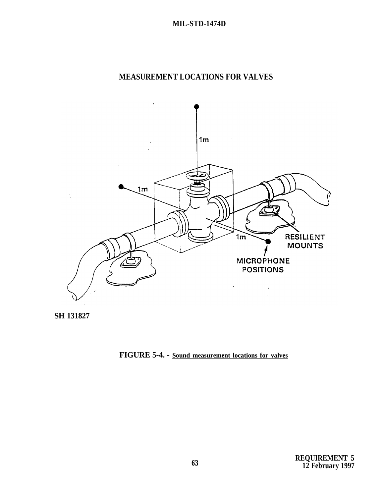# **MEASUREMENT LOCATIONS FOR VALVES**



**SH 131827**

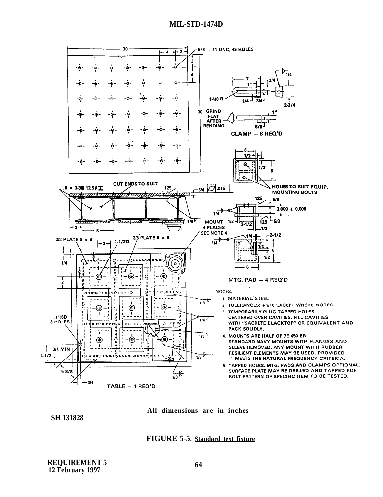

**All dimensions are in inches**

**SH 131828**

## **FIGURE 5-5. Standard text fixture**

**REQUIREMENT 5 12 February 1997 <sup>64</sup>**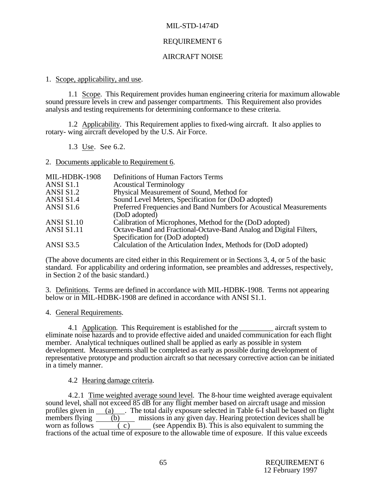## REQUIREMENT 6

### AIRCRAFT NOISE

1. Scope, applicability, and use.

1.1 Scope. This Requirement provides human engineering criteria for maximum allowable sound pressure levels in crew and passenger compartments. This Requirement also provides analysis and testing requirements for determining conformance to these criteria.

1.2 Applicability. This Requirement applies to fixed-wing aircraft. It also applies to rotary- wing aircraft developed by the U.S. Air Force.

1.3 Use. See 6.2.

2. Documents applicable to Requirement 6.

| MIL-HDBK-1908         | <b>Definitions of Human Factors Terms</b>                          |
|-----------------------|--------------------------------------------------------------------|
| ANSI S1.1             | <b>Acoustical Terminology</b>                                      |
| ANSI S <sub>1.2</sub> | Physical Measurement of Sound, Method for                          |
| ANSI S <sub>1.4</sub> | Sound Level Meters, Specification for (DoD adopted)                |
| ANSI S <sub>1.6</sub> | Preferred Frequencies and Band Numbers for Acoustical Measurements |
|                       | (DoD adopted)                                                      |
| <b>ANSI S1.10</b>     | Calibration of Microphones, Method for the (DoD adopted)           |
| <b>ANSI S1.11</b>     | Octave-Band and Fractional-Octave-Band Analog and Digital Filters, |
|                       | Specification for (DoD adopted)                                    |
| ANSI S3.5             | Calculation of the Articulation Index, Methods for (DoD adopted)   |
|                       |                                                                    |

(The above documents are cited either in this Requirement or in Sections 3, 4, or 5 of the basic standard. For applicability and ordering information, see preambles and addresses, respectively, in Section 2 of the basic standard.)

3. Definitions. Terms are defined in accordance with MIL-HDBK-1908. Terms not appearing below or in MIL-HDBK-1908 are defined in accordance with ANSI S1.1.

4. General Requirements.

4.1 Application. This Requirement is established for the \_\_\_\_\_\_\_\_\_ aircraft system to eliminate noise hazards and to provide effective aided and unaided communication for each flight member. Analytical techniques outlined shall be applied as early as possible in system development. Measurements shall be completed as early as possible during development of representative prototype and production aircraft so that necessary corrective action can be initiated in a timely manner.

4.2 Hearing damage criteria.

4.2.1 Time weighted average sound level. The 8-hour time weighted average equivalent sound level, shall not exceed 85 dB for any flight member based on aircraft usage and mission profiles given in  $\qquad$  (a)  $\qquad$ . The total daily exposure selected in Table 6-I shall be based on flight members flying (b) missions in any given day. Hearing protection devices shall be worn as follows (c) (see Appendix B). This is also equivalent to summing the fractions of the actual time of exposure to the allowable time of exposure. If this value exceeds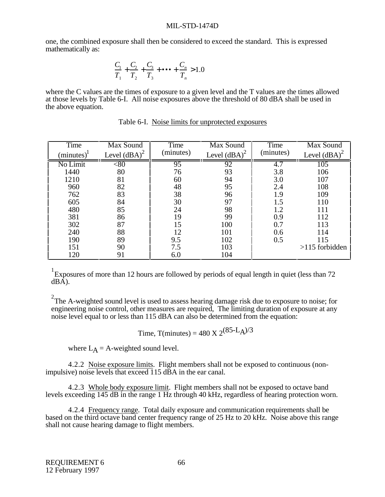one, the combined exposure shall then be considered to exceed the standard. This is expressed mathematically as:

$$
\frac{C_1}{T_1} + \frac{C_2}{T_2} + \frac{C_3}{T_3} + \cdots + \frac{C_n}{T_n} > 1.0
$$

where the C values are the times of exposure to a given level and the T values are the times allowed at those levels by Table 6-I. All noise exposures above the threshold of 80 dBA shall be used in the above equation.

| Time      | <b>Max Sound</b> | <b>Time</b> | <b>Max Sound</b> | <b>Time</b> | Max Sound        |
|-----------|------------------|-------------|------------------|-------------|------------------|
| (minutes) | Level $(dBA)^2$  | (minutes)   | Level $(dBA)^2$  | (minutes)   | Level (dBA)      |
| No Limit  | < 80             | 95          | 92               | 4.7         | $\overline{105}$ |
| 1440      | 80               | 76          | 93               | 3.8         | 106              |
| 1210      | 81               | 60          | 94               | 3.0         | 107              |
| 960       | 82               | 48          | 95               | 2.4         | 108              |
| 762       | 83               | 38          | 96               | 1.9         | 109              |
| 605       | 84               | 30          | 97               | 1.5         | 110              |
| 480       | 85               | 24          | 98               | 1.2         | 111              |
| 381       | 86               | 19          | 99               | 0.9         | 112              |
| 302       | 87               | 15          | 100              | 0.7         | 113              |
| 240       | 88               | 12          | 101              | 0.6         | 114              |
| 190       | 89               | 9.5         | 102              | 0.5         | 115              |
| 151       | 90               | 7.5         | 103              |             | $>115$ forbidden |
| 120       | 91               | 6.0         | 104              |             |                  |

| Table 6-I. Noise limits for unprotected exposures |
|---------------------------------------------------|
|---------------------------------------------------|

<sup>1</sup> Exposures of more than 12 hours are followed by periods of equal length in quiet (less than 72  $dB\bar{A}$ ).

<sup>2</sup>The A-weighted sound level is used to assess hearing damage risk due to exposure to noise; for engineering noise control, other measures are required, The limiting duration of exposure at any noise level equal to or less than 115 dBA can also be determined from the equation:

Time, T(minutes) = 480 X  $2^{(85-L)}/3$ 

where  $L_A = A$ -weighted sound level.

4.2.2 Noise exposure limits. Flight members shall not be exposed to continuous (nonimpulsive) noise levels that exceed 115 dBA in the ear canal.

4.2.3 Whole body exposure limit. Flight members shall not be exposed to octave band levels exceeding 145 dB in the range 1 Hz through 40 kHz, regardless of hearing protection worn.

4.2.4 Frequency range. Total daily exposure and communication requirements shall be based on the third octave band center frequency range of 25 Hz to 20 kHz. Noise above this range shall not cause hearing damage to flight members.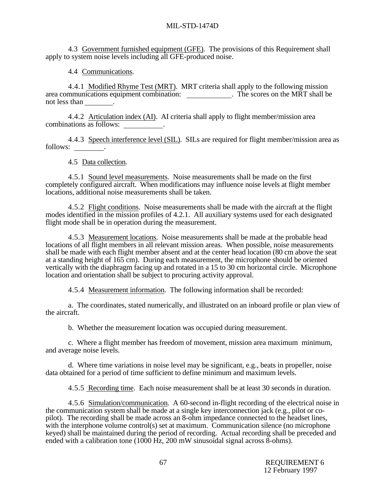4.3 Government furnished equipment (GFE). The provisions of this Requirement shall apply to system noise levels including all GFE-produced noise.

4.4 Communications.

4.4.1 Modified Rhyme Test (MRT). MRT criteria shall apply to the following mission area communications equipment combination: . . . . . . . . . . . . . . . . The scores on the MRT shall be not less than  $\qquad$ .

4.4.2 Articulation index (AI). AI criteria shall apply to flight member/mission area combinations as follows:

4.4.3 Speech interference level (SIL). SILs are required for flight member/mission area as follows: \_\_\_\_\_\_\_\_\_.

4.5 Data collection.

4.5.1 Sound level measurements. Noise measurements shall be made on the first completely configured aircraft. When modifications may influence noise levels at flight member locations, additional noise measurements shall be taken.

4.5.2 Flight conditions. Noise measurements shall be made with the aircraft at the flight modes identified in the mission profiles of 4.2.1. All auxiliary systems used for each designated flight mode shall be in operation during the measurement.

4.5.3 Measurement locations. Noise measurements shall be made at the probable head locations of all flight members in all relevant mission areas. When possible, noise measurements shall be made with each flight member absent and at the center head location (80 cm above the seat at a standing height of 165 cm). During each measurement, the microphone should be oriented vertically with the diaphragm facing up and rotated in a 15 to 30 cm horizontal circle. Microphone location and orientation shall be subject to procuring activity approval.

4.5.4 Measurement information. The following information shall be recorded:

a. The coordinates, stated numerically, and illustrated on an inboard profile or plan view of the aircraft.

b. Whether the measurement location was occupied during measurement.

c. Where a flight member has freedom of movement, mission area maximum minimum, and average noise levels.

d. Where time variations in noise level may be significant, e.g., beats in propeller, noise data obtained for a period of time sufficient to define minimum and maximum levels.

4.5.5 Recording time. Each noise measurement shall be at least 30 seconds in duration.

4.5.6 Simulation/communication. A 60-second in-flight recording of the electrical noise in the communication system shall be made at a single key interconnection jack (e.g., pilot or copilot). The recording shall be made across an 8-ohm impedance connected to the headset lines, with the interphone volume control(s) set at maximum. Communication silence (no microphone keyed) shall be maintained during the period of recording. Actual recording shall be preceded and ended with a calibration tone (1000 Hz, 200 mW sinusoidal signal across  $\overline{8}$ -ohms).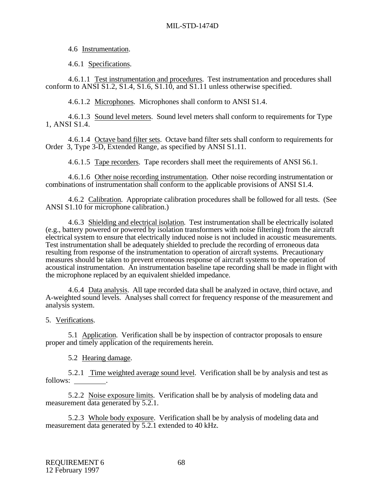4.6 Instrumentation.

4.6.1 Specifications.

4.6.1.1 Test instrumentation and procedures. Test instrumentation and procedures shall conform to ANSI S1.2, S1.4, S1.6, S1.10, and S1.11 unless otherwise specified.

4.6.1.2 Microphones. Microphones shall conform to ANSI S1.4.

4.6.1.3 Sound level meters. Sound level meters shall conform to requirements for Type 1, ANSI S1.4.

4.6.1.4 Octave band filter sets. Octave band filter sets shall conform to requirements for Order 3, Type 3-D, Extended Range, as specified by ANSI S1.11.

4.6.1.5 Tape recorders. Tape recorders shall meet the requirements of ANSI S6.1.

4.6.1.6 Other noise recording instrumentation. Other noise recording instrumentation or combinations of instrumentation shall conform to the applicable provisions of ANSI S1.4.

4.6.2 Calibration. Appropriate calibration procedures shall be followed for all tests. (See ANSI S1.10 for microphone calibration.)

4.6.3 Shielding and electrical isolation. Test instrumentation shall be electrically isolated (e.g., battery powered or powered by isolation transformers with noise filtering) from the aircraft electrical system to ensure that electrically induced noise is not included in acoustic measurements. Test instrumentation shall be adequately shielded to preclude the recording of erroneous data resulting from response of the instrumentation to operation of aircraft systems. Precautionary measures should be taken to prevent erroneous response of aircraft systems to the operation of acoustical instrumentation. An instrumentation baseline tape recording shall be made in flight with the microphone replaced by an equivalent shielded impedance.

4.6.4 Data analysis. All tape recorded data shall be analyzed in octave, third octave, and A-weighted sound levels. Analyses shall correct for frequency response of the measurement and analysis system.

5. Verifications.

5.1 Application. Verification shall be by inspection of contractor proposals to ensure proper and timely application of the requirements herein.

5.2 Hearing damage.

5.2.1 Time weighted average sound level. Verification shall be by analysis and test as follows: \_\_\_\_\_\_\_\_\_\_.

5.2.2 Noise exposure limits. Verification shall be by analysis of modeling data and measurement data generated by 5.2.1.

5.2.3 Whole body exposure. Verification shall be by analysis of modeling data and measurement data generated by 5.2.1 extended to 40 kHz.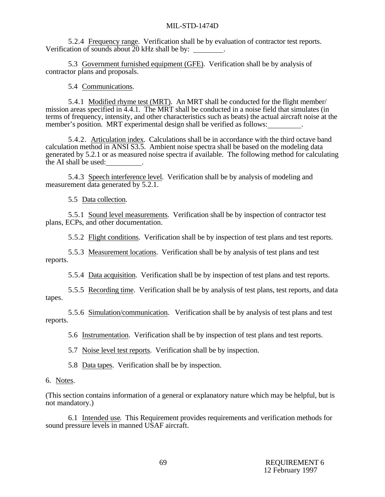5.2.4 Frequency range. Verification shall be by evaluation of contractor test reports. Verification of sounds about  $\overline{20}$  kHz shall be by:

5.3 Government furnished equipment (GFE). Verification shall be by analysis of contractor plans and proposals.

5.4 Communications.

5.4.1 Modified rhyme test (MRT). An MRT shall be conducted for the flight member/ mission areas specified in 4.4.1. The MRT shall be conducted in a noise field that simulates (in terms of frequency, intensity, and other characteristics such as beats) the actual aircraft noise at the member's position. MRT experimental design shall be verified as follows:

5.4.2. Articulation index. Calculations shall be in accordance with the third octave band calculation method in ANSI S3.5. Ambient noise spectra shall be based on the modeling data generated by 5.2.1 or as measured noise spectra if available. The following method for calculating the AI shall be used:

5.4.3 Speech interference level. Verification shall be by analysis of modeling and measurement data generated by 5.2.1.

5.5 Data collection.

5.5.1 Sound level measurements. Verification shall be by inspection of contractor test plans, ECPs, and other documentation.

5.5.2 Flight conditions. Verification shall be by inspection of test plans and test reports.

5.5.3 Measurement locations. Verification shall be by analysis of test plans and test reports.

5.5.4 Data acquisition. Verification shall be by inspection of test plans and test reports.

5.5.5 Recording time. Verification shall be by analysis of test plans, test reports, and data tapes.

5.5.6 Simulation/communication. Verification shall be by analysis of test plans and test reports.

5.6 Instrumentation. Verification shall be by inspection of test plans and test reports.

5.7 Noise level test reports. Verification shall be by inspection.

5.8 Data tapes. Verification shall be by inspection.

### 6. Notes.

(This section contains information of a general or explanatory nature which may be helpful, but is not mandatory.)

6.1 Intended use. This Requirement provides requirements and verification methods for sound pressure levels in manned USAF aircraft.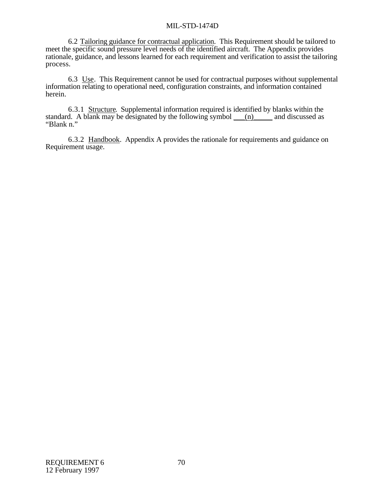6.2 Tailoring guidance for contractual application. This Requirement should be tailored to meet the specific sound pressure level needs of the identified aircraft. The Appendix provides rationale, guidance, and lessons learned for each requirement and verification to assist the tailoring process.

6.3 Use. This Requirement cannot be used for contractual purposes without supplemental information relating to operational need, configuration constraints, and information contained herein.

6.3.1 Structure. Supplemental information required is identified by blanks within the standard. A blank may be designated by the following symbol  $(n)$  and discussed as "Blank n."

6.3.2 Handbook. Appendix A provides the rationale for requirements and guidance on Requirement usage.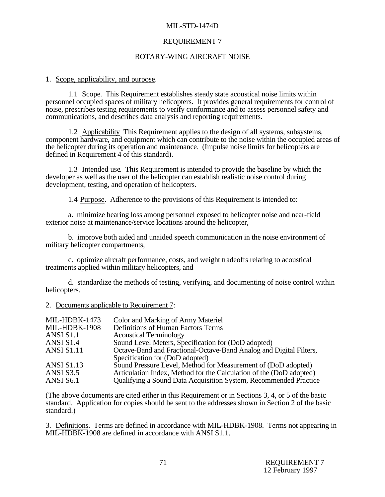### REQUIREMENT 7

### ROTARY-WING AIRCRAFT NOISE

#### 1. Scope, applicability, and purpose.

1.1 Scope. This Requirement establishes steady state acoustical noise limits within personnel occupied spaces of military helicopters. It provides general requirements for control of noise, prescribes testing requirements to verify conformance and to assess personnel safety and communications, and describes data analysis and reporting requirements.

1.2 Applicability This Requirement applies to the design of all systems, subsystems, component hardware, and equipment which can contribute to the noise within the occupied areas of the helicopter during its operation and maintenance. (Impulse noise limits for helicopters are defined in Requirement 4 of this standard).

1.3 Intended use. This Requirement is intended to provide the baseline by which the developer as well as the user of the helicopter can establish realistic noise control during development, testing, and operation of helicopters.

1.4 Purpose. Adherence to the provisions of this Requirement is intended to:

a. minimize hearing loss among personnel exposed to helicopter noise and near-field exterior noise at maintenance/service locations around the helicopter,

b. improve both aided and unaided speech communication in the noise environment of military helicopter compartments,

c. optimize aircraft performance, costs, and weight tradeoffs relating to acoustical treatments applied within military helicopters, and

d. standardize the methods of testing, verifying, and documenting of noise control within helicopters.

2. Documents applicable to Requirement 7:

| MIL-HDBK-1473         | Color and Marking of Army Materiel                                  |
|-----------------------|---------------------------------------------------------------------|
| MIL-HDBK-1908         | Definitions of Human Factors Terms                                  |
| ANSI S1.1             | <b>Acoustical Terminology</b>                                       |
| ANSI S <sub>1.4</sub> | Sound Level Meters, Specification for (DoD adopted)                 |
| <b>ANSI S1.11</b>     | Octave-Band and Fractional-Octave-Band Analog and Digital Filters,  |
|                       | Specification for (DoD adopted)                                     |
| <b>ANSI S1.13</b>     | Sound Pressure Level, Method for Measurement of (DoD adopted)       |
| ANSI S3.5             | Articulation Index, Method for the Calculation of the (DoD adopted) |
| ANSI S <sub>6.1</sub> | Qualifying a Sound Data Acquisition System, Recommended Practice    |

(The above documents are cited either in this Requirement or in Sections 3, 4, or 5 of the basic standard. Application for copies should be sent to the addresses shown in Section 2 of the basic standard.)

3. Definitions. Terms are defined in accordance with MIL-HDBK-1908. Terms not appearing in MIL-HDBK-1908 are defined in accordance with ANSI S1.1.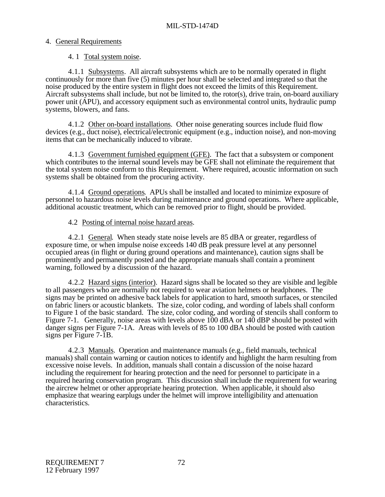## 4. General Requirements

## 4. 1 Total system noise.

4.1.1 Subsystems. All aircraft subsystems which are to be normally operated in flight continuously for more than five (5) minutes per hour shall be selected and integrated so that the noise produced by the entire system in flight does not exceed the limits of this Requirement. Aircraft subsystems shall include, but not be limited to, the rotor(s), drive train, on-board auxiliary power unit (APU), and accessory equipment such as environmental control units, hydraulic pump systems, blowers, and fans.

4.1.2 Other on-board installations. Other noise generating sources include fluid flow devices (e.g., duct noise), electrical/electronic equipment (e.g., induction noise), and non-moving items that can be mechanically induced to vibrate.

4.1.3 Government furnished equipment (GFE). The fact that a subsystem or component which contributes to the internal sound levels may be GFE shall not eliminate the requirement that the total system noise conform to this Requirement. Where required, acoustic information on such systems shall be obtained from the procuring activity.

4.1.4 Ground operations. APUs shall be installed and located to minimize exposure of personnel to hazardous noise levels during maintenance and ground operations. Where applicable, additional acoustic treatment, which can be removed prior to flight, should be provided.

## 4.2 Posting of internal noise hazard areas.

4.2.1 General. When steady state noise levels are 85 dBA or greater, regardless of exposure time, or when impulse noise exceeds 140 dB peak pressure level at any personnel occupied areas (in flight or during ground operations and maintenance), caution signs shall be prominently and permanently posted and the appropriate manuals shall contain a prominent warning, followed by a discussion of the hazard.

4.2.2 Hazard signs (interior). Hazard signs shall be located so they are visible and legible to all passengers who are normally not required to wear aviation helmets or headphones. The signs may be printed on adhesive back labels for application to hard, smooth surfaces, or stenciled on fabric liners or acoustic blankets. The size, color coding, and wording of labels shall conform to Figure 1 of the basic standard. The size, color coding, and wording of stencils shall conform to Figure 7-1. Generally, noise areas with levels above 100 dBA or 140 dBP should be posted with danger signs per Figure 7-1A. Areas with levels of 85 to 100 dBA should be posted with caution signs per Figure 7-1B.

4.2.3 Manuals. Operation and maintenance manuals (e.g., field manuals, technical manuals) shall contain warning or caution notices to identify and highlight the harm resulting from excessive noise levels. In addition, manuals shall contain a discussion of the noise hazard including the requirement for hearing protection and the need for personnel to participate in a required hearing conservation program. This discussion shall include the requirement for wearing the aircrew helmet or other appropriate hearing protection. When applicable, it should also emphasize that wearing earplugs under the helmet will improve intelligibility and attenuation characteristics.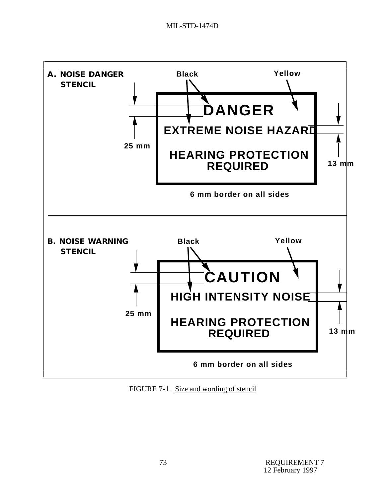

FIGURE 7-1. Size and wording of stencil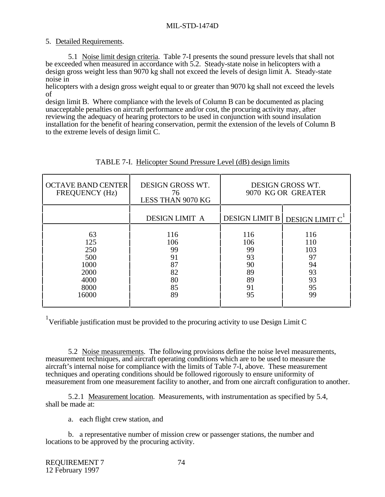## 5. Detailed Requirements.

5.1 Noise limit design criteria. Table 7-I presents the sound pressure levels that shall not be exceeded when measured in accordance with 5.2. Steady-state noise in helicopters with a design gross weight less than 9070 kg shall not exceed the levels of design limit A. Steady-state noise in

helicopters with a design gross weight equal to or greater than 9070 kg shall not exceed the levels of

design limit B. Where compliance with the levels of Column B can be documented as placing unacceptable penalties on aircraft performance and/or cost, the procuring activity may, after reviewing the adequacy of hearing protectors to be used in conjunction with sound insulation installation for the benefit of hearing conservation, permit the extension of the levels of Column B to the extreme levels of design limit C.

| <b>OCTAVE BAND CENTER</b><br><b>FREQUENCY (Hz)</b> | <b>DESIGN GROSS WT.</b><br>76<br>LESS THAN 9070 KG | <b>DESIGN GROSS WT.</b><br>9070 KG OR GREATER |                |  |
|----------------------------------------------------|----------------------------------------------------|-----------------------------------------------|----------------|--|
|                                                    |                                                    |                                               |                |  |
|                                                    | <b>DESIGN LIMIT A</b>                              | <b>DESIGN LIMIT B</b>                         | DESIGN LIMIT C |  |
|                                                    |                                                    |                                               |                |  |
| 63                                                 | 116                                                | 116                                           | 116            |  |
| 125                                                | 106                                                | 106<br>110                                    |                |  |
| 250                                                | 99                                                 | 103<br>99                                     |                |  |
| 500                                                | 91                                                 | 93                                            | 97             |  |
| 1000                                               | 87                                                 | 90<br>94                                      |                |  |
| 2000                                               | 82                                                 | 93<br>89                                      |                |  |
| 4000                                               | 80                                                 | 93<br>89                                      |                |  |
| 8000                                               | 85                                                 | 95<br>91                                      |                |  |
| 16000                                              | 89                                                 | 99<br>95                                      |                |  |
|                                                    |                                                    |                                               |                |  |

TABLE 7-I. Helicopter Sound Pressure Level (dB) design limits

<sup>1</sup> Verifiable justification must be provided to the procuring activity to use Design Limit C

5.2 Noise measurements. The following provisions define the noise level measurements, measurement techniques, and aircraft operating conditions which are to be used to measure the aircraft's internal noise for compliance with the limits of Table 7-I, above. These measurement techniques and operating conditions should be followed rigorously to ensure uniformity of measurement from one measurement facility to another, and from one aircraft configuration to another.

5.2.1 Measurement location. Measurements, with instrumentation as specified by 5.4, shall be made at:

a. each flight crew station, and

b. a representative number of mission crew or passenger stations, the number and locations to be approved by the procuring activity.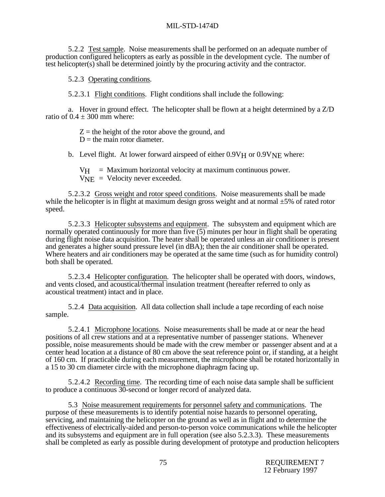5.2.2 Test sample. Noise measurements shall be performed on an adequate number of production configured helicopters as early as possible in the development cycle. The number of test helicopter(s) shall be determined jointly by the procuring activity and the contractor.

5.2.3 Operating conditions.

5.2.3.1 Flight conditions. Flight conditions shall include the following:

a. Hover in ground effect. The helicopter shall be flown at a height determined by a Z/D ratio of  $0.4 \pm 300$  mm where:

> $Z =$  the height of the rotor above the ground, and  $D =$  the main rotor diameter.

b. Level flight. At lower forward airspeed of either  $0.9V$ H or  $0.9V$ <sub>NE</sub> where:

 $V_H$  = Maximum horizontal velocity at maximum continuous power.  $VNE = Velocity$  never exceeded.

5.2.3.2 Gross weight and rotor speed conditions. Noise measurements shall be made while the helicopter is in flight at maximum design gross weight and at normal  $\pm 5\%$  of rated rotor speed.

5.2.3.3 Helicopter subsystems and equipment. The subsystem and equipment which are normally operated continuously for more than five  $(5)$  minutes per hour in flight shall be operating during flight noise data acquisition. The heater shall be operated unless an air conditioner is present and generates a higher sound pressure level (in dBA); then the air conditioner shall be operated. Where heaters and air conditioners may be operated at the same time (such as for humidity control) both shall be operated.

5.2.3.4 Helicopter configuration. The helicopter shall be operated with doors, windows, and vents closed, and acoustical/thermal insulation treatment (hereafter referred to only as acoustical treatment) intact and in place.

5.2.4 Data acquisition. All data collection shall include a tape recording of each noise sample.

5.2.4.1 Microphone locations. Noise measurements shall be made at or near the head positions of all crew stations and at a representative number of passenger stations. Whenever possible, noise measurements should be made with the crew member or passenger absent and at a center head location at a distance of 80 cm above the seat reference point or, if standing, at a height of 160 cm. If practicable during each measurement, the microphone shall be rotated horizontally in a 15 to 30 cm diameter circle with the microphone diaphragm facing up.

5.2.4.2 Recording time. The recording time of each noise data sample shall be sufficient to produce a continuous 30-second or longer record of analyzed data.

5.3 Noise measurement requirements for personnel safety and communications. The purpose of these measurements is to identify potential noise hazards to personnel operating, servicing, and maintaining the helicopter on the ground as well as in flight and to determine the effectiveness of electrically-aided and person-to-person voice communications while the helicopter and its subsystems and equipment are in full operation (see also 5.2.3.3). These measurements shall be completed as early as possible during development of prototype and production helicopters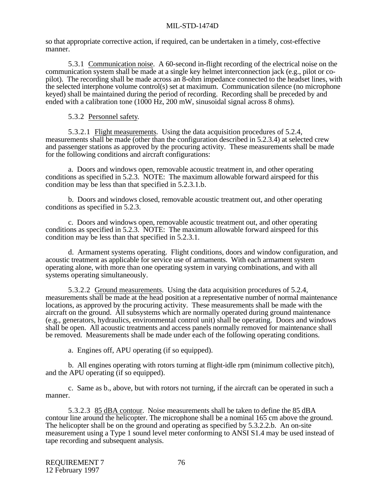so that appropriate corrective action, if required, can be undertaken in a timely, cost-effective manner.

5.3.1 Communication noise. A 60-second in-flight recording of the electrical noise on the communication system shall be made at a single key helmet interconnection jack (e.g., pilot or copilot). The recording shall be made across an 8-ohm impedance connected to the headset lines, with the selected interphone volume control(s) set at maximum. Communication silence (no microphone keyed) shall be maintained during the period of recording. Recording shall be preceded by and ended with a calibration tone (1000 Hz, 200 mW, sinusoidal signal across 8 ohms).

## 5.3.2 Personnel safety.

5.3.2.1 Flight measurements. Using the data acquisition procedures of 5.2.4, measurements shall be made (other than the configuration described in 5.2.3.4) at selected crew and passenger stations as approved by the procuring activity. These measurements shall be made for the following conditions and aircraft configurations:

a. Doors and windows open, removable acoustic treatment in, and other operating conditions as specified in 5.2.3. NOTE: The maximum allowable forward airspeed for this condition may be less than that specified in 5.2.3.1.b.

b. Doors and windows closed, removable acoustic treatment out, and other operating conditions as specified in 5.2.3.

c. Doors and windows open, removable acoustic treatment out, and other operating conditions as specified in 5.2.3. NOTE: The maximum allowable forward airspeed for this condition may be less than that specified in 5.2.3.1.

d. Armament systems operating. Flight conditions, doors and window configuration, and acoustic treatment as applicable for service use of armaments. With each armament system operating alone, with more than one operating system in varying combinations, and with all systems operating simultaneously.

5.3.2.2 Ground measurements. Using the data acquisition procedures of 5.2.4, measurements shall be made at the head position at a representative number of normal maintenance locations, as approved by the procuring activity. These measurements shall be made with the aircraft on the ground. All subsystems which are normally operated during ground maintenance (e.g., generators, hydraulics, environmental control unit) shall be operating. Doors and windows shall be open. All acoustic treatments and access panels normally removed for maintenance shall be removed. Measurements shall be made under each of the following operating conditions.

a. Engines off, APU operating (if so equipped).

b. All engines operating with rotors turning at flight-idle rpm (minimum collective pitch), and the APU operating (if so equipped).

c. Same as b., above, but with rotors not turning, if the aircraft can be operated in such a manner.

5.3.2.3 85 dBA contour. Noise measurements shall be taken to define the 85 dBA contour line around the helicopter. The microphone shall be a nominal 165 cm above the ground. The helicopter shall be on the ground and operating as specified by 5.3.2.2.b. An on-site measurement using a Type 1 sound level meter conforming to ANSI S1.4 may be used instead of tape recording and subsequent analysis.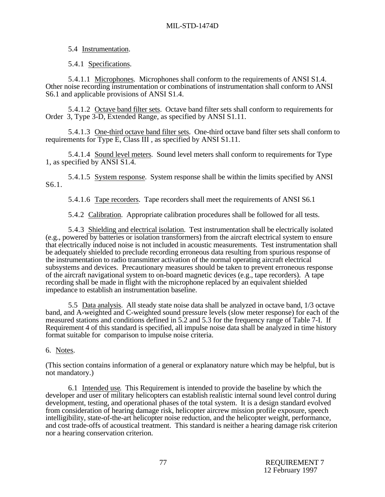5.4 Instrumentation.

5.4.1 Specifications.

5.4.1.1 Microphones. Microphones shall conform to the requirements of ANSI S1.4. Other noise recording instrumentation or combinations of instrumentation shall conform to ANSI S6.1 and applicable provisions of ANSI S1.4.

5.4.1.2 Octave band filter sets. Octave band filter sets shall conform to requirements for Order 3, Type 3-D, Extended Range, as specified by ANSI S1.11.

5.4.1.3 One-third octave band filter sets. One-third octave band filter sets shall conform to requirements for Type E, Class III , as specified by ANSI S1.11.

5.4.1.4 Sound level meters. Sound level meters shall conform to requirements for Type 1, as specified by ANSI S1.4.

5.4.1.5 System response. System response shall be within the limits specified by ANSI S6.1.

5.4.1.6 Tape recorders. Tape recorders shall meet the requirements of ANSI S6.1

5.4.2 Calibration. Appropriate calibration procedures shall be followed for all tests.

5.4.3 Shielding and electrical isolation. Test instrumentation shall be electrically isolated (e.g., powered by batteries or isolation transformers) from the aircraft electrical system to ensure that electrically induced noise is not included in acoustic measurements. Test instrumentation shall be adequately shielded to preclude recording erroneous data resulting from spurious response of the instrumentation to radio transmitter activation of the normal operating aircraft electrical subsystems and devices. Precautionary measures should be taken to prevent erroneous response of the aircraft navigational system to on-board magnetic devices (e.g., tape recorders). A tape recording shall be made in flight with the microphone replaced by an equivalent shielded impedance to establish an instrumentation baseline.

5.5 Data analysis. All steady state noise data shall be analyzed in octave band, 1/3 octave band, and A-weighted and C-weighted sound pressure levels (slow meter response) for each of the measured stations and conditions defined in 5.2 and 5.3 for the frequency range of Table 7-I. If Requirement 4 of this standard is specified, all impulse noise data shall be analyzed in time history format suitable for comparison to impulse noise criteria.

6. Notes.

(This section contains information of a general or explanatory nature which may be helpful, but is not mandatory.)

6.1 Intended use. This Requirement is intended to provide the baseline by which the developer and user of military helicopters can establish realistic internal sound level control during development, testing, and operational phases of the total system. It is a design standard evolved from consideration of hearing damage risk, helicopter aircrew mission profile exposure, speech intelligibility, state-of-the-art helicopter noise reduction, and the helicopter weight, performance, and cost trade-offs of acoustical treatment. This standard is neither a hearing damage risk criterion nor a hearing conservation criterion.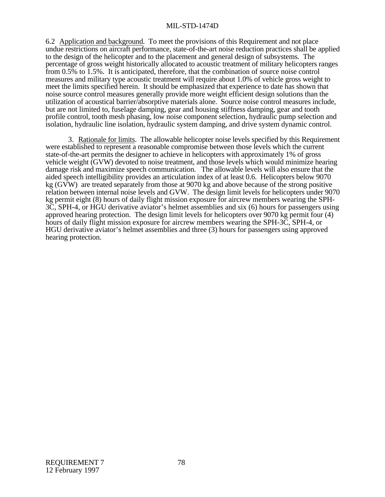6.2 Application and background. To meet the provisions of this Requirement and not place undue restrictions on aircraft performance, state-of-the-art noise reduction practices shall be applied to the design of the helicopter and to the placement and general design of subsystems. The percentage of gross weight historically allocated to acoustic treatment of military helicopters ranges from 0.5% to 1.5%. It is anticipated, therefore, that the combination of source noise control measures and military type acoustic treatment will require about 1.0% of vehicle gross weight to meet the limits specified herein. It should be emphasized that experience to date has shown that noise source control measures generally provide more weight efficient design solutions than the utilization of acoustical barrier/absorptive materials alone. Source noise control measures include, but are not limited to, fuselage damping, gear and housing stiffness damping, gear and tooth profile control, tooth mesh phasing, low noise component selection, hydraulic pump selection and isolation, hydraulic line isolation, hydraulic system damping, and drive system dynamic control.

3. Rationale for limits. The allowable helicopter noise levels specified by this Requirement were established to represent a reasonable compromise between those levels which the current state-of-the-art permits the designer to achieve in helicopters with approximately 1% of gross vehicle weight (GVW) devoted to noise treatment, and those levels which would minimize hearing damage risk and maximize speech communication. The allowable levels will also ensure that the aided speech intelligibility provides an articulation index of at least 0.6. Helicopters below 9070 kg (GVW) are treated separately from those at 9070 kg and above because of the strong positive relation between internal noise levels and GVW. The design limit levels for helicopters under 9070 kg permit eight (8) hours of daily flight mission exposure for aircrew members wearing the SPH-3C, SPH-4, or HGU derivative aviator's helmet assemblies and six (6) hours for passengers using approved hearing protection. The design limit levels for helicopters over 9070 kg permit four (4) hours of daily flight mission exposure for aircrew members wearing the SPH-3C, SPH-4, or HGU derivative aviator's helmet assemblies and three (3) hours for passengers using approved hearing protection.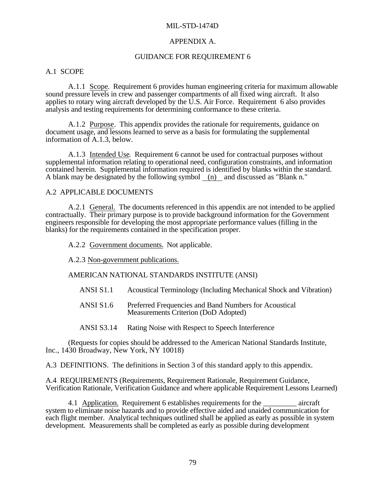#### APPENDIX A.

#### GUIDANCE FOR REQUIREMENT 6

#### A.1 SCOPE

A.1.1 Scope. Requirement 6 provides human engineering criteria for maximum allowable sound pressure levels in crew and passenger compartments of all fixed wing aircraft. It also applies to rotary wing aircraft developed by the U.S. Air Force. Requirement 6 also provides analysis and testing requirements for determining conformance to these criteria.

A.1.2 Purpose. This appendix provides the rationale for requirements, guidance on document usage, and lessons learned to serve as a basis for formulating the supplemental information of A.1.3, below.

A.1.3 Intended Use. Requirement 6 cannot be used for contractual purposes without supplemental information relating to operational need, configuration constraints, and information contained herein. Supplemental information required is identified by blanks within the standard. A blank may be designated by the following symbol (n) and discussed as "Blank n."

### A.2 APPLICABLE DOCUMENTS

A.2.1 General. The documents referenced in this appendix are not intended to be applied contractually. Their primary purpose is to provide background information for the Government engineers responsible for developing the most appropriate performance values (filling in the blanks) for the requirements contained in the specification proper.

#### A.2.2 Government documents. Not applicable.

A.2.3 Non-government publications.

#### AMERICAN NATIONAL STANDARDS INSTITUTE (ANSI)

- ANSI S1.1 Acoustical Terminology (Including Mechanical Shock and Vibration)
- ANSI S1.6 Preferred Frequencies and Band Numbers for Acoustical Measurements Criterion (DoD Adopted)
- ANSI S3.14 Rating Noise with Respect to Speech Interference

 (Requests for copies should be addressed to the American National Standards Institute, Inc., 1430 Broadway, New York, NY 10018)

A.3 DEFINITIONS. The definitions in Section 3 of this standard apply to this appendix.

A.4 REQUIREMENTS (Requirements, Requirement Rationale, Requirement Guidance, Verification Rationale, Verification Guidance and where applicable Requirement Lessons Learned)

4.1 Application. Requirement 6 establishes requirements for the \_\_\_\_\_\_\_\_\_ aircraft system to eliminate noise hazards and to provide effective aided and unaided communication for each flight member. Analytical techniques outlined shall be applied as early as possible in system development. Measurements shall be completed as early as possible during development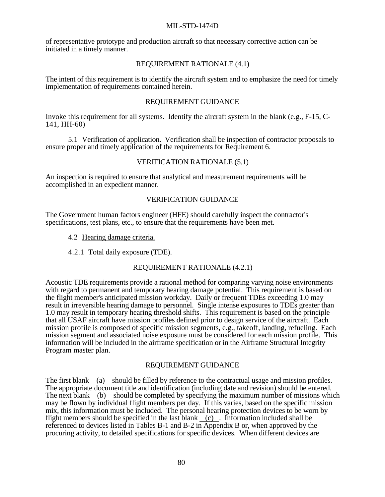of representative prototype and production aircraft so that necessary corrective action can be initiated in a timely manner.

### REQUIREMENT RATIONALE (4.1)

The intent of this requirement is to identify the aircraft system and to emphasize the need for timely implementation of requirements contained herein.

#### REQUIREMENT GUIDANCE

Invoke this requirement for all systems. Identify the aircraft system in the blank (e.g., F-15, C-141, HH-60)

5.1 Verification of application. Verification shall be inspection of contractor proposals to ensure proper and timely application of the requirements for Requirement 6.

### VERIFICATION RATIONALE (5.1)

An inspection is required to ensure that analytical and measurement requirements will be accomplished in an expedient manner.

#### VERIFICATION GUIDANCE

The Government human factors engineer (HFE) should carefully inspect the contractor's specifications, test plans, etc., to ensure that the requirements have been met.

- 4.2 Hearing damage criteria.
- 4.2.1 Total daily exposure (TDE).

#### REQUIREMENT RATIONALE (4.2.1)

Acoustic TDE requirements provide a rational method for comparing varying noise environments with regard to permanent and temporary hearing damage potential. This requirement is based on the flight member's anticipated mission workday. Daily or frequent TDEs exceeding 1.0 may result in irreversible hearing damage to personnel. Single intense exposures to TDEs greater than 1.0 may result in temporary hearing threshold shifts. This requirement is based on the principle that all USAF aircraft have mission profiles defined prior to design service of the aircraft. Each mission profile is composed of specific mission segments, e.g., takeoff, landing, refueling. Each mission segment and associated noise exposure must be considered for each mission profile. This information will be included in the airframe specification or in the Airframe Structural Integrity Program master plan.

#### REQUIREMENT GUIDANCE

The first blank (a) should be filled by reference to the contractual usage and mission profiles. The appropriate document title and identification (including date and revision) should be entered. The next blank (b) should be completed by specifying the maximum number of missions which may be flown by individual flight members per day. If this varies, based on the specific mission mix, this information must be included. The personal hearing protection devices to be worn by flight members should be specified in the last blank (c) . Information included shall be referenced to devices listed in Tables B-1 and B-2 in Appendix B or, when approved by the procuring activity, to detailed specifications for specific devices. When different devices are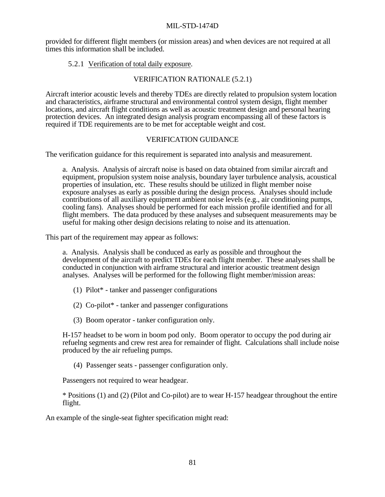provided for different flight members (or mission areas) and when devices are not required at all times this information shall be included.

### 5.2.1 Verification of total daily exposure.

### VERIFICATION RATIONALE (5.2.1)

Aircraft interior acoustic levels and thereby TDEs are directly related to propulsion system location and characteristics, airframe structural and environmental control system design, flight member locations, and aircraft flight conditions as well as acoustic treatment design and personal hearing protection devices. An integrated design analysis program encompassing all of these factors is required if TDE requirements are to be met for acceptable weight and cost.

#### VERIFICATION GUIDANCE

The verification guidance for this requirement is separated into analysis and measurement.

a. Analysis. Analysis of aircraft noise is based on data obtained from similar aircraft and equipment, propulsion system noise analysis, boundary layer turbulence analysis, acoustical properties of insulation, etc. These results should be utilized in flight member noise exposure analyses as early as possible during the design process. Analyses should include contributions of all auxiliary equipment ambient noise levels (e.g., air conditioning pumps, cooling fans). Analyses should be performed for each mission profile identified and for all flight members. The data produced by these analyses and subsequent measurements may be useful for making other design decisions relating to noise and its attenuation.

This part of the requirement may appear as follows:

a. Analysis. Analysis shall be conduced as early as possible and throughout the development of the aircraft to predict TDEs for each flight member. These analyses shall be conducted in conjunction with airframe structural and interior acoustic treatment design analyses. Analyses will be performed for the following flight member/mission areas:

- (1) Pilot\* tanker and passenger configurations
- (2) Co-pilot\* tanker and passenger configurations
- (3) Boom operator tanker configuration only.

H-157 headset to be worn in boom pod only. Boom operator to occupy the pod during air refuelng segments and crew rest area for remainder of flight. Calculations shall include noise produced by the air refueling pumps.

(4) Passenger seats - passenger configuration only.

Passengers not required to wear headgear.

\* Positions (1) and (2) (Pilot and Co-pilot) are to wear H-157 headgear throughout the entire flight.

An example of the single-seat fighter specification might read: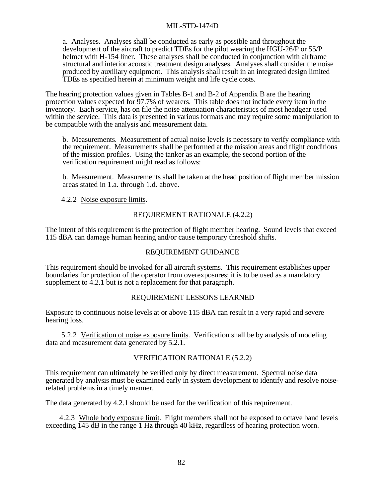a. Analyses. Analyses shall be conducted as early as possible and throughout the development of the aircraft to predict TDEs for the pilot wearing the HGU-26/P or 55/P helmet with H-154 liner. These analyses shall be conducted in conjunction with airframe structural and interior acoustic treatment design analyses. Analyses shall consider the noise produced by auxiliary equipment. This analysis shall result in an integrated design limited TDEs as specified herein at minimum weight and life cycle costs.

The hearing protection values given in Tables B-1 and B-2 of Appendix B are the hearing protection values expected for 97.7% of wearers. This table does not include every item in the inventory. Each service, has on file the noise attenuation characteristics of most headgear used within the service. This data is presented in various formats and may require some manipulation to be compatible with the analysis and measurement data.

b. Measurements. Measurement of actual noise levels is necessary to verify compliance with the requirement. Measurements shall be performed at the mission areas and flight conditions of the mission profiles. Using the tanker as an example, the second portion of the verification requirement might read as follows:

b. Measurement. Measurements shall be taken at the head position of flight member mission areas stated in 1.a. through 1.d. above.

4.2.2 Noise exposure limits.

### REQUIREMENT RATIONALE (4.2.2)

The intent of this requirement is the protection of flight member hearing. Sound levels that exceed 115 dBA can damage human hearing and/or cause temporary threshold shifts.

### REQUIREMENT GUIDANCE

This requirement should be invoked for all aircraft systems. This requirement establishes upper boundaries for protection of the operator from overexposures; it is to be used as a mandatory supplement to 4.2.1 but is not a replacement for that paragraph.

#### REQUIREMENT LESSONS LEARNED

Exposure to continuous noise levels at or above 115 dBA can result in a very rapid and severe hearing loss.

 5.2.2 Verification of noise exposure limits. Verification shall be by analysis of modeling data and measurement data generated by 5.2.1.

## VERIFICATION RATIONALE (5.2.2)

This requirement can ultimately be verified only by direct measurement. Spectral noise data generated by analysis must be examined early in system development to identify and resolve noiserelated problems in a timely manner.

The data generated by 4.2.1 should be used for the verification of this requirement.

 4.2.3 Whole body exposure limit. Flight members shall not be exposed to octave band levels exceeding 145 dB in the range 1 Hz through 40 kHz, regardless of hearing protection worn.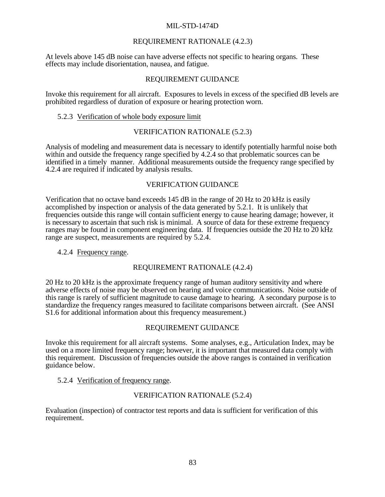## REQUIREMENT RATIONALE (4.2.3)

At levels above 145 dB noise can have adverse effects not specific to hearing organs. These effects may include disorientation, nausea, and fatigue.

### REQUIREMENT GUIDANCE

Invoke this requirement for all aircraft. Exposures to levels in excess of the specified dB levels are prohibited regardless of duration of exposure or hearing protection worn.

#### 5.2.3 Verification of whole body exposure limit

### VERIFICATION RATIONALE (5.2.3)

Analysis of modeling and measurement data is necessary to identify potentially harmful noise both within and outside the frequency range specified by 4.2.4 so that problematic sources can be identified in a timely manner. Additional measurements outside the frequency range specified by 4.2.4 are required if indicated by analysis results.

### VERIFICATION GUIDANCE

Verification that no octave band exceeds 145 dB in the range of 20 Hz to 20 kHz is easily accomplished by inspection or analysis of the data generated by 5.2.1. It is unlikely that frequencies outside this range will contain sufficient energy to cause hearing damage; however, it is necessary to ascertain that such risk is minimal. A source of data for these extreme frequency ranges may be found in component engineering data. If frequencies outside the 20 Hz to 20 kHz range are suspect, measurements are required by 5.2.4.

#### 4.2.4 Frequency range.

#### REQUIREMENT RATIONALE (4.2.4)

20 Hz to 20 kHz is the approximate frequency range of human auditory sensitivity and where adverse effects of noise may be observed on hearing and voice communications. Noise outside of this range is rarely of sufficient magnitude to cause damage to hearing. A secondary purpose is to standardize the frequency ranges measured to facilitate comparisons between aircraft. (See ANSI S1.6 for additional information about this frequency measurement.)

#### REQUIREMENT GUIDANCE

Invoke this requirement for all aircraft systems. Some analyses, e.g., Articulation Index, may be used on a more limited frequency range; however, it is important that measured data comply with this requirement. Discussion of frequencies outside the above ranges is contained in verification guidance below.

5.2.4 Verification of frequency range.

### VERIFICATION RATIONALE (5.2.4)

Evaluation (inspection) of contractor test reports and data is sufficient for verification of this requirement.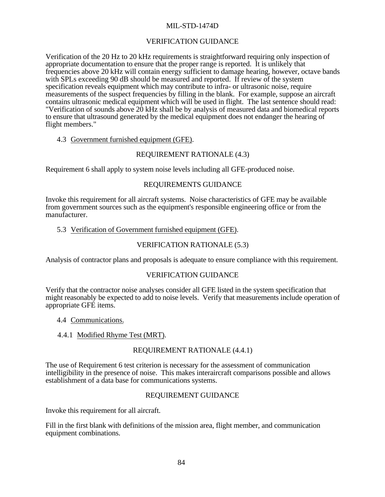## VERIFICATION GUIDANCE

Verification of the 20 Hz to 20 kHz requirements is straightforward requiring only inspection of appropriate documentation to ensure that the proper range is reported. It is unlikely that frequencies above 20 kHz will contain energy sufficient to damage hearing, however, octave bands with SPLs exceeding 90 dB should be measured and reported. If review of the system specification reveals equipment which may contribute to infra- or ultrasonic noise, require measurements of the suspect frequencies by filling in the blank. For example, suppose an aircraft contains ultrasonic medical equipment which will be used in flight. The last sentence should read: "Verification of sounds above 20 kHz shall be by analysis of measured data and biomedical reports to ensure that ultrasound generated by the medical equipment does not endanger the hearing of flight members."

### 4.3 Government furnished equipment (GFE).

## REQUIREMENT RATIONALE (4.3)

Requirement 6 shall apply to system noise levels including all GFE-produced noise.

### REQUIREMENTS GUIDANCE

Invoke this requirement for all aircraft systems. Noise characteristics of GFE may be available from government sources such as the equipment's responsible engineering office or from the manufacturer.

#### 5.3 Verification of Government furnished equipment (GFE).

## VERIFICATION RATIONALE (5.3)

Analysis of contractor plans and proposals is adequate to ensure compliance with this requirement.

## VERIFICATION GUIDANCE

Verify that the contractor noise analyses consider all GFE listed in the system specification that might reasonably be expected to add to noise levels. Verify that measurements include operation of appropriate GFE items.

4.4 Communications.

## 4.4.1 Modified Rhyme Test (MRT).

#### REQUIREMENT RATIONALE (4.4.1)

The use of Requirement 6 test criterion is necessary for the assessment of communication intelligibility in the presence of noise. This makes interaircraft comparisons possible and allows establishment of a data base for communications systems.

## REQUIREMENT GUIDANCE

Invoke this requirement for all aircraft.

Fill in the first blank with definitions of the mission area, flight member, and communication equipment combinations.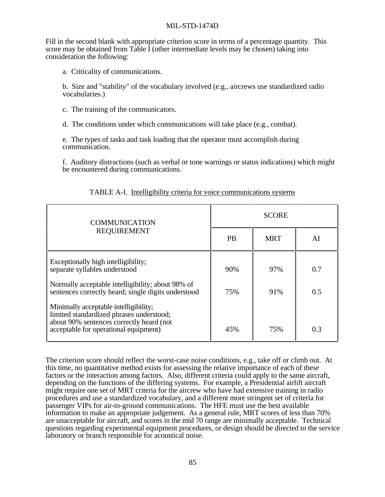Fill in the second blank with appropriate criterion score in terms of a percentage quantity. This score may be obtained from Table I (other intermediate levels may be chosen) taking into consideration the following:

a. Criticality of communications.

b. Size and "stability" of the vocabulary involved (e.g., aircrews use standardized radio vocabularies.)

- c. The training of the communicators.
- d. The conditions under which communications will take place (e.g., combat).

e. The types of tasks and task loading that the operator must accomplish during communication.

f. Auditory distractions (such as verbal or tone warnings or status indications) which might be encountered during communications.

| <b>COMMUNICATION</b>                                                                                                                                                   | <b>SCORE</b> |            |     |  |  |
|------------------------------------------------------------------------------------------------------------------------------------------------------------------------|--------------|------------|-----|--|--|
| <b>REQUIREMENT</b>                                                                                                                                                     | <b>PB</b>    | <b>MRT</b> | AI  |  |  |
| Exceptionally high intelligibility;<br>separate syllables understood                                                                                                   | 90%          | 97%        | 0.7 |  |  |
| Normally acceptable intelligibility; about 98% of<br>sentences correctly heard; single digits understood                                                               | 75%          | 91%        | 0.5 |  |  |
| Minimally acceptable intelligibility;<br>limited standardized phrases understood;<br>about 90% sentences correctly heard (not<br>acceptable for operational equipment) | 45%          | 75%        | 0.3 |  |  |

## TABLE A-I. Intelligibility criteria for voice communications systems

The criterion score should reflect the worst-case noise conditions, e.g., take off or climb out. At this time, no quantitative method exists for assessing the relative importance of each of these factors or the interaction among factors. Also, different criteria could apply to the same aircraft, depending on the functions of the differing systems. For example, a Presidential airlift aircraft might require one set of MRT criteria for the aircrew who have had extensive training in radio procedures and use a standardized vocabulary, and a different more stringent set of criteria for passenger VIPs for air-to-ground communications. The HFE must use the best available information to make an appropriate judgement. As a general rule, MRT scores of less than 70% are unacceptable for aircraft, and scores in the mid 70 range are minimally acceptable. Technical questions regarding experimental equipment procedures, or design should be directed to the service laboratory or branch responsible for acoustical noise.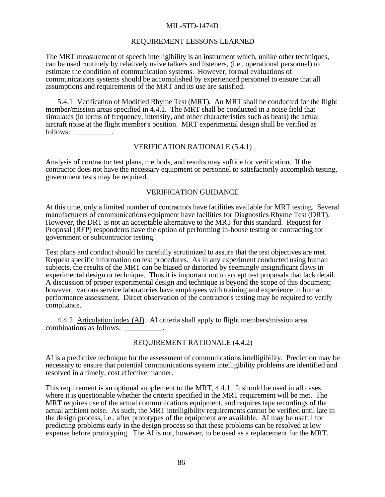#### REQUIREMENT LESSONS LEARNED

The MRT measurement of speech intelligibility is an instrument which, unlike other techniques, can be used routinely by relatively naive talkers and listeners, (i.e., operational personnel) to estimate the condition of communication systems. However, formal evaluations of communications systems should be accomplished by experienced personnel to ensure that all assumptions and requirements of the MRT and its use are satisfied.

 5.4.1 Verification of Modified Rhyme Test (MRT). An MRT shall be conducted for the flight member/mission areas specified in 4.4.1. The MRT shall be conducted in a noise field that simulates (in terms of frequency, intensity, and other characteristics such as beats) the actual aircraft noise at the flight member's position. MRT experimental design shall be verified as follows:

#### VERIFICATION RATIONALE (5.4.1)

Analysis of contractor test plans, methods, and results may suffice for verification. If the contractor does not have the necessary equipment or personnel to satisfactorily accomplish testing, government tests may be required.

#### VERIFICATION GUIDANCE

At this time, only a limited number of contractors have facilities available for MRT testing. Several manufacturers of communications equipment have facilities for Diagnostics Rhyme Test (DRT). However, the DRT is not an acceptable alternative to the MRT for this standard. Request for Proposal (RFP) respondents have the option of performing in-house testing or contracting for government or subcontractor testing.

Test plans and conduct should be carefully scrutinized to assure that the test objectives are met. Request specific information on test procedures. As in any experiment conducted using human subjects, the results of the MRT can be biased or distorted by seemingly insignificant flaws in experimental design or technique. Thus it is important not to accept test proposals that lack detail. A discussion of proper experimental design and technique is beyond the scope of this document; however, various service laboratories have employees with training and experience in human performance assessment. Direct observation of the contractor's testing may be required to verify compliance.

 4.4.2 Articulation index (AI). AI criteria shall apply to flight members/mission area combinations as follows:

### REQUIREMENT RATIONALE (4.4.2)

AI is a predictive technique for the assessment of communications intelligibility. Prediction may be necessary to ensure that potential communications system intelligibility problems are identified and resolved in a timely, cost effective manner.

This requirement is an optional supplement to the MRT, 4.4.1. It should be used in all cases where it is questionable whether the criteria specified in the MRT requirement will be met. The MRT requires use of the actual communications equipment, and requires tape recordings of the actual ambient noise. As such, the MRT intelligibility requirements cannot be verified until late in the design process, i.e., after prototypes of the equipment are available. AI may be useful for predicting problems early in the design process so that these problems can be resolved at low expense before prototyping. The AI is not, however, to be used as a replacement for the MRT.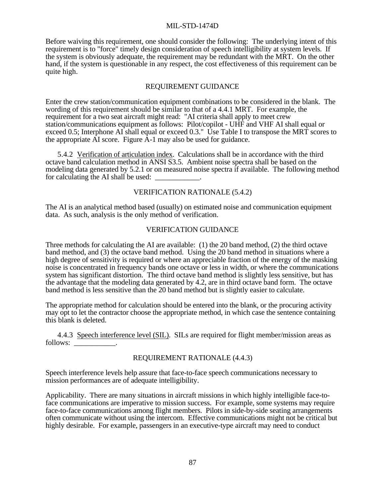Before waiving this requirement, one should consider the following: The underlying intent of this requirement is to "force" timely design consideration of speech intelligibility at system levels. If the system is obviously adequate, the requirement may be redundant with the MRT. On the other hand, if the system is questionable in any respect, the cost effectiveness of this requirement can be quite high.

#### REQUIREMENT GUIDANCE

Enter the crew station/communication equipment combinations to be considered in the blank. The wording of this requirement should be similar to that of a 4.4.1 MRT. For example, the requirement for a two seat aircraft might read: "AI criteria shall apply to meet crew station/communications equipment as follows: Pilot/copilot - UHF and VHF AI shall equal or exceed 0.5; Interphone AI shall equal or exceed 0.3." Use Table I to transpose the MRT scores to the appropriate  $\overline{AI}$  score. Figure  $\overline{A}$ -1 may also be used for guidance.

 5.4.2 Verification of articulation index. Calculations shall be in accordance with the third octave band calculation method in ANSI S3.5. Ambient noise spectra shall be based on the modeling data generated by 5.2.1 or on measured noise spectra if available. The following method for calculating the AI shall be used:

#### VERIFICATION RATIONALE (5.4.2)

The AI is an analytical method based (usually) on estimated noise and communication equipment data. As such, analysis is the only method of verification.

#### VERIFICATION GUIDANCE

Three methods for calculating the AI are available: (1) the 20 band method, (2) the third octave band method, and (3) the octave band method. Using the 20 band method in situations where a high degree of sensitivity is required or where an appreciable fraction of the energy of the masking noise is concentrated in frequency bands one octave or less in width, or where the communications system has significant distortion. The third octave band method is slightly less sensitive, but has the advantage that the modeling data generated by 4.2, are in third octave band form. The octave band method is less sensitive than the 20 band method but is slightly easier to calculate.

The appropriate method for calculation should be entered into the blank, or the procuring activity may opt to let the contractor choose the appropriate method, in which case the sentence containing this blank is deleted.

 4.4.3 Speech interference level (SIL). SILs are required for flight member/mission areas as follows:

### REQUIREMENT RATIONALE (4.4.3)

Speech interference levels help assure that face-to-face speech communications necessary to mission performances are of adequate intelligibility.

Applicability. There are many situations in aircraft missions in which highly intelligible face-toface communications are imperative to mission success. For example, some systems may require face-to-face communications among flight members. Pilots in side-by-side seating arrangements often communicate without using the intercom. Effective communications might not be critical but highly desirable. For example, passengers in an executive-type aircraft may need to conduct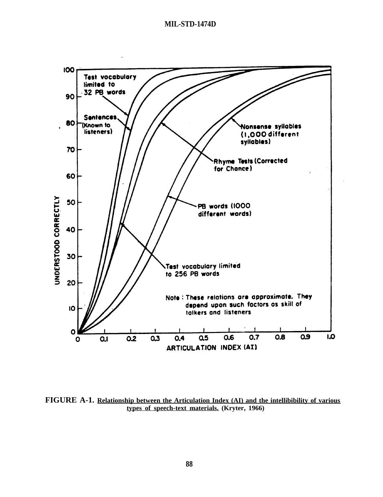

**FIGURE A-1. Relationship between the Articulation Index (AI) and the intellibibility of various types of speech-text materials. (Kryter, 1966)**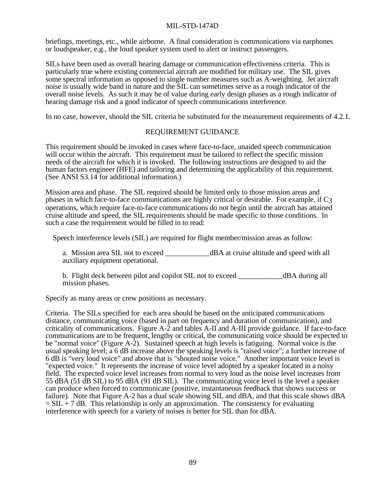briefings, meetings, etc., while airborne. A final consideration is communications via earphones or loudspeaker, e.g., the loud speaker system used to alert or instruct passengers.

SILs have been used as overall hearing damage or communication effectiveness criteria. This is particularly true where existing commercial aircraft are modified for military use. The SIL gives some spectral information as opposed to single number measures such as A-weighting. Jet aircraft noise is usually wide band in nature and the SIL can sometimes serve as a rough indicator of the overall noise levels. As such it may be of value during early design phases as a rough indicator of hearing damage risk and a good indicator of speech communications interference.

In no case, however, should the SIL criteria be substituted for the measurement requirements of 4.2.1.

### REQUIREMENT GUIDANCE

This requirement should be invoked in cases where face-to-face, unaided speech communication will occur within the aircraft. This requirement must be tailored to reflect the specific mission needs of the aircraft for which it is invoked. The following instructions are designed to aid the human factors engineer (HFE) and tailoring and determining the applicability of this requirement. (See ANSI S3.14 for additional information.)

Mission area and phase. The SIL required should be limited only to those mission areas and phases in which face-to-face communications are highly critical or desirable. For example, if C3 operations, which require face-to-face communications do not begin until the aircraft has attained cruise altitude and speed, the SIL requirements should be made specific to those conditions. In such a case the requirement would be filled in to read:

Speech interference levels (SIL) are required for flight member/mission areas as follow:

a. Mission area SIL not to exceed \_\_\_\_\_\_\_\_\_\_\_\_dBA at cruise altitude and speed with all auxiliary equipment operational.

b. Flight deck between pilot and copilot SIL not to exceed \_\_\_\_\_\_\_\_\_\_\_\_dBA during all mission phases.

Specify as many areas or crew positions as necessary.

Criteria. The SILs specified for each area should be based on the anticipated communications distance, communicating voice (based in part on frequency and duration of communication), and criticality of communications. Figure A-2 and tables A-II and A-III provide guidance. If face-to-face communications are to be frequent, lengthy or critical, the communicating voice should be expected to be "normal voice" (Figure A-2). Sustained speech at high levels is fatiguing. Normal voice is the usual speaking level; a 6 dB increase above the speaking levels is "raised voice"; a further increase of 6 dB is "very loud voice" and above that is "shouted noise voice." Another important voice level is "expected voice." It represents the increase of voice level adopted by a speaker located in a noisy field. The expected voice level increases from normal to very loud as the noise level increases from 55 dBA (51 dB SIL) to 95 dBA (91 dB SIL). The communicating voice level is the level a speaker can produce when forced to communicate (positive, instantaneous feedback that shows success or failure). Note that Figure A-2 has a dual scale showing SIL and dBA, and that this scale shows dBA  $=$  SIL + 7 dB. This relationship is only an approximation. The consistency for evaluating interference with speech for a variety of noises is better for SIL than for dBA.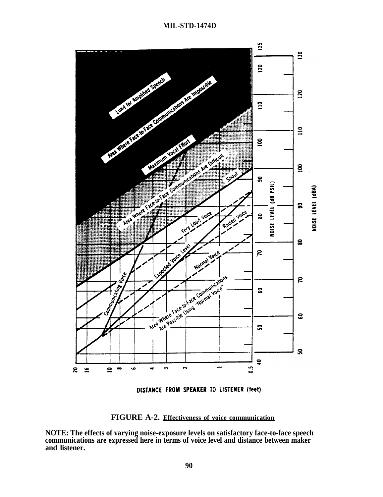



**FIGURE A-2. Effectiveness of voice communication**

**NOTE: The effects of varying noise-exposure levels on satisfactory face-to-face speech communications are expressed here in terms of voice level and distance between maker and listener.**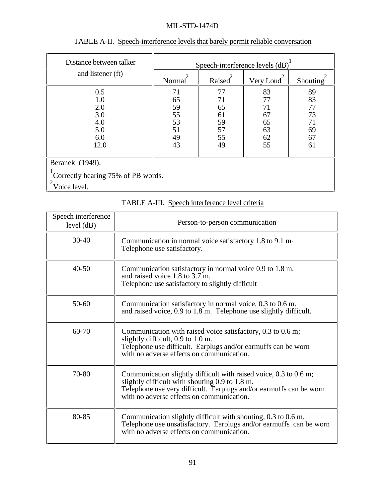| Distance between talker | Speech-interference levels (dB) |        |           |          |  |
|-------------------------|---------------------------------|--------|-----------|----------|--|
| and listener (ft)       | Normal                          | Raised | Very Loud | Shouting |  |
| 0.5                     | 71                              | 77     | 83        | 89       |  |
| 1.0                     | 65                              | 71     | 77        | 83       |  |
| 2.0                     | $\frac{59}{55}$                 | 65     | 71        | 77       |  |
| 3.0                     |                                 | 61     | 67        | 73       |  |
| 4.0                     | 53                              | 59     | 65        | 71       |  |
| 5.0                     | 51                              | 57     | 63        | 69       |  |
| 6.0                     | 49                              | 55     | 62        | 67       |  |
| 12.0                    | 43                              | 49     | 55        | 61       |  |
|                         |                                 |        |           |          |  |
| Beranek (1949).         |                                 |        |           |          |  |

# TABLE A-II. Speech-interference levels that barely permit reliable conversation

<sup>1</sup>Correctly hearing 75% of PB words.

 $2$ Voice level.

| Speech interference<br>level (dB) | Person-to-person communication                                                                                                                                                                                                         |
|-----------------------------------|----------------------------------------------------------------------------------------------------------------------------------------------------------------------------------------------------------------------------------------|
| $30-40$                           | Communication in normal voice satisfactory 1.8 to 9.1 m.<br>Telephone use satisfactory.                                                                                                                                                |
| $40 - 50$                         | Communication satisfactory in normal voice 0.9 to 1.8 m.<br>and raised voice 1.8 to 3.7 m.<br>Telephone use satisfactory to slightly difficult                                                                                         |
| $50-60$                           | Communication satisfactory in normal voice, 0.3 to 0.6 m.<br>and raised voice, 0.9 to 1.8 m. Telephone use slightly difficult.                                                                                                         |
| $60 - 70$                         | Communication with raised voice satisfactory, 0.3 to 0.6 m;<br>slightly difficult, 0.9 to 1.0 m.<br>Telephone use difficult. Earplugs and/or earmuffs can be worn<br>with no adverse effects on communication.                         |
| $70-80$                           | Communication slightly difficult with raised voice, 0.3 to 0.6 m;<br>slightly difficult with shouting 0.9 to 1.8 m.<br>Telephone use very difficult. Earplugs and/or earmuffs can be worn<br>with no adverse effects on communication. |
| 80-85                             | Communication slightly difficult with shouting, 0.3 to 0.6 m.<br>Telephone use unsatisfactory. Earplugs and/or earmuffs can be worn<br>with no adverse effects on communication.                                                       |

TABLE A-III. Speech interference level criteria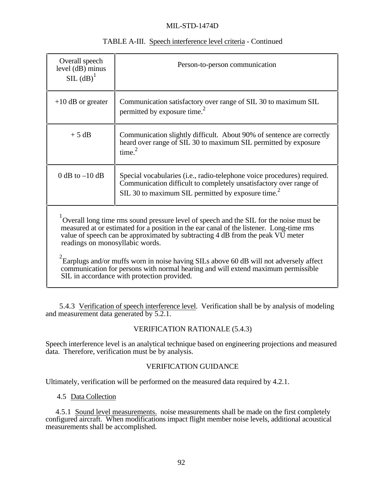| Overall speech<br>level (dB) minus<br>$SL(dB)^{1}$                                                                                                                                                                                                                                                     | Person-to-person communication                                                                                                                                                                                  |  |  |  |  |
|--------------------------------------------------------------------------------------------------------------------------------------------------------------------------------------------------------------------------------------------------------------------------------------------------------|-----------------------------------------------------------------------------------------------------------------------------------------------------------------------------------------------------------------|--|--|--|--|
| $+10$ dB or greater                                                                                                                                                                                                                                                                                    | Communication satisfactory over range of SIL 30 to maximum SIL<br>permitted by exposure time. <sup>2</sup>                                                                                                      |  |  |  |  |
| $+5 dB$                                                                                                                                                                                                                                                                                                | Communication slightly difficult. About 90% of sentence are correctly<br>heard over range of SIL 30 to maximum SIL permitted by exposure<br>time <sup>2</sup>                                                   |  |  |  |  |
| $0 dB$ to $-10 dB$                                                                                                                                                                                                                                                                                     | Special vocabularies (i.e., radio-telephone voice procedures) required.<br>Communication difficult to completely unsatisfactory over range of<br>SIL 30 to maximum SIL permitted by exposure time. <sup>2</sup> |  |  |  |  |
| Overall long time rms sound pressure level of speech and the SIL for the noise must be<br>measured at or estimated for a position in the ear canal of the listener. Long-time rms<br>value of speech can be approximated by subtracting 4 dB from the peak VU meter<br>readings on monosyllabic words. |                                                                                                                                                                                                                 |  |  |  |  |
| Earplugs and/or muffs worn in noise having SILs above 60 dB will not adversely affect<br>communication for persons with normal hearing and will extend maximum permissible<br>SIL in accordance with protection provided.                                                                              |                                                                                                                                                                                                                 |  |  |  |  |

## TABLE A-III. Speech interference level criteria - Continued

 5.4.3 Verification of speech interference level. Verification shall be by analysis of modeling and measurement data generated by 5.2.1.

## VERIFICATION RATIONALE (5.4.3)

Speech interference level is an analytical technique based on engineering projections and measured data. Therefore, verification must be by analysis.

## VERIFICATION GUIDANCE

Ultimately, verification will be performed on the measured data required by 4.2.1.

## 4.5 Data Collection

 4.5.1 Sound level measurements. noise measurements shall be made on the first completely configured aircraft. When modifications impact flight member noise levels, additional acoustical measurements shall be accomplished.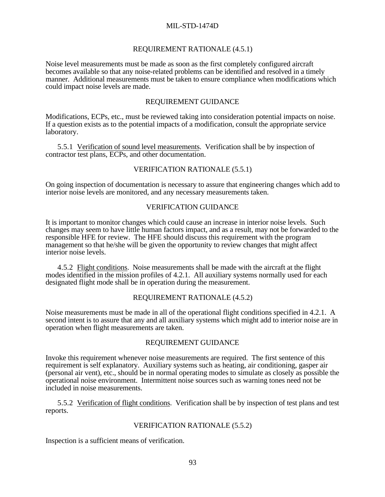## REQUIREMENT RATIONALE (4.5.1)

Noise level measurements must be made as soon as the first completely configured aircraft becomes available so that any noise-related problems can be identified and resolved in a timely manner. Additional measurements must be taken to ensure compliance when modifications which could impact noise levels are made.

## REQUIREMENT GUIDANCE

Modifications, ECPs, etc., must be reviewed taking into consideration potential impacts on noise. If a question exists as to the potential impacts of a modification, consult the appropriate service laboratory.

 5.5.1 Verification of sound level measurements. Verification shall be by inspection of contractor test plans, ECPs, and other documentation.

## VERIFICATION RATIONALE (5.5.1)

On going inspection of documentation is necessary to assure that engineering changes which add to interior noise levels are monitored, and any necessary measurements taken.

## VERIFICATION GUIDANCE

It is important to monitor changes which could cause an increase in interior noise levels. Such changes may seem to have little human factors impact, and as a result, may not be forwarded to the responsible HFE for review. The HFE should discuss this requirement with the program management so that he/she will be given the opportunity to review changes that might affect interior noise levels.

 4.5.2 Flight conditions. Noise measurements shall be made with the aircraft at the flight modes identified in the mission profiles of 4.2.1. All auxiliary systems normally used for each designated flight mode shall be in operation during the measurement.

## REQUIREMENT RATIONALE (4.5.2)

Noise measurements must be made in all of the operational flight conditions specified in 4.2.1. A second intent is to assure that any and all auxiliary systems which might add to interior noise are in operation when flight measurements are taken.

## REQUIREMENT GUIDANCE

Invoke this requirement whenever noise measurements are required. The first sentence of this requirement is self explanatory. Auxiliary systems such as heating, air conditioning, gasper air (personal air vent), etc., should be in normal operating modes to simulate as closely as possible the operational noise environment. Intermittent noise sources such as warning tones need not be included in noise measurements.

 5.5.2 Verification of flight conditions. Verification shall be by inspection of test plans and test reports.

## VERIFICATION RATIONALE (5.5.2)

Inspection is a sufficient means of verification.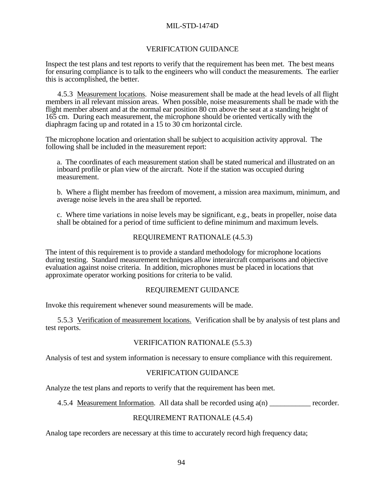### VERIFICATION GUIDANCE

Inspect the test plans and test reports to verify that the requirement has been met. The best means for ensuring compliance is to talk to the engineers who will conduct the measurements. The earlier this is accomplished, the better.

 4.5.3 Measurement locations. Noise measurement shall be made at the head levels of all flight members in all relevant mission areas. When possible, noise measurements shall be made with the flight member absent and at the normal ear position 80 cm above the seat at a standing height of 165 cm. During each measurement, the microphone should be oriented vertically with the diaphragm facing up and rotated in a 15 to 30 cm horizontal circle.

The microphone location and orientation shall be subject to acquisition activity approval. The following shall be included in the measurement report:

a. The coordinates of each measurement station shall be stated numerical and illustrated on an inboard profile or plan view of the aircraft. Note if the station was occupied during measurement.

b. Where a flight member has freedom of movement, a mission area maximum, minimum, and average noise levels in the area shall be reported.

c. Where time variations in noise levels may be significant, e.g., beats in propeller, noise data shall be obtained for a period of time sufficient to define minimum and maximum levels.

### REQUIREMENT RATIONALE (4.5.3)

The intent of this requirement is to provide a standard methodology for microphone locations during testing. Standard measurement techniques allow interaircraft comparisons and objective evaluation against noise criteria. In addition, microphones must be placed in locations that approximate operator working positions for criteria to be valid.

### REQUIREMENT GUIDANCE

Invoke this requirement whenever sound measurements will be made.

 5.5.3 Verification of measurement locations. Verification shall be by analysis of test plans and test reports.

### VERIFICATION RATIONALE (5.5.3)

Analysis of test and system information is necessary to ensure compliance with this requirement.

## VERIFICATION GUIDANCE

Analyze the test plans and reports to verify that the requirement has been met.

4.5.4 Measurement Information. All data shall be recorded using  $a(n)$  recorder.

#### REQUIREMENT RATIONALE (4.5.4)

Analog tape recorders are necessary at this time to accurately record high frequency data;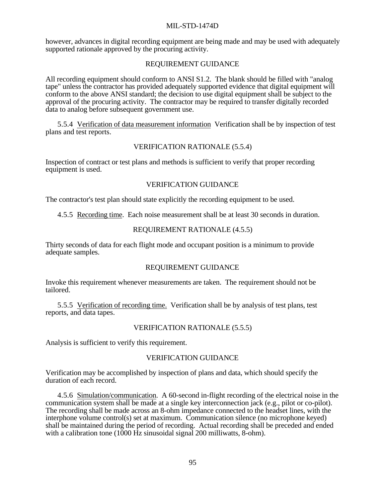however, advances in digital recording equipment are being made and may be used with adequately supported rationale approved by the procuring activity.

### REQUIREMENT GUIDANCE

All recording equipment should conform to ANSI S1.2. The blank should be filled with "analog tape" unless the contractor has provided adequately supported evidence that digital equipment will conform to the above ANSI standard; the decision to use digital equipment shall be subject to the approval of the procuring activity. The contractor may be required to transfer digitally recorded data to analog before subsequent government use.

 5.5.4 Verification of data measurement information Verification shall be by inspection of test plans and test reports.

#### VERIFICATION RATIONALE (5.5.4)

Inspection of contract or test plans and methods is sufficient to verify that proper recording equipment is used.

#### VERIFICATION GUIDANCE

The contractor's test plan should state explicitly the recording equipment to be used.

4.5.5 Recording time. Each noise measurement shall be at least 30 seconds in duration.

### REQUIREMENT RATIONALE (4.5.5)

Thirty seconds of data for each flight mode and occupant position is a minimum to provide adequate samples.

#### REQUIREMENT GUIDANCE

Invoke this requirement whenever measurements are taken. The requirement should not be tailored.

 5.5.5 Verification of recording time. Verification shall be by analysis of test plans, test reports, and data tapes.

#### VERIFICATION RATIONALE (5.5.5)

Analysis is sufficient to verify this requirement.

#### VERIFICATION GUIDANCE

Verification may be accomplished by inspection of plans and data, which should specify the duration of each record.

 4.5.6 Simulation/communication. A 60-second in-flight recording of the electrical noise in the communication system shall be made at a single key interconnection jack (e.g., pilot or co-pilot). The recording shall be made across an 8-ohm impedance connected to the headset lines, with the interphone volume control(s) set at maximum. Communication silence (no microphone keyed) shall be maintained during the period of recording. Actual recording shall be preceded and ended with a calibration tone (1000 Hz sinusoidal signal 200 milliwatts, 8-ohm).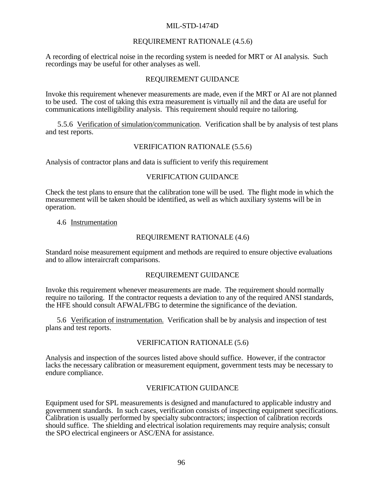#### REQUIREMENT RATIONALE (4.5.6)

A recording of electrical noise in the recording system is needed for MRT or AI analysis. Such recordings may be useful for other analyses as well.

#### REQUIREMENT GUIDANCE

Invoke this requirement whenever measurements are made, even if the MRT or AI are not planned to be used. The cost of taking this extra measurement is virtually nil and the data are useful for communications intelligibility analysis. This requirement should require no tailoring.

 5.5.6 Verification of simulation/communication. Verification shall be by analysis of test plans and test reports.

#### VERIFICATION RATIONALE (5.5.6)

Analysis of contractor plans and data is sufficient to verify this requirement

#### VERIFICATION GUIDANCE

Check the test plans to ensure that the calibration tone will be used. The flight mode in which the measurement will be taken should be identified, as well as which auxiliary systems will be in operation.

#### 4.6 Instrumentation

#### REQUIREMENT RATIONALE (4.6)

Standard noise measurement equipment and methods are required to ensure objective evaluations and to allow interaircraft comparisons.

#### REQUIREMENT GUIDANCE

Invoke this requirement whenever measurements are made. The requirement should normally require no tailoring. If the contractor requests a deviation to any of the required ANSI standards, the HFE should consult AFWAL/FBG to determine the significance of the deviation.

 5.6 Verification of instrumentation. Verification shall be by analysis and inspection of test plans and test reports.

#### VERIFICATION RATIONALE (5.6)

Analysis and inspection of the sources listed above should suffice. However, if the contractor lacks the necessary calibration or measurement equipment, government tests may be necessary to endure compliance.

#### VERIFICATION GUIDANCE

Equipment used for SPL measurements is designed and manufactured to applicable industry and government standards. In such cases, verification consists of inspecting equipment specifications. Calibration is usually performed by specialty subcontractors; inspection of calibration records should suffice. The shielding and electrical isolation requirements may require analysis; consult the SPO electrical engineers or ASC/ENA for assistance.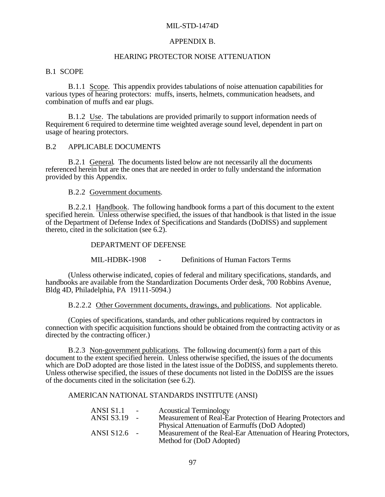#### APPENDIX B.

#### HEARING PROTECTOR NOISE ATTENUATION

#### B.1 SCOPE

B.1.1 Scope. This appendix provides tabulations of noise attenuation capabilities for various types of hearing protectors: muffs, inserts, helmets, communication headsets, and combination of muffs and ear plugs.

B.1.2 Use. The tabulations are provided primarily to support information needs of Requirement 6 required to determine time weighted average sound level, dependent in part on usage of hearing protectors.

#### B.2 APPLICABLE DOCUMENTS

B.2.1 General. The documents listed below are not necessarily all the documents referenced herein but are the ones that are needed in order to fully understand the information provided by this Appendix.

B.2.2 Government documents.

B.2.2.1 Handbook. The following handbook forms a part of this document to the extent specified herein. Unless otherwise specified, the issues of that handbook is that listed in the issue of the Department of Defense Index of Specifications and Standards (DoDISS) and supplement thereto, cited in the solicitation (see 6.2).

#### DEPARTMENT OF DEFENSE

MIL-HDBK-1908 - Definitions of Human Factors Terms

(Unless otherwise indicated, copies of federal and military specifications, standards, and handbooks are available from the Standardization Documents Order desk, 700 Robbins Avenue, Bldg 4D, Philadelphia, PA 19111-5094.)

## B.2.2.2 Other Government documents, drawings, and publications. Not applicable.

(Copies of specifications, standards, and other publications required by contractors in connection with specific acquisition functions should be obtained from the contracting activity or as directed by the contracting officer.)

B.2.3 Non-government publications. The following document(s) form a part of this document to the extent specified herein. Unless otherwise specified, the issues of the documents which are DoD adopted are those listed in the latest issue of the DoDISS, and supplements thereto. Unless otherwise specified, the issues of these documents not listed in the DoDISS are the issues of the documents cited in the solicitation (see 6.2).

#### AMERICAN NATIONAL STANDARDS INSTITUTE (ANSI)

| ANSI $S1.1$    | $\sim$ | <b>Acoustical Terminology</b>                                  |
|----------------|--------|----------------------------------------------------------------|
| ANSI S3.19 -   |        | Measurement of Real-Ear Protection of Hearing Protectors and   |
|                |        | Physical Attenuation of Earmuffs (DoD Adopted)                 |
| ANSI $S12.6$ - |        | Measurement of the Real-Ear Attenuation of Hearing Protectors, |
|                |        | Method for (DoD Adopted)                                       |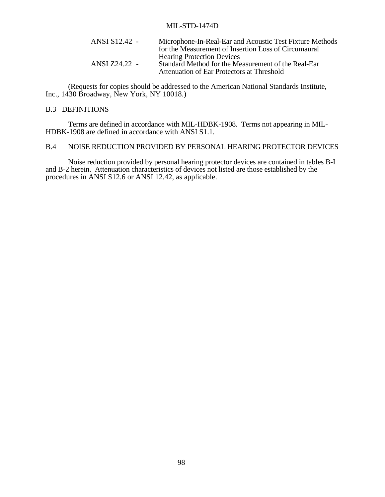| ANSI S12.42 - | Microphone-In-Real-Ear and Acoustic Test Fixture Methods |
|---------------|----------------------------------------------------------|
|               | for the Measurement of Insertion Loss of Circumaural     |
|               | <b>Hearing Protection Devices</b>                        |
| ANSI Z24.22 - | Standard Method for the Measurement of the Real-Ear      |
|               | Attenuation of Ear Protectors at Threshold               |

(Requests for copies should be addressed to the American National Standards Institute, Inc., 1430 Broadway, New York, NY 10018.)

#### B.3 DEFINITIONS

Terms are defined in accordance with MIL-HDBK-1908. Terms not appearing in MIL-HDBK-1908 are defined in accordance with ANSI S1.1.

### B.4 NOISE REDUCTION PROVIDED BY PERSONAL HEARING PROTECTOR DEVICES

Noise reduction provided by personal hearing protector devices are contained in tables B-I and B-2 herein. Attenuation characteristics of devices not listed are those established by the procedures in ANSI S12.6 or ANSI 12.42, as applicable.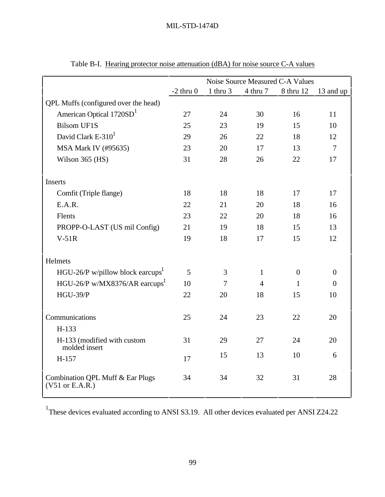|                                                       | Noise Source Measured C-A Values<br>$1$ thru $3$<br>4 thru 7<br>13 and up<br>$-2$ thru $0$<br>8 thru 12 |        |                |                |          |
|-------------------------------------------------------|---------------------------------------------------------------------------------------------------------|--------|----------------|----------------|----------|
|                                                       |                                                                                                         |        |                |                |          |
| QPL Muffs (configured over the head)                  |                                                                                                         |        |                |                |          |
| American Optical 1720SD <sup>1</sup>                  | 27                                                                                                      | 24     | 30             | 16             | 11       |
| <b>Bilsom UF1S</b>                                    | 25                                                                                                      | 23     | 19             | 15             | 10       |
| David Clark E-310 <sup>1</sup>                        | 29                                                                                                      | 26     | 22             | 18             | 12       |
| MSA Mark IV (#95635)                                  | 23                                                                                                      | 20     | 17             | 13             | $\tau$   |
| Wilson 365 (HS)                                       | 31                                                                                                      | 28     | 26             | 22             | 17       |
| Inserts                                               |                                                                                                         |        |                |                |          |
| Comfit (Triple flange)                                | 18                                                                                                      | 18     | 18             | 17             | 17       |
| E.A.R.                                                | 22                                                                                                      | 21     | 20             | 18             | 16       |
| Flents                                                | 23                                                                                                      | 22     | 20             | 18             | 16       |
| PROPP-O-LAST (US mil Config)                          | 21                                                                                                      | 19     | 18             | 15             | 13       |
| $V-51R$                                               | 19                                                                                                      | 18     | 17             | 15             | 12       |
| Helmets                                               |                                                                                                         |        |                |                |          |
| HGU-26/P w/pillow block earcups <sup>1</sup>          | 5                                                                                                       | 3      | $\mathbf{1}$   | $\overline{0}$ | $\theta$ |
| HGU-26/P w/MX8376/AR earcups <sup>1</sup>             | 10                                                                                                      | $\tau$ | $\overline{4}$ | 1              | $\Omega$ |
| <b>HGU-39/P</b>                                       | 22                                                                                                      | 20     | 18             | 15             | 10       |
| Communications                                        | 25                                                                                                      | 24     | 23             | 22             | 20       |
| H-133                                                 |                                                                                                         |        |                |                |          |
| H-133 (modified with custom<br>molded insert          | 31                                                                                                      | 29     | 27             | 24             | 20       |
| H-157                                                 | 17                                                                                                      | 15     | 13             | 10             | 6        |
| Combination QPL Muff & Ear Plugs<br>$(V51$ or E.A.R.) | 34                                                                                                      | 34     | 32             | 31             | 28       |

Table B-I. Hearing protector noise attenuation (dBA) for noise source C-A values

<sup>1</sup>These devices evaluated according to ANSI S3.19. All other devices evaluated per ANSI Z24.22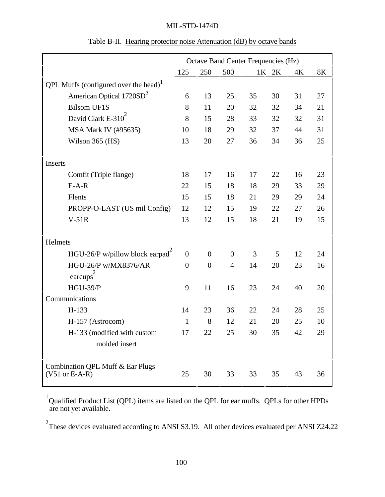|                                                      | Octave Band Center Frequencies (Hz) |                  |                  |    |       |    |           |
|------------------------------------------------------|-------------------------------------|------------------|------------------|----|-------|----|-----------|
|                                                      | 125                                 | 250              | 500              |    | 1K 2K | 4K | <b>8K</b> |
| QPL Muffs (configured over the head) <sup>1</sup>    |                                     |                  |                  |    |       |    |           |
| American Optical 1720SD <sup>2</sup>                 | 6                                   | 13               | 25               | 35 | 30    | 31 | 27        |
| <b>Bilsom UF1S</b>                                   | 8                                   | 11               | 20               | 32 | 32    | 34 | 21        |
| David Clark E-310 <sup>2</sup>                       | 8                                   | 15               | 28               | 33 | 32    | 32 | 31        |
| MSA Mark IV (#95635)                                 | 10                                  | 18               | 29               | 32 | 37    | 44 | 31        |
| Wilson 365 (HS)                                      | 13                                  | 20               | 27               | 36 | 34    | 36 | 25        |
| Inserts                                              |                                     |                  |                  |    |       |    |           |
| Comfit (Triple flange)                               | 18                                  | 17               | 16               | 17 | 22    | 16 | 23        |
| $E-A-R$                                              | 22                                  | 15               | 18               | 18 | 29    | 33 | 29        |
| Flents                                               | 15                                  | 15               | 18               | 21 | 29    | 29 | 24        |
| PROPP-O-LAST (US mil Config)                         | 12                                  | 12               | 15               | 19 | 22    | 27 | 26        |
| $V-51R$                                              | 13                                  | 12               | 15               | 18 | 21    | 19 | 15        |
| Helmets                                              |                                     |                  |                  |    |       |    |           |
| HGU-26/P w/pillow block earpad <sup>2</sup>          | $\boldsymbol{0}$                    | $\boldsymbol{0}$ | $\boldsymbol{0}$ | 3  | 5     | 12 | 24        |
| HGU-26/P w/MX8376/AR<br>earcups                      | $\overline{0}$                      | $\overline{0}$   | $\overline{4}$   | 14 | 20    | 23 | 16        |
| <b>HGU-39/P</b>                                      | 9                                   | 11               | 16               | 23 | 24    | 40 | 20        |
| Communications                                       |                                     |                  |                  |    |       |    |           |
| H-133                                                | 14                                  | 23               | 36               | 22 | 24    | 28 | 25        |
| H-157 (Astrocom)                                     | $\mathbf{1}$                        | 8                | 12               | 21 | 20    | 25 | 10        |
| H-133 (modified with custom                          | 17                                  | 22               | 25               | 30 | 35    | 42 | 29        |
| molded insert                                        |                                     |                  |                  |    |       |    |           |
| Combination QPL Muff & Ear Plugs<br>$(V51$ or E-A-R) | 25                                  | 30               | 33               | 33 | 35    | 43 | 36        |

# Table B-II. Hearing protector noise Attenuation (dB) by octave bands

<sup>1</sup> Qualified Product List (QPL) items are listed on the QPL for ear muffs. QPLs for other HPDs are not yet available.

 $2^2$ These devices evaluated according to ANSI S3.19. All other devices evaluated per ANSI Z24.22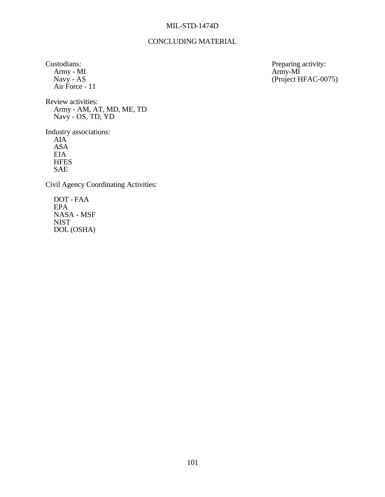## CONCLUDING MATERIAL

Army - MI Navy - AS<br>Air Force - 11

Review activities: Army - AM, AT, MD, ME, TD Navy - OS, TD, YD

Industry associations: AIA ASA EIA **HFES** SAE

Civil Agency Coordinating Activities:

DOT - FAA EPA NASA - MSF **NIST** DOL (OSHA)

Custodians: Preparing activity: Army - MI Army - MI  $(Project HFAC-0075)$